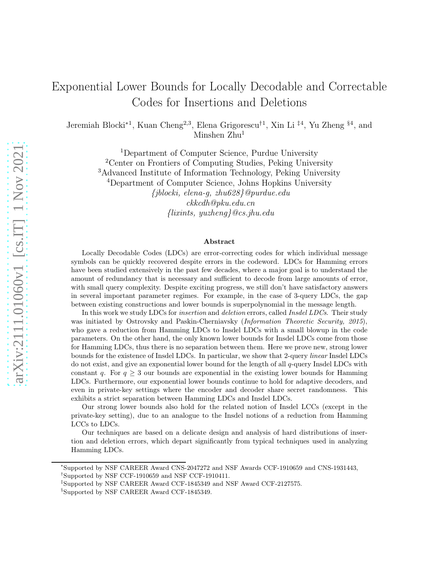# Exponential Lower Bounds for Locally Decodable and Correctable Codes for Insertions and Deletions

Jeremiah Blocki∗1, Kuan Cheng2,3, Elena Grigorescu†1, Xin Li ‡4, Yu Zheng §4, and Minshen Zhu<sup>1</sup>

> <sup>1</sup>Department of Computer Science, Purdue University <sup>2</sup>Center on Frontiers of Computing Studies, Peking University <sup>3</sup>Advanced Institute of Information Technology, Peking University <sup>4</sup>Department of Computer Science, Johns Hopkins University {jblocki, elena-g, zhu628}@purdue.edu ckkcdh@pku.edu.cn  $\{llimits, yuzheng\}$ @cs.jhu.edu

#### Abstract

Locally Decodable Codes (LDCs) are error-correcting codes for which individual message symbols can be quickly recovered despite errors in the codeword. LDCs for Hamming errors have been studied extensively in the past few decades, where a major goal is to understand the amount of redundancy that is necessary and sufficient to decode from large amounts of error, with small query complexity. Despite exciting progress, we still don't have satisfactory answers in several important parameter regimes. For example, in the case of 3-query LDCs, the gap between existing constructions and lower bounds is superpolynomial in the message length.

In this work we study LDCs for *insertion* and *deletion* errors, called *Insdel LDCs*. Their study was initiated by Ostrovsky and Paskin-Cherniavsky (Information Theoretic Security, 2015), who gave a reduction from Hamming LDCs to Insdel LDCs with a small blowup in the code parameters. On the other hand, the only known lower bounds for Insdel LDCs come from those for Hamming LDCs, thus there is no separation between them. Here we prove new, strong lower bounds for the existence of Insdel LDCs. In particular, we show that 2-query linear Insdel LDCs do not exist, and give an exponential lower bound for the length of all q-query Insdel LDCs with constant q. For  $q \geq 3$  our bounds are exponential in the existing lower bounds for Hamming LDCs. Furthermore, our exponential lower bounds continue to hold for adaptive decoders, and even in private-key settings where the encoder and decoder share secret randomness. This exhibits a strict separation between Hamming LDCs and Insdel LDCs.

Our strong lower bounds also hold for the related notion of Insdel LCCs (except in the private-key setting), due to an analogue to the Insdel notions of a reduction from Hamming LCCs to LDCs.

Our techniques are based on a delicate design and analysis of hard distributions of insertion and deletion errors, which depart significantly from typical techniques used in analyzing Hamming LDCs.

<sup>∗</sup> Supported by NSF CAREER Award CNS-2047272 and NSF Awards CCF-1910659 and CNS-1931443, †Supported by NSF CCF-1910659 and NSF CCF-1910411.

<sup>‡</sup>Supported by NSF CAREER Award CCF-1845349 and NSF Award CCF-2127575.

<sup>§</sup>Supported by NSF CAREER Award CCF-1845349.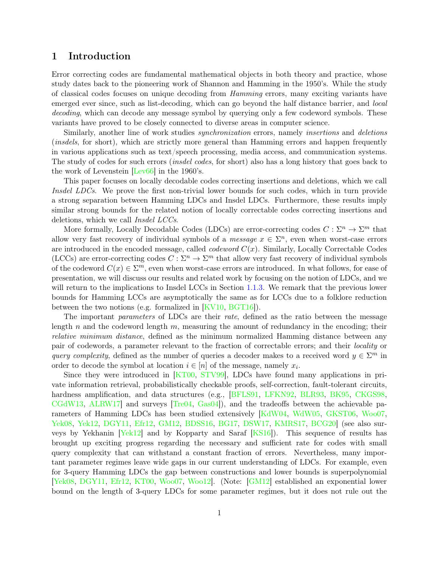## 1 Introduction

Error correcting codes are fundamental mathematical objects in both theory and practice, whose study dates back to the pioneering work of Shannon and Hamming in the 1950's. While the study of classical codes focuses on unique decoding from Hamming errors, many exciting variants have emerged ever since, such as list-decoding, which can go beyond the half distance barrier, and *local* decoding, which can decode any message symbol by querying only a few codeword symbols. These variants have proved to be closely connected to diverse areas in computer science.

Similarly, another line of work studies *synchronization* errors, namely *insertions* and *deletions* (insdels, for short), which are strictly more general than Hamming errors and happen frequently in various applications such as text/speech processing, media access, and communication systems. The study of codes for such errors (insdel codes, for short) also has a long history that goes back to the work of Levenstein [\[Lev66\]](#page-38-0) in the 1960's.

This paper focuses on locally decodable codes correcting insertions and deletions, which we call Insdel LDCs. We prove the first non-trivial lower bounds for such codes, which in turn provide a strong separation between Hamming LDCs and Insdel LDCs. Furthermore, these results imply similar strong bounds for the related notion of locally correctable codes correcting insertions and deletions, which we call Insdel LCCs.

More formally, Locally Decodable Codes (LDCs) are error-correcting codes  $C: \Sigma^n \to \Sigma^m$  that allow very fast recovery of individual symbols of a *message*  $x \in \Sigma^n$ , even when worst-case errors are introduced in the encoded message, called *codeword*  $C(x)$ . Similarly, Locally Correctable Codes (LCCs) are error-correcting codes  $C: \Sigma^n \to \Sigma^m$  that allow very fast recovery of individual symbols of the codeword  $C(x) \in \Sigma^m$ , even when worst-case errors are introduced. In what follows, for ease of presentation, we will discuss our results and related work by focusing on the notion of LDCs, and we will return to the implications to Insdel LCCs in Section [1.1.3.](#page-6-0) We remark that the previous lower bounds for Hamming LCCs are asymptotically the same as for LCCs due to a folklore reduction between the two notions (e.g. formalized in [\[KV10,](#page-38-1) [BGT16\]](#page-35-0)).

The important *parameters* of LDCs are their *rate*, defined as the ratio between the message length n and the codeword length  $m$ , measuring the amount of redundancy in the encoding; their relative minimum distance, defined as the minimum normalized Hamming distance between any pair of codewords, a parameter relevant to the fraction of correctable errors; and their locality or query complexity, defined as the number of queries a decoder makes to a received word  $y \in \Sigma^m$  in order to decode the symbol at location  $i \in [n]$  of the message, namely  $x_i$ .

Since they were introduced in [\[KT00,](#page-38-2) [STV99\]](#page-39-0), LDCs have found many applications in private information retrieval, probabilistically checkable proofs, self-correction, fault-tolerant circuits, hardness amplification, and data structures (e.g., [\[BFLS91,](#page-34-0) [LFKN92,](#page-38-3) [BLR93,](#page-35-1) [BK95,](#page-35-2) [CKGS98,](#page-35-3) [CGdW13,](#page-35-4) [ALRW17\]](#page-34-1) and surveys [\[Tre04,](#page-39-1) [Gas04\]](#page-36-0)), and the tradeoffs between the achievable parameters of Hamming LDCs has been studied extensively [\[KdW04,](#page-37-0) [WdW05,](#page-39-2) [GKST06,](#page-36-1) [Woo07,](#page-39-3) [Yek08,](#page-39-4) [Yek12,](#page-39-5) [DGY11,](#page-36-2) [Efr12,](#page-36-3) [GM12,](#page-36-4) [BDSS16,](#page-34-2) [BG17,](#page-34-3) [DSW17,](#page-36-5) [KMRS17,](#page-37-1) [BCG20\]](#page-34-4) (see also surveys by Yekhanin [\[Yek12\]](#page-39-5) and by Kopparty and Saraf [\[KS16\]](#page-38-4)). This sequence of results has brought up exciting progress regarding the necessary and sufficient rate for codes with small query complexity that can withstand a constant fraction of errors. Nevertheless, many important parameter regimes leave wide gaps in our current understanding of LDCs. For example, even for 3-query Hamming LDCs the gap between constructions and lower bounds is superpolynomial [\[Yek08,](#page-39-4) [DGY11,](#page-36-2) [Efr12,](#page-36-3) [KT00,](#page-38-2) [Woo07,](#page-39-3) [Woo12\]](#page-39-6). (Note: [\[GM12\]](#page-36-4) established an exponential lower bound on the length of 3-query LDCs for some parameter regimes, but it does not rule out the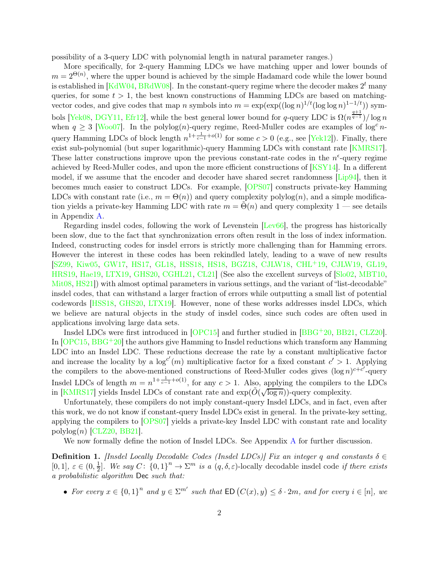possibility of a 3-query LDC with polynomial length in natural parameter ranges.)

More specifically, for 2-query Hamming LDCs we have matching upper and lower bounds of  $m = 2^{\Theta(n)}$ , where the upper bound is achieved by the simple Hadamard code while the lower bound is established in [\[KdW04,](#page-37-0) [BRdW08\]](#page-35-5). In the constant-query regime where the decoder makes  $2^t$  many queries, for some  $t > 1$ , the best known constructions of Hamming LDCs are based on matchingvector codes, and give codes that map n symbols into  $m = \exp(\exp((\log n)^{1/t}(\log \log n)^{1-t/t}))$  sym-bols [\[Yek08,](#page-39-4) [DGY11,](#page-36-2) [Efr12\]](#page-36-3), while the best general lower bound for q-query LDC is  $\Omega(n^{\frac{q+1}{q-1}})/\log n$ when  $q \geq 3$  [\[Woo07\]](#page-39-3). In the polylog(n)-query regime, Reed-Muller codes are examples of  $\log^c n$ query Hamming LDCs of block length  $n^{1+\frac{1}{c-1}+o(1)}$  for some  $c > 0$  (e.g., see [\[Yek12\]](#page-39-5)). Finally, there exist sub-polynomial (but super logarithmic)-query Hamming LDCs with constant rate [\[KMRS17\]](#page-37-1). These latter constructions improve upon the previous constant-rate codes in the  $n^{\epsilon}$ -query regime achieved by Reed-Muller codes, and upon the more efficient constructions of [\[KSY14\]](#page-38-5). In a different model, if we assume that the encoder and decoder have shared secret randomness [\[Lip94\]](#page-38-6), then it becomes much easier to construct LDCs. For example, [\[OPS07\]](#page-38-7) constructs private-key Hamming LDCs with constant rate (i.e.,  $m = \Theta(n)$ ) and query complexity  $\text{polylog}(n)$ , and a simple modification yields a private-key Hamming LDC with rate  $m = \Theta(n)$  and query complexity 1 — see details in Appendix [A.](#page-39-7)

Regarding insdel codes, following the work of Levenstein [\[Lev66\]](#page-38-0), the progress has historically been slow, due to the fact that synchronization errors often result in the loss of index information. Indeed, constructing codes for insdel errors is strictly more challenging than for Hamming errors. However the interest in these codes has been rekindled lately, leading to a wave of new results [\[SZ99,](#page-39-8) [Kiw05,](#page-37-2) [GW17,](#page-37-3) [HS17,](#page-37-4) [GL18,](#page-36-6) [HSS18,](#page-37-5) [HS18,](#page-37-6) [BGZ18,](#page-35-6) [CJLW18,](#page-35-7) [CHL](#page-35-8)+19, [CJLW19,](#page-35-9) [GL19,](#page-36-7) [HRS19,](#page-37-7) [Hae19,](#page-37-8) [LTX19,](#page-38-8) [GHS20,](#page-36-8) [CGHL21,](#page-35-10) [CL21\]](#page-35-11) (See also the excellent surveys of [\[Slo02,](#page-38-9) [MBT10,](#page-38-10) [Mit08,](#page-38-11) [HS21\]](#page-37-9)) with almost optimal parameters in various settings, and the variant of "list-decodable" insdel codes, that can withstand a larger fraction of errors while outputting a small list of potential codewords [\[HSS18,](#page-37-5) [GHS20,](#page-36-8) [LTX19\]](#page-38-8). However, none of these works addresses insdel LDCs, which we believe are natural objects in the study of insdel codes, since such codes are often used in applications involving large data sets.

Insdel LDCs were first introduced in [\[OPC15\]](#page-38-12) and further studied in [\[BBG](#page-34-5)+20, [BB21,](#page-34-6) [CLZ20\]](#page-36-9). In  $[OPC15, BBG<sup>+</sup>20]$  $[OPC15, BBG<sup>+</sup>20]$  $[OPC15, BBG<sup>+</sup>20]$  the authors give Hamming to Insdel reductions which transform any Hamming LDC into an Insdel LDC. These reductions decrease the rate by a constant multiplicative factor and increase the locality by a  $\log^{c'}(m)$  multiplicative factor for a fixed constant  $c' > 1$ . Applying the compilers to the above-mentioned constructions of Reed-Muller codes gives  $(\log n)^{c+c'}$ -query Insdel LDCs of length  $m = n^{1 + \frac{1}{c-1} + o(1)}$ , for any  $c > 1$ . Also, applying the compilers to the LDCs in [\[KMRS17\]](#page-37-1) yields Insdel LDCs of constant rate and  $\exp(\tilde{O}(\sqrt{\log n}))$ -query complexity.

Unfortunately, these compilers do not imply constant-query Insdel LDCs, and in fact, even after this work, we do not know if constant-query Insdel LDCs exist in general. In the private-key setting, applying the compilers to [\[OPS07\]](#page-38-7) yields a private-key Insdel LDC with constant rate and locality  $polylog(n)$  [\[CLZ20,](#page-36-9) [BB21\]](#page-34-6).

We now formally define the notion of Insdel LDCs. See Appendix [A](#page-39-7) for further discussion.

<span id="page-2-0"></span>**Definition 1.** [Insdel Locally Decodable Codes (Insdel LDCs)] Fix an integer q and constants  $\delta \in$  $[0,1], \varepsilon \in (0,\frac{1}{2})$  $\frac{1}{2}$ . We say  $C: \{0,1\}^n \to \Sigma^m$  is a  $(q, \delta, \varepsilon)$ -locally decodable insdel code if there exists a probabilistic algorithm Dec such that:

• For every  $x \in \{0,1\}^n$  and  $y \in \Sigma^{m'}$  such that  $ED(C(x), y) \leq \delta \cdot 2m$ , and for every  $i \in [n]$ , we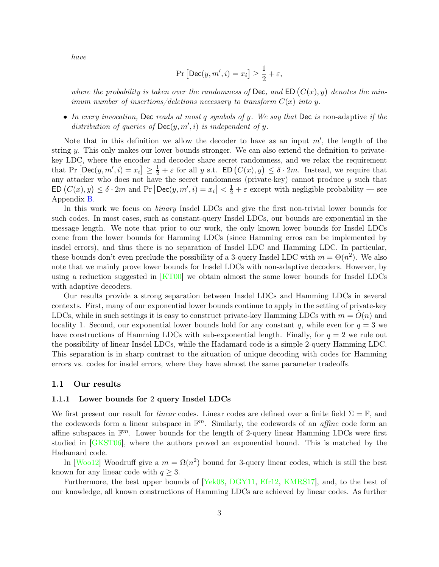have

$$
\Pr\left[\mathsf{Dec}(y, m', i) = x_i\right] \ge \frac{1}{2} + \varepsilon,
$$

where the probability is taken over the randomness of Dec, and ED  $(C(x), y)$  denotes the minimum number of insertions/deletions necessary to transform  $C(x)$  into y.

• In every invocation, Dec reads at most q symbols of y. We say that Dec is non-adaptive if the distribution of queries of  $Dec(y, m', i)$  is independent of y.

Note that in this definition we allow the decoder to have as an input  $m'$ , the length of the string  $\psi$ . This only makes our lower bounds stronger. We can also extend the definition to privatekey LDC, where the encoder and decoder share secret randomness, and we relax the requirement that Pr  $\left[\mathsf{Dec}(y, m', i) = x_i\right] \geq \frac{1}{2} + \varepsilon$  for all y s.t.  $\mathsf{ED}\left(C(x), y\right) \leq \delta \cdot 2m$ . Instead, we require that any attacker who does not have the secret randomness (private-key) cannot produce  $y$  such that  $ED(C(x), y) \leq \delta \cdot 2m$  and  $Pr[Dec(y, m', i) = x_i] < \frac{1}{2} + \varepsilon$  except with negligible probability — see Appendix [B.](#page-40-0)

In this work we focus on binary Insdel LDCs and give the first non-trivial lower bounds for such codes. In most cases, such as constant-query Insdel LDCs, our bounds are exponential in the message length. We note that prior to our work, the only known lower bounds for Insdel LDCs come from the lower bounds for Hamming LDCs (since Hamming erros can be implemented by insdel errors), and thus there is no separation of Insdel LDC and Hamming LDC. In particular, these bounds don't even preclude the possibility of a 3-query Insdel LDC with  $m = \Theta(n^2)$ . We also note that we mainly prove lower bounds for Insdel LDCs with non-adaptive decoders. However, by using a reduction suggested in [\[KT00\]](#page-38-2) we obtain almost the same lower bounds for Insdel LDCs with adaptive decoders.

Our results provide a strong separation between Insdel LDCs and Hamming LDCs in several contexts. First, many of our exponential lower bounds continue to apply in the setting of private-key LDCs, while in such settings it is easy to construct private-key Hamming LDCs with  $m = O(n)$  and locality 1. Second, our exponential lower bounds hold for any constant q, while even for  $q = 3$  we have constructions of Hamming LDCs with sub-exponential length. Finally, for  $q = 2$  we rule out the possibility of linear Insdel LDCs, while the Hadamard code is a simple 2-query Hamming LDC. This separation is in sharp contrast to the situation of unique decoding with codes for Hamming errors vs. codes for insdel errors, where they have almost the same parameter tradeoffs.

#### 1.1 Our results

#### 1.1.1 Lower bounds for 2 query Insdel LDCs

We first present our result for *linear* codes. Linear codes are defined over a finite field  $\Sigma = \mathbb{F}$ , and the codewords form a linear subspace in  $\mathbb{F}^m$ . Similarly, the codewords of an *affine* code form an affine subspaces in  $\mathbb{F}^m$ . Lower bounds for the length of 2-query linear Hamming LDCs were first studied in [\[GKST06\]](#page-36-1), where the authors proved an exponential bound. This is matched by the Hadamard code.

In [\[Woo12\]](#page-39-6) Woodruff give a  $m = \Omega(n^2)$  bound for 3-query linear codes, which is still the best known for any linear code with  $q \geq 3$ .

Furthermore, the best upper bounds of [\[Yek08,](#page-39-4) [DGY11,](#page-36-2) [Efr12,](#page-36-3) [KMRS17\]](#page-37-1), and, to the best of our knowledge, all known constructions of Hamming LDCs are achieved by linear codes. As further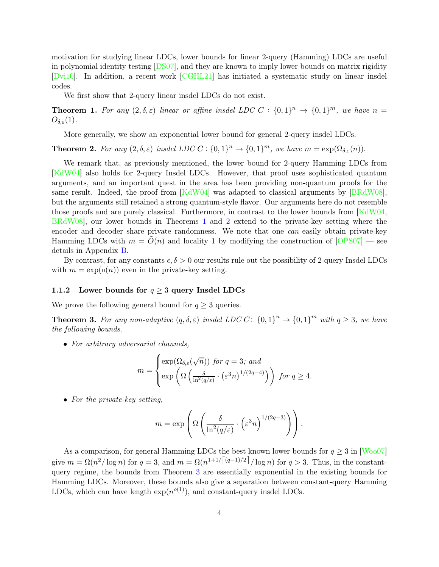motivation for studying linear LDCs, lower bounds for linear 2-query (Hamming) LDCs are useful in polynomial identity testing [\[DS07\]](#page-36-10), and they are known to imply lower bounds on matrix rigidity [\[Dvi10\]](#page-36-11). In addition, a recent work [\[CGHL21\]](#page-35-10) has initiated a systematic study on linear insdel codes.

We first show that 2-query linear insdel LDCs do not exist.

<span id="page-4-0"></span>**Theorem 1.** For any  $(2, \delta, \varepsilon)$  linear or affine insdel LDC C :  $\{0, 1\}^n \to \{0, 1\}^m$ , we have  $n =$  $O_{\delta,\varepsilon}(1)$ .

More generally, we show an exponential lower bound for general 2-query insdel LDCs.

<span id="page-4-1"></span>**Theorem 2.** For any  $(2, \delta, \varepsilon)$  insdel LDC  $C : \{0, 1\}^n \to \{0, 1\}^m$ , we have  $m = \exp(\Omega_{\delta, \varepsilon}(n))$ .

We remark that, as previously mentioned, the lower bound for 2-query Hamming LDCs from [\[KdW04\]](#page-37-0) also holds for 2-query Insdel LDCs. However, that proof uses sophisticated quantum arguments, and an important quest in the area has been providing non-quantum proofs for the same result. Indeed, the proof from [\[KdW04\]](#page-37-0) was adapted to classical arguments by [\[BRdW08\]](#page-35-5), but the arguments still retained a strong quantum-style flavor. Our arguments here do not resemble those proofs and are purely classical. Furthermore, in contrast to the lower bounds from [\[KdW04,](#page-37-0) [BRdW08\]](#page-35-5), our lower bounds in Theorems [1](#page-4-0) and [2](#page-4-1) extend to the private-key setting where the encoder and decoder share private randomness. We note that one can easily obtain private-key Hamming LDCs with  $m = \tilde{O}(n)$  and locality 1 by modifying the construction of  $[OPS07]$  — see details in Appendix [B.](#page-40-0)

By contrast, for any constants  $\epsilon, \delta > 0$  our results rule out the possibility of 2-query Insdel LDCs with  $m = \exp(o(n))$  even in the private-key setting.

### 1.1.2 Lower bounds for  $q \geq 3$  query Insdel LDCs

We prove the following general bound for  $q \geq 3$  queries.

<span id="page-4-2"></span>**Theorem 3.** For any non-adaptive  $(q, \delta, \varepsilon)$  insdel LDC C:  $\{0, 1\}^n \to \{0, 1\}^m$  with  $q \geq 3$ , we have the following bounds.

• For arbitrary adversarial channels,

$$
m = \begin{cases} \exp(\Omega_{\delta,\varepsilon}(\sqrt{n})) \text{ for } q = 3; \text{ and} \\ \exp\left(\Omega\left(\frac{\delta}{\ln^2(q/\varepsilon)} \cdot (\varepsilon^3 n)^{1/(2q-4)}\right)\right) \text{ for } q \ge 4. \end{cases}
$$

• For the private-key setting,

$$
m = \exp\left(\Omega\left(\frac{\delta}{\ln^2(q/\varepsilon)} \cdot \left(\varepsilon^3 n\right)^{1/(2q-3)}\right)\right).
$$

As a comparison, for general Hamming LDCs the best known lower bounds for  $q \geq 3$  in [\[Woo07\]](#page-39-3) give  $m = \Omega(n^2/\log n)$  for  $q = 3$ , and  $m = \Omega(n^{1+1/\lfloor (q-1)/2 \rfloor}/\log n)$  for  $q > 3$ . Thus, in the constantquery regime, the bounds from Theorem [3](#page-4-2) are essentially exponential in the existing bounds for Hamming LDCs. Moreover, these bounds also give a separation between constant-query Hamming LDCs, which can have length  $\exp(n^{o(1)})$ , and constant-query insdel LDCs.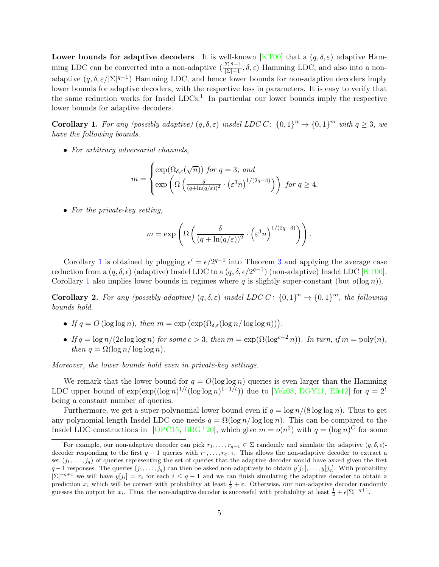Lower bounds for adaptive decoders It is well-known [\[KT00\]](#page-38-2) that a  $(q, \delta, \varepsilon)$  adaptive Hamming LDC can be converted into a non-adaptive  $\left(\frac{|\Sigma|^q-1}{|\Sigma|-1}\right)$  $\frac{\Sigma|^{3}-1}{\Sigma|-1}, \delta, \varepsilon)$  Hamming LDC, and also into a nonadaptive  $(q, \delta, \varepsilon/|\Sigma|^{q-1})$  Hamming LDC, and hence lower bounds for non-adaptive decoders imply lower bounds for adaptive decoders, with the respective loss in parameters. It is easy to verify that the same reduction works for Insdel  $LDCs<sup>1</sup>$  $LDCs<sup>1</sup>$  $LDCs<sup>1</sup>$ . In particular our lower bounds imply the respective lower bounds for adaptive decoders.

<span id="page-5-1"></span>**Corollary 1.** For any (possibly adaptive)  $(q, \delta, \varepsilon)$  insdel LDC C:  $\{0, 1\}^n \to \{0, 1\}^m$  with  $q \geq 3$ , we have the following bounds.

• For arbitrary adversarial channels,

$$
m = \begin{cases} \exp(\Omega_{\delta,\varepsilon}(\sqrt{n})) \text{ for } q = 3; \text{ and} \\ \exp\left(\Omega\left(\frac{\delta}{(q+\ln(q/\varepsilon))^2} \cdot (\varepsilon^3 n)^{1/(2q-4)}\right)\right) \text{ for } q \ge 4. \end{cases}
$$

• For the private-key setting,

$$
m = \exp\left(\Omega\left(\frac{\delta}{(q + \ln(q/\varepsilon))^2} \cdot \left(\varepsilon^3 n\right)^{1/(2q-3)}\right)\right).
$$

Corollary [1](#page-5-1) is obtained by plugging  $\epsilon' = \epsilon/2^{q-1}$  into Theorem [3](#page-4-2) and applying the average case reduction from a  $(q, \delta, \epsilon)$  (adaptive) Insdel LDC to a  $(q, \delta, \epsilon/2^{q-1})$  (non-adaptive) Insdel LDC [\[KT00\]](#page-38-2). Corollary [1](#page-5-1) also implies lower bounds in regimes where q is slightly super-constant (but  $o(\log n)$ ).

**Corollary 2.** For any (possibly adaptive)  $(q, \delta, \varepsilon)$  insdel LDC C:  $\{0, 1\}^n \to \{0, 1\}^m$ , the following bounds hold.

- If  $q = O(\log \log n)$ , then  $m = \exp(\exp(\Omega_{\delta,\varepsilon}(\log n/\log \log n)))$ .
- If  $q = \log n/(2c \log \log n)$  for some  $c > 3$ , then  $m = \exp(\Omega(\log^{c-2} n))$ . In turn, if  $m = \text{poly}(n)$ , then  $q = \Omega(\log n / \log \log n)$ .

Moreover, the lower bounds hold even in private-key settings.

We remark that the lower bound for  $q = O(\log \log n)$  queries is even larger than the Hamming LDC upper bound of  $\exp(\exp((\log n)^{1/t}(\log \log n)^{1-1/t}))$  due to [\[Yek08,](#page-39-4) [DGY11,](#page-36-2) [Efr12\]](#page-36-3) for  $q = 2^t$ being a constant number of queries.

Furthermore, we get a super-polynomial lower bound even if  $q = \log n/(8 \log \log n)$ . Thus to get any polynomial length Insdel LDC one needs  $q = \Omega(\log n / \log \log n)$ . This can be compared to the Insdel LDC constructions in [\[OPC15,](#page-38-12) [BBG](#page-34-5)<sup>+</sup>20], which give  $m = o(n^2)$  with  $q = (\log n)^C$  for some

<span id="page-5-0"></span><sup>&</sup>lt;sup>1</sup>For example, our non-adaptive decoder can pick  $r_1, \ldots, r_{q-1} \in \Sigma$  randomly and simulate the adaptive  $(q, \delta, \epsilon)$ decoder responding to the first  $q-1$  queries with  $r_1, \ldots, r_{q-1}$ . This allows the non-adaptive decoder to extract a set  $(j_1, \ldots, j_q)$  of queries representing the set of queries that the adaptive decoder would have asked given the first  $q-1$  responses. The queries  $(j_1, \ldots, j_q)$  can then be asked non-adaptively to obtain  $y[j_1], \ldots, y[j_q]$ . With probability  $|\Sigma|^{-q+1}$  we will have  $y[j_i] = r_i$  for each  $i \leq q-1$  and we can finish simulating the adaptive decoder to obtain a prediction  $x_i$  which will be correct with probability at least  $\frac{1}{2} + \varepsilon$ . Otherwise, our non-adaptive decoder randomly guesses the output bit  $x_i$ . Thus, the non-adaptive decoder is successful with probability at least  $\frac{1}{2} + \epsilon |\Sigma|^{-q+1}$ .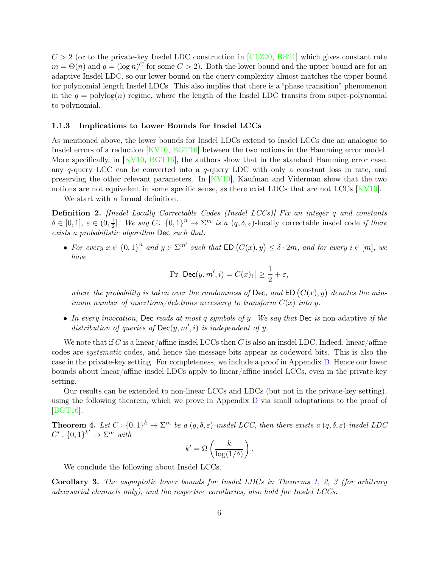$C > 2$  (or to the private-key Insdel LDC construction in [\[CLZ20,](#page-36-9) [BB21\]](#page-34-6) which gives constant rate  $m = \Theta(n)$  and  $q = (\log n)^C$  for some  $C > 2$ ). Both the lower bound and the upper bound are for an adaptive Insdel LDC, so our lower bound on the query complexity almost matches the upper bound for polynomial length Insdel LDCs. This also implies that there is a "phase transition" phenomenon in the  $q = \text{polylog}(n)$  regime, where the length of the Insdel LDC transits from super-polynomial to polynomial.

#### <span id="page-6-0"></span>1.1.3 Implications to Lower Bounds for Insdel LCCs

As mentioned above, the lower bounds for Insdel LDCs extend to Insdel LCCs due an analogue to Insdel errors of a reduction [\[KV10,](#page-38-1) [BGT16\]](#page-35-0) between the two notions in the Hamming error model. More specifically, in [\[KV10,](#page-38-1) [BGT16\]](#page-35-0), the authors show that in the standard Hamming error case, any q-query LCC can be converted into a q-query LDC with only a constant loss in rate, and preserving the other relevant parameters. In [\[KV10\]](#page-38-1), Kaufman and Viderman show that the two notions are not equivalent in some specific sense, as there exist LDCs that are not LCCs [\[KV10\]](#page-38-1).

We start with a formal definition.

Definition 2. [Insdel Locally Correctable Codes (Insdel LCCs)] Fix an integer q and constants  $\delta \in [0,1], \ \varepsilon \in (0,\frac{1}{2}]$  $\frac{1}{2}$ . We say  $C: \{0,1\}^n \to \Sigma^m$  is a  $(q, \delta, \varepsilon)$ -locally correctable insdel code if there exists a probabilistic algorithm Dec such that:

• For every  $x \in \{0,1\}^n$  and  $y \in \Sigma^{m'}$  such that  $ED(C(x), y) \leq \delta \cdot 2m$ , and for every  $i \in [m]$ , we have

$$
\Pr\left[\mathsf{Dec}(y, m', i) = C(x)_i\right] \ge \frac{1}{2} + \varepsilon,
$$

where the probability is taken over the randomness of Dec, and ED  $(C(x), y)$  denotes the minimum number of insertions/deletions necessary to transform  $C(x)$  into y.

• In every invocation, Dec reads at most q symbols of y. We say that Dec is non-adaptive if the distribution of queries of  $Dec(y, m', i)$  is independent of y.

We note that if C is a linear/affine insdel LCCs then C is also an insdel LDC. Indeed, linear/affine codes are systematic codes, and hence the message bits appear as codeword bits. This is also the case in the private-key setting. For completeness, we include a proof in Appendix [D.](#page-43-0) Hence our lower bounds about linear/affine insdel LDCs apply to linear/affine insdel LCCs, even in the private-key setting.

Our results can be extended to non-linear LCCs and LDCs (but not in the private-key setting), using the following theorem, which we prove in Appendix [D](#page-43-0) via small adaptations to the proof of [\[BGT16\]](#page-35-0).

<span id="page-6-1"></span>**Theorem 4.** Let  $C: \{0,1\}^k \to \Sigma^m$  be a  $(q, \delta, \varepsilon)$ -insdel LCC, then there exists a  $(q, \delta, \varepsilon)$ -insdel LDC  $C' : \{0,1\}^{k'} \to \Sigma^m$  with

$$
k' = \Omega\left(\frac{k}{\log(1/\delta)}\right).
$$

We conclude the following about Insdel LCCs.

Corollary 3. The asymptotic lower bounds for Insdel LDCs in Theorems [1,](#page-4-0) [2,](#page-4-1) [3](#page-4-2) (for arbitrary adversarial channels only), and the respective corollaries, also hold for Insdel LCCs.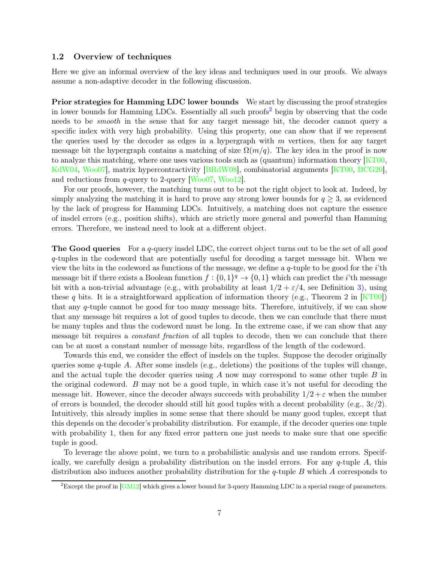### 1.2 Overview of techniques

Here we give an informal overview of the key ideas and techniques used in our proofs. We always assume a non-adaptive decoder in the following discussion.

Prior strategies for Hamming LDC lower bounds We start by discussing the proof strategies in lower bounds for Hamming LDCs. Essentially all such proofs [2](#page-7-0) begin by observing that the code needs to be smooth in the sense that for any target message bit, the decoder cannot query a specific index with very high probability. Using this property, one can show that if we represent the queries used by the decoder as edges in a hypergraph with  $m$  vertices, then for any target message bit the hypergraph contains a matching of size  $\Omega(m/q)$ . The key idea in the proof is now to analyze this matching, where one uses various tools such as (quantum) information theory  $KTO0$ , [KdW04,](#page-37-0) [Woo07\]](#page-39-3), matrix hypercontractivity [\[BRdW08\]](#page-35-5), combinatorial arguments [\[KT00,](#page-38-2) [BCG20\]](#page-34-4), and reductions from  $q$ -query to 2-query [ $Woo07$ ,  $Woo12$ ].

For our proofs, however, the matching turns out to be not the right object to look at. Indeed, by simply analyzing the matching it is hard to prove any strong lower bounds for  $q \geq 3$ , as evidenced by the lack of progress for Hamming LDCs. Intuitively, a matching does not capture the essence of insdel errors (e.g., position shifts), which are strictly more general and powerful than Hamming errors. Therefore, we instead need to look at a different object.

**The Good queries** For a q-query insdel LDC, the correct object turns out to be the set of all good q-tuples in the codeword that are potentially useful for decoding a target message bit. When we view the bits in the codeword as functions of the message, we define a  $q$ -tuple to be good for the i'th message bit if there exists a Boolean function  $f: \{0,1\}^q \to \{0,1\}$  which can predict the *i*'th message bit with a non-trivial advantage (e.g., with probability at least  $1/2 + \varepsilon/4$ , see Definition [3\)](#page-14-0), using these q bits. It is a straightforward application of information theory (e.g., Theorem 2 in  $KT00$ ) that any q-tuple cannot be good for too many message bits. Therefore, intuitively, if we can show that any message bit requires a lot of good tuples to decode, then we can conclude that there must be many tuples and thus the codeword must be long. In the extreme case, if we can show that any message bit requires a *constant fraction* of all tuples to decode, then we can conclude that there can be at most a constant number of message bits, regardless of the length of the codeword.

Towards this end, we consider the effect of insdels on the tuples. Suppose the decoder originally queries some  $q$ -tuple A. After some insdels (e.g., deletions) the positions of the tuples will change, and the actual tuple the decoder queries using  $A$  now may correspond to some other tuple  $B$  in the original codeword. B may not be a good tuple, in which case it's not useful for decoding the message bit. However, since the decoder always succeeds with probability  $1/2 + \varepsilon$  when the number of errors is bounded, the decoder should still hit good tuples with a decent probability (e.g.,  $3\varepsilon/2$ ). Intuitively, this already implies in some sense that there should be many good tuples, except that this depends on the decoder's probability distribution. For example, if the decoder queries one tuple with probability 1, then for any fixed error pattern one just needs to make sure that one specific tuple is good.

To leverage the above point, we turn to a probabilistic analysis and use random errors. Specifically, we carefully design a probability distribution on the insdel errors. For any  $q$ -tuple A, this distribution also induces another probability distribution for the  $q$ -tuple B which A corresponds to

<span id="page-7-0"></span><sup>&</sup>lt;sup>2</sup>Except the proof in  $[GM12]$  which gives a lower bound for 3-query Hamming LDC in a special range of parameters.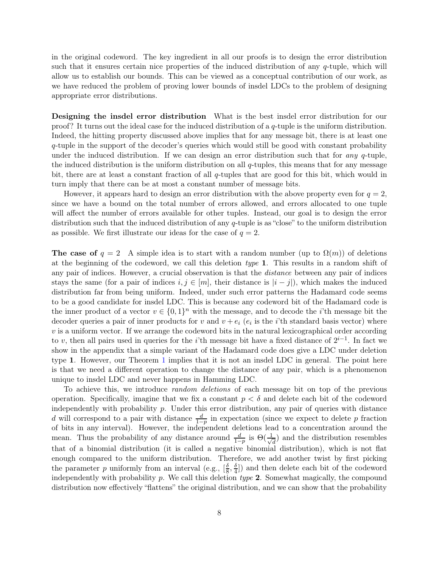in the original codeword. The key ingredient in all our proofs is to design the error distribution such that it ensures certain nice properties of the induced distribution of any  $q$ -tuple, which will allow us to establish our bounds. This can be viewed as a conceptual contribution of our work, as we have reduced the problem of proving lower bounds of insdel LDCs to the problem of designing appropriate error distributions.

Designing the insdel error distribution What is the best insdel error distribution for our proof? It turns out the ideal case for the induced distribution of a q-tuple is the uniform distribution. Indeed, the hitting property discussed above implies that for any message bit, there is at least one q-tuple in the support of the decoder's queries which would still be good with constant probability under the induced distribution. If we can design an error distribution such that for *any*  $q$ -tuple, the induced distribution is the uniform distribution on all  $q$ -tuples, this means that for any message bit, there are at least a constant fraction of all q-tuples that are good for this bit, which would in turn imply that there can be at most a constant number of message bits.

However, it appears hard to design an error distribution with the above property even for  $q = 2$ , since we have a bound on the total number of errors allowed, and errors allocated to one tuple will affect the number of errors available for other tuples. Instead, our goal is to design the error distribution such that the induced distribution of any q-tuple is as "close" to the uniform distribution as possible. We first illustrate our ideas for the case of  $q=2$ .

The case of  $q = 2$  A simple idea is to start with a random number (up to  $\Omega(m)$ ) of deletions at the beginning of the codeword, we call this deletion type 1. This results in a random shift of any pair of indices. However, a crucial observation is that the distance between any pair of indices stays the same (for a pair of indices  $i, j \in [m]$ , their distance is  $|i - j|$ ), which makes the induced distribution far from being uniform. Indeed, under such error patterns the Hadamard code seems to be a good candidate for insdel LDC. This is because any codeword bit of the Hadamard code is the inner product of a vector  $v \in \{0,1\}^n$  with the message, and to decode the *i*'th message bit the decoder queries a pair of inner products for v and  $v + e_i$  ( $e_i$  is the *i*'th standard basis vector) where  $v$  is a uniform vector. If we arrange the codeword bits in the natural lexicographical order according to v, then all pairs used in queries for the *i*'th message bit have a fixed distance of  $2^{i-1}$ . In fact we show in the appendix that a simple variant of the Hadamard code does give a LDC under deletion type 1. However, our Theorem [1](#page-4-0) implies that it is not an insdel LDC in general. The point here is that we need a different operation to change the distance of any pair, which is a phenomenon unique to insdel LDC and never happens in Hamming LDC.

To achieve this, we introduce random deletions of each message bit on top of the previous operation. Specifically, imagine that we fix a constant  $p < \delta$  and delete each bit of the codeword independently with probability p. Under this error distribution, any pair of queries with distance d will correspond to a pair with distance  $\frac{d}{1-p}$  in expectation (since we expect to delete p fraction of bits in any interval). However, the independent deletions lead to a concentration around the mean. Thus the probability of any distance around  $\frac{d}{1-p}$  is  $\Theta(\frac{1}{\sqrt{p}})$  $\frac{1}{d}$ ) and the distribution resembles that of a binomial distribution (it is called a negative binomial distribution), which is not flat enough compared to the uniform distribution. Therefore, we add another twist by first picking the parameter p uniformly from an interval (e.g.,  $\left[\frac{\delta}{8}\right]$  $\frac{\delta}{8}, \frac{\delta}{4}$  $\frac{6}{4}$ ) and then delete each bit of the codeword independently with probability p. We call this deletion type  $2$ . Somewhat magically, the compound distribution now effectively "flattens" the original distribution, and we can show that the probability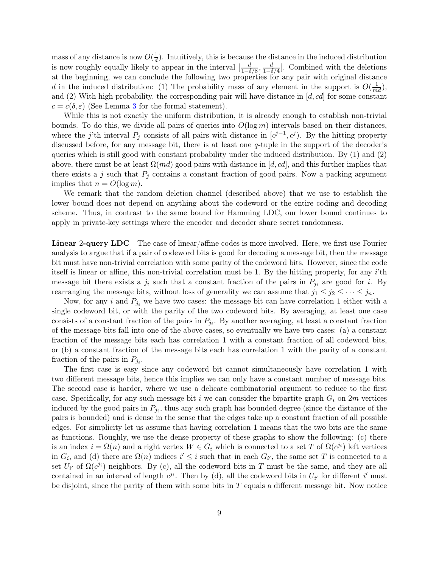mass of any distance is now  $O(\frac{1}{d})$  $\frac{1}{d}$ ). Intuitively, this is because the distance in the induced distribution is now roughly equally likely to appear in the interval  $\left[\frac{d}{1-\delta}\right]$  $\frac{d}{1-\delta/8}, \frac{d}{1-\delta}$  $\frac{d}{1-\delta/4}$ . Combined with the deletions at the beginning, we can conclude the following two properties for any pair with original distance d in the induced distribution: (1) The probability mass of any element in the support is  $O(\frac{1}{md})$ , and (2) With high probability, the corresponding pair will have distance in  $[d, cd]$  for some constant  $c = c(\delta, \varepsilon)$  (See Lemma [3](#page-17-0) for the formal statement).

While this is not exactly the uniform distribution, it is already enough to establish non-trivial bounds. To do this, we divide all pairs of queries into  $O(\log m)$  intervals based on their distances, where the j'th interval  $P_j$  consists of all pairs with distance in  $[c^{j-1}, c^j)$ . By the hitting property discussed before, for any message bit, there is at least one q-tuple in the support of the decoder's queries which is still good with constant probability under the induced distribution. By (1) and (2) above, there must be at least  $\Omega(md)$  good pairs with distance in [d, cd], and this further implies that there exists a j such that  $P_i$  contains a constant fraction of good pairs. Now a packing argument implies that  $n = O(\log m)$ .

We remark that the random deletion channel (described above) that we use to establish the lower bound does not depend on anything about the codeword or the entire coding and decoding scheme. Thus, in contrast to the same bound for Hamming LDC, our lower bound continues to apply in private-key settings where the encoder and decoder share secret randomness.

Linear 2-query LDC The case of linear/affine codes is more involved. Here, we first use Fourier analysis to argue that if a pair of codeword bits is good for decoding a message bit, then the message bit must have non-trivial correlation with some parity of the codeword bits. However, since the code itself is linear or affine, this non-trivial correlation must be 1. By the hitting property, for any i'th message bit there exists a  $j_i$  such that a constant fraction of the pairs in  $P_{j_i}$  are good for i. By rearranging the message bits, without loss of generality we can assume that  $j_1 \leq j_2 \leq \cdots \leq j_n$ .

Now, for any i and  $P_{i}$  we have two cases: the message bit can have correlation 1 either with a single codeword bit, or with the parity of the two codeword bits. By averaging, at least one case consists of a constant fraction of the pairs in  $P_{j_i}$ . By another averaging, at least a constant fraction of the message bits fall into one of the above cases, so eventually we have two cases: (a) a constant fraction of the message bits each has correlation 1 with a constant fraction of all codeword bits, or (b) a constant fraction of the message bits each has correlation 1 with the parity of a constant fraction of the pairs in  $P_{j_i}$ .

The first case is easy since any codeword bit cannot simultaneously have correlation 1 with two different message bits, hence this implies we can only have a constant number of message bits. The second case is harder, where we use a delicate combinatorial argument to reduce to the first case. Specifically, for any such message bit i we can consider the bipartite graph  $G_i$  on  $2m$  vertices induced by the good pairs in  $P_{j_i}$ , thus any such graph has bounded degree (since the distance of the pairs is bounded) and is dense in the sense that the edges take up a constant fraction of all possible edges. For simplicity let us assume that having correlation 1 means that the two bits are the same as functions. Roughly, we use the dense property of these graphs to show the following: (c) there is an index  $i = \Omega(n)$  and a right vertex  $W \in G_i$  which is connected to a set T of  $\Omega(c^{j_i})$  left vertices in  $G_i$ , and (d) there are  $\Omega(n)$  indices  $i' \leq i$  such that in each  $G_{i'}$ , the same set T is connected to a set  $U_{i'}$  of  $\Omega(c^{j_i})$  neighbors. By (c), all the codeword bits in T must be the same, and they are all contained in an interval of length  $c^{j_i}$ . Then by (d), all the codeword bits in  $U_{i'}$  for different i' must be disjoint, since the parity of them with some bits in  $T$  equals a different message bit. Now notice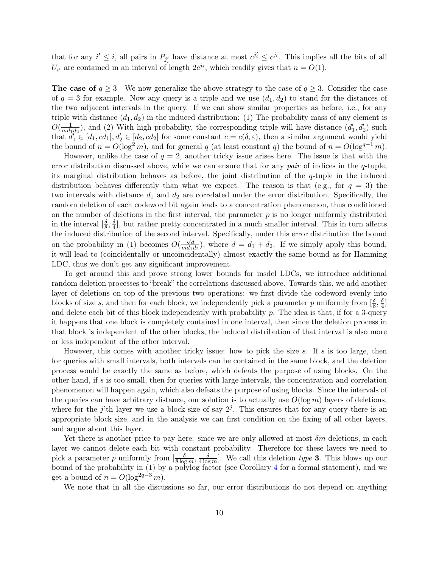that for any  $i' \leq i$ , all pairs in  $P_{j'_i}$  have distance at most  $c^{j'_i} \leq c^{j_i}$ . This implies all the bits of all  $U_{i'}$  are contained in an interval of length  $2c^{j_i}$ , which readily gives that  $n = O(1)$ .

The case of  $q \geq 3$  We now generalize the above strategy to the case of  $q \geq 3$ . Consider the case of  $q = 3$  for example. Now any query is a triple and we use  $(d_1, d_2)$  to stand for the distances of the two adjacent intervals in the query. If we can show similar properties as before, i.e., for any triple with distance  $(d_1, d_2)$  in the induced distribution: (1) The probability mass of any element is  $O(\frac{1}{md_1})$  $\frac{1}{md_1d_2}$ , and (2) With high probability, the corresponding triple will have distance  $(d'_1, d'_2)$  such that  $d'_1 \in [d_1, cd_1], d'_2 \in [d_2, cd_2]$  for some constant  $c = c(\delta, \varepsilon)$ , then a similar argument would yield the bound of  $n = O(\log^2 m)$ , and for general q (at least constant q) the bound of  $n = O(\log^{q-1} m)$ .

However, unlike the case of  $q = 2$ , another tricky issue arises here. The issue is that with the error distribution discussed above, while we can ensure that for any pair of indices in the  $q$ -tuple, its marginal distribution behaves as before, the joint distribution of the  $q$ -tuple in the induced distribution behaves differently than what we expect. The reason is that (e.g., for  $q = 3$ ) the two intervals with distance  $d_1$  and  $d_2$  are correlated under the error distribution. Specifically, the random deletion of each codeword bit again leads to a concentration phenomenon, thus conditioned on the number of deletions in the first interval, the parameter  $p$  is no longer uniformly distributed in the interval  $\left[\frac{\delta}{8}, \frac{\delta}{4}\right]$ , but rather pretty concentrated in a much smaller interval. This in turn affects  $\frac{1}{8}$  the induced distribution of the second interval. Specifically, under this error distribution the bound on the probability in (1) becomes  $O(\frac{\sqrt{d}}{md_1})$  $\frac{\sqrt{d}}{md_1d_2}$ , where  $d = d_1 + d_2$ . If we simply apply this bound, it will lead to (coincidentally or uncoincidentally) almost exactly the same bound as for Hamming LDC, thus we don't get any significant improvement.

To get around this and prove strong lower bounds for insdel LDCs, we introduce additional random deletion processes to "break" the correlations discussed above. Towards this, we add another layer of deletions on top of the previous two operations: we first divide the codeword evenly into blocks of size s, and then for each block, we independently pick a parameter p uniformly from  $\left[\frac{\delta}{8}\right]$  $\frac{\delta}{8}, \frac{\delta}{4}$  $\frac{6}{4}$ ] and delete each bit of this block independently with probability  $p$ . The idea is that, if for a 3-query it happens that one block is completely contained in one interval, then since the deletion process in that block is independent of the other blocks, the induced distribution of that interval is also more or less independent of the other interval.

However, this comes with another tricky issue: how to pick the size s. If s is too large, then for queries with small intervals, both intervals can be contained in the same block, and the deletion process would be exactly the same as before, which defeats the purpose of using blocks. On the other hand, if s is too small, then for queries with large intervals, the concentration and correlation phenomenon will happen again, which also defeats the purpose of using blocks. Since the intervals of the queries can have arbitrary distance, our solution is to actually use  $O(\log m)$  layers of deletions, where for the j'th layer we use a block size of say  $2<sup>j</sup>$ . This ensures that for any query there is an appropriate block size, and in the analysis we can first condition on the fixing of all other layers, and argue about this layer.

Yet there is another price to pay here: since we are only allowed at most  $\delta m$  deletions, in each layer we cannot delete each bit with constant probability. Therefore for these layers we need to pick a parameter p uniformly from  $\left[\frac{\delta}{8 \log m}, \frac{\delta}{4 \log m}\right]$ . We call this deletion type 3. This blows up our bound of the probability in (1) by a polylog factor (see Corollary [4](#page-27-0) for a formal statement), and we get a bound of  $n = O(\log^{2q-3} m)$ .

We note that in all the discussions so far, our error distributions do not depend on anything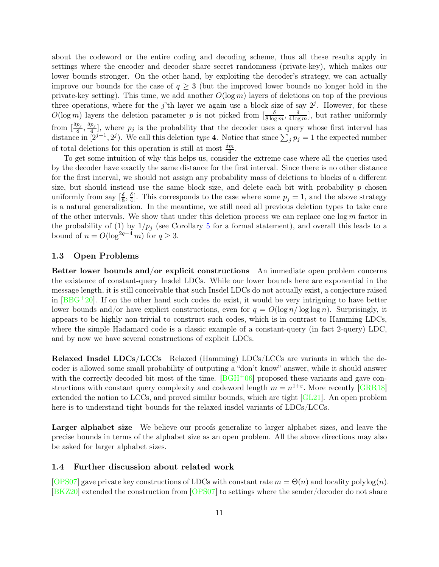about the codeword or the entire coding and decoding scheme, thus all these results apply in settings where the encoder and decoder share secret randomness (private-key), which makes our lower bounds stronger. On the other hand, by exploiting the decoder's strategy, we can actually improve our bounds for the case of  $q \geq 3$  (but the improved lower bounds no longer hold in the private-key setting). This time, we add another  $O(\log m)$  layers of deletions on top of the previous three operations, where for the j'th layer we again use a block size of say  $2<sup>j</sup>$ . However, for these  $O(\log m)$  layers the deletion parameter p is not picked from  $\left[\frac{\delta}{8 \log m}, \frac{\delta}{4 \log m}\right]$ , but rather uniformly from  $\left[\frac{\delta p_j}{8}\right]$  $\frac{p_j}{8}, \frac{\delta p_j}{4}$  $\frac{p_j}{4}$ , where  $p_j$  is the probability that the decoder uses a query whose first interval has distance in  $[2^{j-1}, 2^j)$ . We call this deletion type 4. Notice that since  $\sum_j p_j = 1$  the expected number of total deletions for this operation is still at most  $\frac{\delta m}{4}$ .

To get some intuition of why this helps us, consider the extreme case where all the queries used by the decoder have exactly the same distance for the first interval. Since there is no other distance for the first interval, we should not assign any probability mass of deletions to blocks of a different size, but should instead use the same block size, and delete each bit with probability  $p$  chosen uniformly from say  $\left[\frac{\delta}{8}\right]$  $\frac{\delta}{8}, \frac{\delta}{4}$  $\frac{\delta}{4}$ . This corresponds to the case where some  $p_j = 1$ , and the above strategy is a natural generalization. In the meantime, we still need all previous deletion types to take care of the other intervals. We show that under this deletion process we can replace one  $\log m$  factor in the probability of (1) by  $1/p_j$  (see Corollary [5](#page-27-1) for a formal statement), and overall this leads to a bound of  $n = O(\log^{2q-4} m)$  for  $q \geq 3$ .

### 1.3 Open Problems

Better lower bounds and/or explicit constructions An immediate open problem concerns the existence of constant-query Insdel LDCs. While our lower bounds here are exponential in the message length, it is still conceivable that such Insdel LDCs do not actually exist, a conjecture raised in  $[BBG^+20]$ . If on the other hand such codes do exist, it would be very intriguing to have better lower bounds and/or have explicit constructions, even for  $q = O(\log n / \log \log n)$ . Surprisingly, it appears to be highly non-trivial to construct such codes, which is in contrast to Hamming LDCs, where the simple Hadamard code is a classic example of a constant-query (in fact 2-query) LDC, and by now we have several constructions of explicit LDCs.

Relaxed Insdel LDCs/LCCs Relaxed (Hamming) LDCs/LCCs are variants in which the decoder is allowed some small probability of outputing a "don't know" answer, while it should answer with the correctly decoded bit most of the time.  $[BGH<sup>+</sup>06]$  proposed these variants and gave constructions with constant query complexity and codeword length  $m = n^{1+\varepsilon}$ . More recently [\[GRR18\]](#page-36-12) extended the notion to LCCs, and proved similar bounds, which are tight [\[GL21\]](#page-36-13). An open problem here is to understand tight bounds for the relaxed insdel variants of LDCs/LCCs.

Larger alphabet size We believe our proofs generalize to larger alphabet sizes, and leave the precise bounds in terms of the alphabet size as an open problem. All the above directions may also be asked for larger alphabet sizes.

### 1.4 Further discussion about related work

[\[OPS07\]](#page-38-7) gave private key constructions of LDCs with constant rate  $m = \Theta(n)$  and locality polylog $(n)$ . [\[BKZ20\]](#page-35-13) extended the construction from [\[OPS07\]](#page-38-7) to settings where the sender/decoder do not share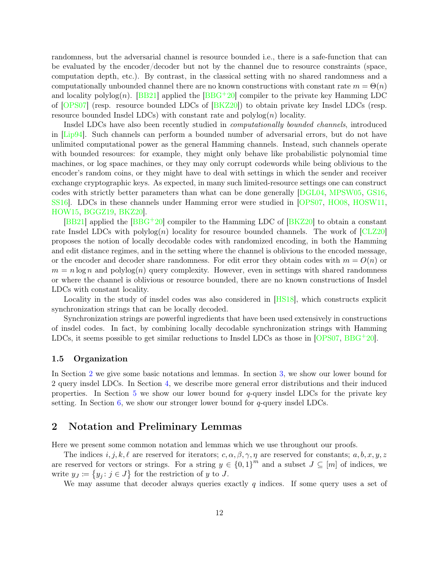randomness, but the adversarial channel is resource bounded i.e., there is a safe-function that can be evaluated by the encoder/decoder but not by the channel due to resource constraints (space, computation depth, etc.). By contrast, in the classical setting with no shared randomness and a computationally unbounded channel there are no known constructions with constant rate  $m = \Theta(n)$ and locality polylog(n). [\[BB21\]](#page-34-6) applied the [\[BBG](#page-34-5)+20] compiler to the private key Hamming LDC of [\[OPS07\]](#page-38-7) (resp. resource bounded LDCs of [\[BKZ20\]](#page-35-13)) to obtain private key Insdel LDCs (resp. resource bounded Insdel LDCs) with constant rate and  $\text{polylog}(n)$  locality.

Insdel LDCs have also been recently studied in computationally bounded channels, introduced in [\[Lip94\]](#page-38-6). Such channels can perform a bounded number of adversarial errors, but do not have unlimited computational power as the general Hamming channels. Instead, such channels operate with bounded resources: for example, they might only behave like probabilistic polynomial time machines, or log space machines, or they may only corrupt codewords while being oblivious to the encoder's random coins, or they might have to deal with settings in which the sender and receiver exchange cryptographic keys. As expected, in many such limited-resource settings one can construct codes with strictly better parameters than what can be done generally [\[DGL04,](#page-36-14) [MPSW05,](#page-38-13) [GS16,](#page-37-10) [SS16\]](#page-39-9). LDCs in these channels under Hamming error were studied in [\[OPS07,](#page-38-7) [HO08,](#page-37-11) [HOSW11,](#page-37-12) [HOW15,](#page-37-13) [BGGZ19,](#page-34-7) [BKZ20\]](#page-35-13).

[\[BB21\]](#page-34-6) applied the  $[BBG^+20]$  compiler to the Hamming LDC of  $[BKZ20]$  to obtain a constant rate Insdel LDCs with  $\text{polylog}(n)$  locality for resource bounded channels. The work of [\[CLZ20\]](#page-36-9) proposes the notion of locally decodable codes with randomized encoding, in both the Hamming and edit distance regimes, and in the setting where the channel is oblivious to the encoded message, or the encoder and decoder share randomness. For edit error they obtain codes with  $m = O(n)$  or  $m = n \log n$  and polylog(n) query complexity. However, even in settings with shared randomness or where the channel is oblivious or resource bounded, there are no known constructions of Insdel LDCs with constant locality.

Locality in the study of insdel codes was also considered in [\[HS18\]](#page-37-6), which constructs explicit synchronization strings that can be locally decoded.

Synchronization strings are powerful ingredients that have been used extensively in constructions of insdel codes. In fact, by combining locally decodable synchronization strings with Hamming LDCs, it seems possible to get similar reductions to Insdel LDCs as those in [\[OPS07,](#page-38-7) [BBG](#page-34-5)+20].

### 1.5 Organization

In Section [2](#page-12-0) we give some basic notations and lemmas. In section [3,](#page-16-0) we show our lower bound for 2 query insdel LDCs. In Section [4,](#page-22-0) we describe more general error distributions and their induced properties. In Section [5](#page-28-0) we show our lower bound for  $q$ -query insdel LDCs for the private key setting. In Section  $6$ , we show our stronger lower bound for  $q$ -query insdel LDCs.

## <span id="page-12-0"></span>2 Notation and Preliminary Lemmas

Here we present some common notation and lemmas which we use throughout our proofs.

The indices  $i, j, k, \ell$  are reserved for iterators;  $c, \alpha, \beta, \gamma, \eta$  are reserved for constants;  $a, b, x, y, z$ are reserved for vectors or strings. For a string  $y \in \{0,1\}^m$  and a subset  $J \subseteq [m]$  of indices, we write  $y_J \coloneqq \{y_j : j \in J\}$  for the restriction of y to J.

We may assume that decoder always queries exactly  $q$  indices. If some query uses a set of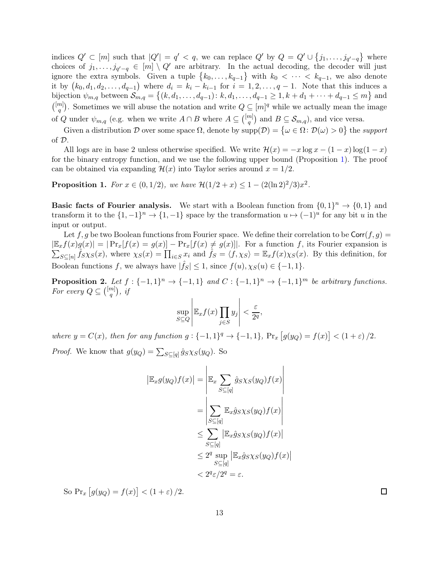indices  $Q' \subset [m]$  such that  $|Q'| = q' < q$ , we can replace  $Q'$  by  $Q = Q' \cup \{j_1, \ldots, j_{q'-q}\}$  where choices of  $j_1, \ldots, j_{q'-q} \in [m] \setminus Q'$  are arbitrary. In the actual decoding, the decoder will just ignore the extra symbols. Given a tuple  $\{k_0, \ldots, k_{q-1}\}$  with  $k_0 < \cdots < k_{q-1}$ , we also denote it by  $(k_0, d_1, d_2, \ldots, d_{q-1})$  where  $d_i = k_i - k_{i-1}$  for  $i = 1, 2, \ldots, q-1$ . Note that this induces a bijection  $\psi_{m,q}$  between  $\mathcal{S}_{m,q} = \{(k, d_1, \ldots, d_{q-1}) : k, d_1, \ldots, d_{q-1} \geq 1, k + d_1 + \cdots + d_{q-1} \leq m\}$  and  $\binom{[m]}{[m]}$  $\binom{m}{q}$ . Sometimes we will abuse the notation and write  $Q \subseteq [m]^q$  while we actually mean the image of Q under  $\psi_{m,q}$  (e.g. when we write  $A \cap B$  where  $A \subseteq \binom{[m]}{q}$  $\binom{m}{q}$  and  $B \subseteq S_{m,q}$ , and vice versa.

Given a distribution D over some space  $\Omega$ , denote by  $\text{supp}(\mathcal{D}) = \{ \omega \in \Omega : \mathcal{D}(\omega) > 0 \}$  the support of D.

All logs are in base 2 unless otherwise specified. We write  $\mathcal{H}(x) = -x \log x - (1-x) \log(1-x)$ for the binary entropy function, and we use the following upper bound (Proposition [1\)](#page-13-0). The proof can be obtained via expanding  $\mathcal{H}(x)$  into Taylor series around  $x = 1/2$ .

<span id="page-13-0"></span>**Proposition 1.** For  $x \in (0, 1/2)$ , we have  $\mathcal{H}(1/2 + x) \leq 1 - (2(\ln 2)^2/3)x^2$ .

**Basic facts of Fourier analysis.** We start with a Boolean function from  $\{0,1\}^n \to \{0,1\}$  and transform it to the  $\{1, -1\}^n \to \{1, -1\}$  space by the transformation  $u \mapsto (-1)^u$  for any bit u in the input or output.

Let f, g be two Boolean functions from Fourier space. We define their correlation to be  $\text{Corr}(f, g)$  $|\mathbb{E}_x f(x)g(x)| = |\Pr_x[f(x) = g(x)] - \Pr_x[f(x) \neq g(x)]|$ . For a function f, its Fourier expansion is  $\sum_{S \subseteq [n]} \hat{f}_{S} \chi_{S}(x)$ , where  $\chi_{S}(x) = \prod_{i \in S} x_i$  and  $\hat{f}_{S} = \langle f, \chi_{S} \rangle = \mathbb{E}_x f(x) \chi_{S}(x)$ . By this definition, for Boolean functions f, we always have  $|\hat{f}_S| \leq 1$ , since  $f(u), \chi_S(u) \in \{-1, 1\}$ .

<span id="page-13-1"></span>**Proposition 2.** Let  $f: \{-1,1\}^n \to \{-1,1\}$  and  $C: \{-1,1\}^n \to \{-1,1\}^m$  be arbitrary functions. For every  $Q \subseteq \binom{[m]}{q}$  $_{q}^{m]}),\;i\!f$ 

$$
\sup_{S \subseteq Q} \left| \mathbb{E}_x f(x) \prod_{j \in S} y_j \right| < \frac{\varepsilon}{2^q},
$$

where  $y = C(x)$ , then for any function  $g: \{-1, 1\}^q \to \{-1, 1\}$ ,  $Pr_x [g(y_Q) = f(x)] < (1 + \varepsilon)/2$ .

*Proof.* We know that  $g(y_Q) = \sum_{S \subseteq [q]} \hat{g}_S \chi_S(y_Q)$ . So

$$
|\mathbb{E}_x g(y_Q)f(x)| = \left| \mathbb{E}_x \sum_{S \subseteq [q]} \hat{g}_S \chi_S(y_Q) f(x) \right|
$$
  
\n
$$
= \left| \sum_{S \subseteq [q]} \mathbb{E}_x \hat{g}_S \chi_S(y_Q) f(x) \right|
$$
  
\n
$$
\leq \sum_{S \subseteq [q]} |\mathbb{E}_x \hat{g}_S \chi_S(y_Q) f(x)|
$$
  
\n
$$
\leq 2^q \sup_{S \subseteq [q]} |\mathbb{E}_x \hat{g}_S \chi_S(y_Q) f(x)|
$$
  
\n
$$
< 2^q \varepsilon / 2^q = \varepsilon.
$$

So  $Pr_x [g(y_Q) = f(x)] < (1 + \varepsilon)/2.$ 

 $\Box$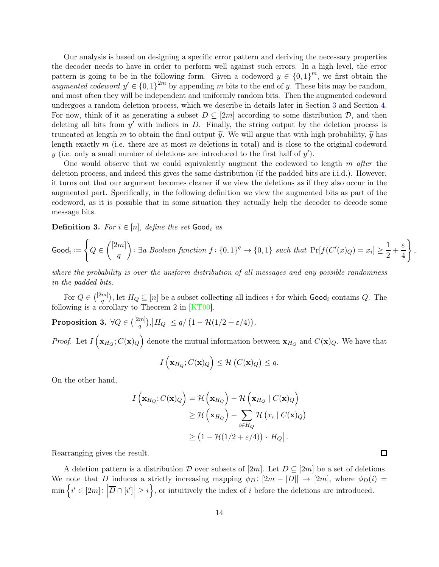Our analysis is based on designing a specific error pattern and deriving the necessary properties the decoder needs to have in order to perform well against such errors. In a high level, the error pattern is going to be in the following form. Given a codeword  $y \in \{0,1\}^m$ , we first obtain the augmented codeword  $y' \in \{0,1\}^{2m}$  by appending m bits to the end of y. These bits may be random, and most often they will be independent and uniformly random bits. Then the augmented codeword undergoes a random deletion process, which we describe in details later in Section [3](#page-16-0) and Section [4.](#page-22-0) For now, think of it as generating a subset  $D \subseteq [2m]$  according to some distribution  $D$ , and then deleting all bits from  $y'$  with indices in D. Finally, the string output by the deletion process is truncated at length m to obtain the final output  $\tilde{y}$ . We will argue that with high probability,  $\tilde{y}$  has length exactly  $m$  (i.e. there are at most  $m$  deletions in total) and is close to the original codeword y (i.e. only a small number of deletions are introduced to the first half of  $y'$ ).

One would observe that we could equivalently augment the codeword to length  $m$  after the deletion process, and indeed this gives the same distribution (if the padded bits are i.i.d.). However, it turns out that our argument becomes cleaner if we view the deletions as if they also occur in the augmented part. Specifically, in the following definition we view the augmented bits as part of the codeword, as it is possible that in some situation they actually help the decoder to decode some message bits.

<span id="page-14-0"></span>**Definition 3.** For  $i \in [n]$ , define the set Good<sub>i</sub> as

$$
\text{Good}_i \coloneqq \left\{ Q \in \binom{[2m]}{q} \colon \exists a \; Boolean \; function \; f \colon \{0,1\}^q \to \{0,1\} \; such \; that \; \Pr[f(C'(x)_Q) = x_i] \geq \frac{1}{2} + \frac{\varepsilon}{4} \right\},
$$

where the probability is over the uniform distribution of all messages and any possible randomness in the padded bits.

For  $Q \in {\binom{[2m]}{q}}$  $\binom{m}{q}$ , let  $H_Q \subseteq [n]$  be a subset collecting all indices i for which  $\textsf{Good}_i$  contains Q. The following is a corollary to Theorem 2 in  $[KT00]$ .

<span id="page-14-1"></span> $\textbf{Proposition 3.}\,\, \forall Q\in \binom{[2m]}{q}$  $\left| \begin{array}{c} m\\ q \end{array} \right|$ ,  $\left|H_Q\right| \leq q/\left(1-\mathcal{H}(1/2+\varepsilon/4)\right)$ .

*Proof.* Let  $I(\mathbf{x}_{H_Q}; C(\mathbf{x})_Q)$  denote the mutual information between  $\mathbf{x}_{H_Q}$  and  $C(\mathbf{x})_Q$ . We have that

$$
I\left(\mathbf{x}_{H_Q}; C(\mathbf{x})_Q\right) \leq \mathcal{H}\left(C(\mathbf{x})_Q\right) \leq q.
$$

On the other hand,

$$
I\left(\mathbf{x}_{H_Q}; C(\mathbf{x})_Q\right) = \mathcal{H}\left(\mathbf{x}_{H_Q}\right) - \mathcal{H}\left(\mathbf{x}_{H_Q} \mid C(\mathbf{x})_Q\right)
$$
  
\n
$$
\geq \mathcal{H}\left(\mathbf{x}_{H_Q}\right) - \sum_{i \in H_Q} \mathcal{H}\left(x_i \mid C(\mathbf{x})_Q\right)
$$
  
\n
$$
\geq \left(1 - \mathcal{H}\left(\frac{1}{2} + \varepsilon/4\right)\right) \cdot \left|H_Q\right|.
$$

Rearranging gives the result.

A deletion pattern is a distribution D over subsets of  $[2m]$ . Let  $D \subseteq [2m]$  be a set of deletions. We note that D induces a strictly increasing mapping  $\phi_D : [2m - |D|] \rightarrow [2m]$ , where  $\phi_D(i)$  $\min\left\{i' \in [2m] : \left|\overline{D} \cap [i']\right| \geq i\right\}$ , or intuitively the index of i before the deletions are introduced.

 $\Box$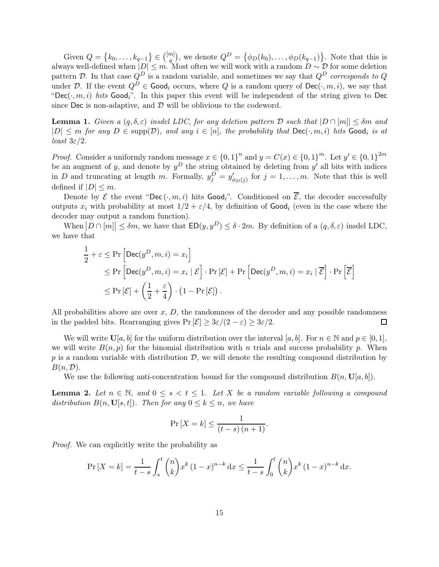Given  $Q = \{k_0, ..., k_{q-1}\} \in \binom{[m]}{q}$  $\binom{m}{q}$ , we denote  $Q^D = \{\phi_D(k_0), \ldots, \phi_D(k_{q-1})\}$ . Note that this is always well-defined when  $|D| \leq m$ . Most often we will work with a random  $D \sim \mathcal{D}$  for some deletion pattern D. In that case  $Q^D$  is a random variable, and sometimes we say that  $Q^D$  corresponds to Q under D. If the event  $Q^D \in \mathsf{Good}_i$  occurs, where Q is a random query of  $\mathsf{Dec}(\cdot, m, i)$ , we say that "Dec $(\cdot, m, i)$  hits Good<sub>i</sub>". In this paper this event will be independent of the string given to Dec since Dec is non-adaptive, and  $\mathcal D$  will be oblivious to the codeword.

<span id="page-15-0"></span>**Lemma 1.** Given a  $(q, \delta, \varepsilon)$  insdel LDC, for any deletion pattern  $D$  such that  $|D \cap [m]| \leq \delta m$  and  $|D| \leq m$  for any  $D \in \text{supp}(\mathcal{D})$ , and any  $i \in [n]$ , the probability that  $\text{Dec}(\cdot, m, i)$  hits  $\text{Good}_i$  is at least  $3\varepsilon/2$ .

*Proof.* Consider a uniformly random message  $x \in \{0,1\}^n$  and  $y = C(x) \in \{0,1\}^m$ . Let  $y' \in \{0,1\}^{2m}$ be an augment of y, and denote by  $y^D$  the string obtained by deleting from y' all bits with indices in D and truncating at length m. Formally,  $y_j^D = y'_{\phi_D(j)}$  for  $j = 1, ..., m$ . Note that this is well defined if  $|D| \leq m$ .

Denote by  $\mathcal E$  the event "Dec  $(\cdot, m, i)$  hits Good<sub>i</sub>". Conditioned on  $\overline{\mathcal E}$ , the decoder successfully outputs  $x_i$  with probability at most  $1/2 + \varepsilon/4$ , by definition of **Good**<sub>i</sub> (even in the case where the decoder may output a random function).

When  $|D \cap [m]| \leq \delta m$ , we have that  $ED(y, y^D) \leq \delta \cdot 2m$ . By definition of a  $(q, \delta, \varepsilon)$  insdel LDC, we have that

$$
\frac{1}{2} + \varepsilon \leq \Pr\left[\text{Dec}(y^D, m, i) = x_i\right] \n\leq \Pr\left[\text{Dec}(y^D, m, i) = x_i \mid \mathcal{E}\right] \cdot \Pr\left[\mathcal{E}\right] + \Pr\left[\text{Dec}(y^D, m, i) = x_i \mid \overline{\mathcal{E}}\right] \cdot \Pr\left[\overline{\mathcal{E}}\right] \n\leq \Pr\left[\mathcal{E}\right] + \left(\frac{1}{2} + \frac{\varepsilon}{4}\right) \cdot \left(1 - \Pr\left[\mathcal{E}\right]\right).
$$

All probabilities above are over  $x, D$ , the randomness of the decoder and any possible randomness in the padded bits. Rearranging gives  $Pr[\mathcal{E}] \geq 3\varepsilon/(2-\varepsilon) \geq 3\varepsilon/2$ .  $\Box$ 

We will write  $\mathbf{U}[a, b]$  for the uniform distribution over the interval  $[a, b]$ . For  $n \in \mathbb{N}$  and  $p \in [0, 1]$ , we will write  $B(n, p)$  for the binomial distribution with n trials and success probability p. When p is a random variable with distribution  $\mathcal{D}$ , we will denote the resulting compound distribution by  $B(n, \mathcal{D}).$ 

We use the following anti-concentration bound for the compound distribution  $B(n, U|a, b)$ .

<span id="page-15-1"></span>**Lemma 2.** Let  $n \in \mathbb{N}$ , and  $0 \leq s < t \leq 1$ . Let X be a random variable following a compound distribution  $B(n, \mathbf{U}[s, t])$ . Then for any  $0 \leq k \leq n$ , we have

$$
\Pr\left[X = k\right] \le \frac{1}{(t-s)\,(n+1)}.
$$

Proof. We can explicitly write the probability as

$$
\Pr\left[X = k\right] = \frac{1}{t-s} \int_{s}^{t} \binom{n}{k} x^{k} (1-x)^{n-k} \, \mathrm{d}x \le \frac{1}{t-s} \int_{0}^{t} \binom{n}{k} x^{k} (1-x)^{n-k} \, \mathrm{d}x.
$$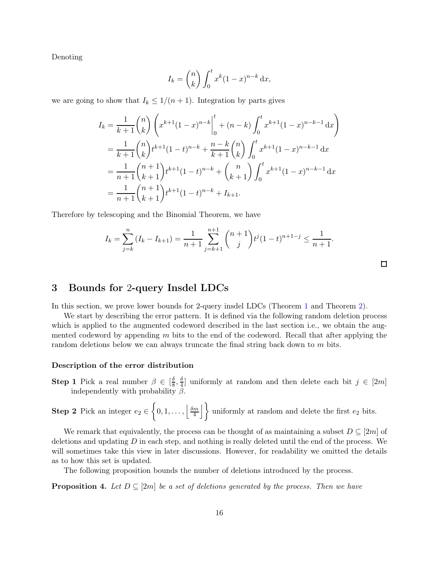Denoting

$$
I_k = \binom{n}{k} \int_0^t x^k (1-x)^{n-k} \, \mathrm{d}x,
$$

we are going to show that  $I_k \leq 1/(n+1)$ . Integration by parts gives

$$
I_k = \frac{1}{k+1} \binom{n}{k} \left( x^{k+1} (1-x)^{n-k} \Big|_0^t + (n-k) \int_0^t x^{k+1} (1-x)^{n-k-1} dx \right)
$$
  
= 
$$
\frac{1}{k+1} \binom{n}{k} t^{k+1} (1-t)^{n-k} + \frac{n-k}{k+1} \binom{n}{k} \int_0^t x^{k+1} (1-x)^{n-k-1} dx
$$
  
= 
$$
\frac{1}{n+1} \binom{n+1}{k+1} t^{k+1} (1-t)^{n-k} + \binom{n}{k+1} \int_0^t x^{k+1} (1-x)^{n-k-1} dx
$$
  
= 
$$
\frac{1}{n+1} \binom{n+1}{k+1} t^{k+1} (1-t)^{n-k} + I_{k+1}.
$$

Therefore by telescoping and the Binomial Theorem, we have

$$
I_k = \sum_{j=k}^n (I_k - I_{k+1}) = \frac{1}{n+1} \sum_{j=k+1}^{n+1} {n+1 \choose j} t^j (1-t)^{n+1-j} \le \frac{1}{n+1}.
$$

### <span id="page-16-0"></span>3 Bounds for 2-query Insdel LDCs

In this section, we prove lower bounds for 2-query insdel LDCs (Theorem [1](#page-4-0) and Theorem [2\)](#page-4-1).

We start by describing the error pattern. It is defined via the following random deletion process which is applied to the augmented codeword described in the last section i.e., we obtain the augmented codeword by appending m bits to the end of the codeword. Recall that after applying the random deletions below we can always truncate the final string back down to  $m$  bits.

### Description of the error distribution

**Step 1** Pick a real number  $\beta \in \left[\frac{\delta}{8}\right]$  $\frac{\delta}{8}, \frac{\delta}{4}$  $\frac{q}{4}$ ] uniformly at random and then delete each bit  $j \in [2m]$ independently with probability  $\beta$ .

**Step 2** Pick an integer 
$$
e_2 \in \left\{0, 1, ..., \left\lfloor \frac{\delta m}{4} \right\rfloor \right\}
$$
 uniformly at random and delete the first  $e_2$  bits.

We remark that equivalently, the process can be thought of as maintaining a subset  $D \subseteq [2m]$  of deletions and updating  $D$  in each step, and nothing is really deleted until the end of the process. We will sometimes take this view in later discussions. However, for readability we omitted the details as to how this set is updated.

The following proposition bounds the number of deletions introduced by the process.

<span id="page-16-1"></span>**Proposition 4.** Let  $D \subseteq [2m]$  be a set of deletions generated by the process. Then we have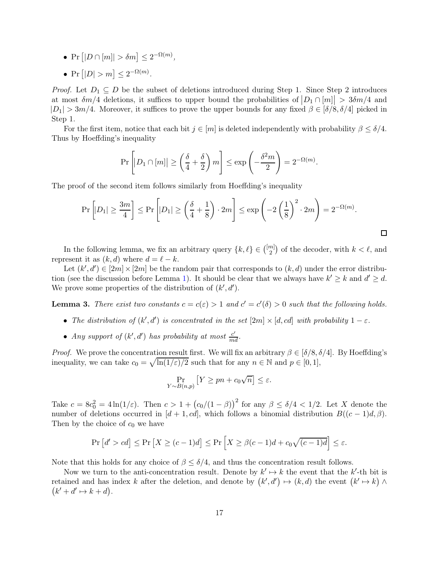- Pr  $[|D \cap [m]| > \delta m] \leq 2^{-\Omega(m)}$ ,
- Pr  $[|D| > m] \leq 2^{-\Omega(m)}$ .

*Proof.* Let  $D_1 \subseteq D$  be the subset of deletions introduced during Step 1. Since Step 2 introduces at most  $\delta m/4$  deletions, it suffices to upper bound the probabilities of  $|D_1 \cap [m]| > 3\delta m/4$  and  $|D_1| > 3m/4$ . Moreover, it suffices to prove the upper bounds for any fixed  $\beta \in [\delta/8, \delta/4]$  picked in Step 1.

For the first item, notice that each bit  $j \in [m]$  is deleted independently with probability  $\beta \leq \delta/4$ . Thus by Hoeffding's inequality

$$
\Pr\left[|D_1 \cap [m]| \ge \left(\frac{\delta}{4} + \frac{\delta}{2}\right)m\right] \le \exp\left(-\frac{\delta^2 m}{2}\right) = 2^{-\Omega(m)}.
$$

The proof of the second item follows similarly from Hoeffding's inequality

$$
\Pr\left[|D_1| \ge \frac{3m}{4}\right] \le \Pr\left[|D_1| \ge \left(\frac{\delta}{4} + \frac{1}{8}\right) \cdot 2m\right] \le \exp\left(-2\left(\frac{1}{8}\right)^2 \cdot 2m\right) = 2^{-\Omega(m)}.
$$

 $\Box$ 

In the following lemma, we fix an arbitrary query  $\{k, \ell\} \in \binom{[m]}{2}$  $\binom{m}{2}$  of the decoder, with  $k < \ell$ , and represent it as  $(k, d)$  where  $d = \ell - k$ .

Let  $(k', d') \in [2m] \times [2m]$  be the random pair that corresponds to  $(k, d)$  under the error distribu-tion (see the discussion before Lemma [1\)](#page-15-0). It should be clear that we always have  $k' \geq k$  and  $d' \geq d$ . We prove some properties of the distribution of  $(k', d')$ .

<span id="page-17-0"></span>**Lemma 3.** There exist two constants  $c = c(\varepsilon) > 1$  and  $c' = c'(\delta) > 0$  such that the following holds.

- The distribution of  $(k', d')$  is concentrated in the set  $[2m] \times [d, cd]$  with probability  $1 \varepsilon$ .
- Any support of  $(k', d')$  has probability at most  $\frac{c'}{md}$ .

*Proof.* We prove the concentration result first. We will fix an arbitrary  $\beta \in [\delta/8, \delta/4]$ . By Hoeffding's inequality, we can take  $c_0 = \sqrt{\ln(1/\varepsilon)/2}$  such that for any  $n \in \mathbb{N}$  and  $p \in [0, 1]$ ,

$$
\Pr_{Y \sim B(n,p)} \left[ Y \ge pn + c_0 \sqrt{n} \right] \le \varepsilon.
$$

Take  $c = 8c_0^2 = 4\ln(1/\varepsilon)$ . Then  $c > 1 + (c_0/(1-\beta))^2$  for any  $\beta \le \delta/4 < 1/2$ . Let X denote the number of deletions occurred in [d + 1, cd], which follows a binomial distribution  $B((c-1)d, \beta)$ . Then by the choice of  $c_0$  we have

$$
\Pr\left[d' > cd\right] \le \Pr\left[X \ge (c-1)d\right] \le \Pr\left[X \ge \beta(c-1)d + c_0\sqrt{(c-1)d}\right] \le \varepsilon.
$$

Note that this holds for any choice of  $\beta \leq \delta/4$ , and thus the concentration result follows.

Now we turn to the anti-concentration result. Denote by  $k' \mapsto k$  the event that the k'-th bit is retained and has index k after the deletion, and denote by  $(k', d') \mapsto (k, d)$  the event  $(k' \mapsto k) \wedge (k' \mapsto k' \mapsto (k' \mapsto k')$  $\big(k'+d'\mapsto k+d\big).$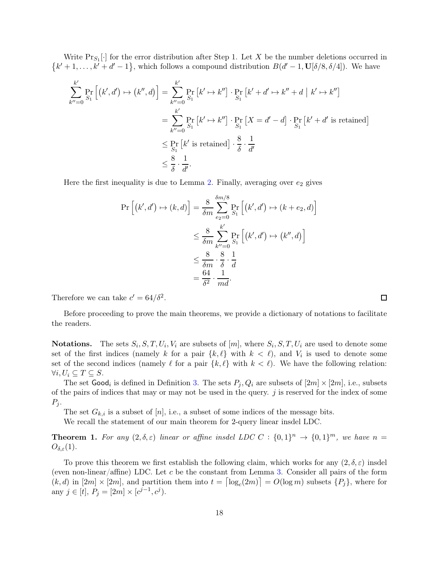Write  $Pr_{S_1}[\cdot]$  for the error distribution after Step 1. Let X be the number deletions occurred in  ${k' + 1, ..., k' + d' - 1}$ , which follows a compound distribution  $B(d' - 1, U[\delta/8, \delta/4])$ . We have

$$
\sum_{k''=0}^{k'} \Pr_{S_1} \left[ (k', d') \mapsto (k'', d) \right] = \sum_{k''=0}^{k'} \Pr_{S_1} \left[ k' \mapsto k'' \right] \cdot \Pr_{S_1} \left[ k' + d' \mapsto k'' + d \mid k' \mapsto k'' \right]
$$
\n
$$
= \sum_{k''=0}^{k'} \Pr_{S_1} \left[ k' \mapsto k'' \right] \cdot \Pr_{S_1} \left[ X = d' - d \right] \cdot \Pr_{S_1} \left[ k' + d' \text{ is retained} \right]
$$
\n
$$
\leq \Pr_{S_1} \left[ k' \text{ is retained} \right] \cdot \frac{8}{\delta} \cdot \frac{1}{d'}
$$
\n
$$
\leq \frac{8}{\delta} \cdot \frac{1}{d'}.
$$

Here the first inequality is due to Lemma [2.](#page-15-1) Finally, averaging over  $e_2$  gives

$$
\Pr\left[(k',d') \mapsto (k,d)\right] = \frac{8}{\delta m} \sum_{e_2=0}^{\delta m/8} \Pr_{S_1} \left[ (k',d') \mapsto (k+e_2,d) \right]
$$
  

$$
\leq \frac{8}{\delta m} \sum_{k'=0}^{k'} \Pr_{S_1} \left[ (k',d') \mapsto (k'',d) \right]
$$
  

$$
\leq \frac{8}{\delta m} \cdot \frac{8}{\delta} \cdot \frac{1}{d}
$$
  

$$
= \frac{64}{\delta^2} \cdot \frac{1}{md}.
$$

Therefore we can take  $c' = 64/\delta^2$ .

Before proceeding to prove the main theorems, we provide a dictionary of notations to facilitate the readers.

**Notations.** The sets  $S_i$ ,  $S$ ,  $T$ ,  $U_i$ ,  $V_i$  are subsets of  $[m]$ , where  $S_i$ ,  $S$ ,  $T$ ,  $U_i$  are used to denote some set of the first indices (namely k for a pair  $\{k, \ell\}$  with  $k < \ell$ ), and  $V_i$  is used to denote some set of the second indices (namely  $\ell$  for a pair  $\{k, \ell\}$  with  $k < \ell$ ). We have the following relation:  $\forall i, U_i \subseteq T \subseteq S.$ 

The set  $\textsf{Good}_i$  is defined in Definition [3.](#page-14-0) The sets  $P_j, Q_i$  are subsets of  $[2m] \times [2m]$ , i.e., subsets of the pairs of indices that may or may not be used in the query. j is reserved for the index of some  $P_j$ .

The set  $G_{k,i}$  is a subset of  $[n]$ , i.e., a subset of some indices of the message bits.

We recall the statement of our main theorem for 2-query linear insdel LDC.

**Theorem 1.** For any  $(2, \delta, \varepsilon)$  linear or affine insdel LDC C :  $\{0, 1\}^n \to \{0, 1\}^m$ , we have  $n =$  $O_{\delta,\varepsilon}(1)$ .

To prove this theorem we first establish the following claim, which works for any  $(2,\delta,\varepsilon)$  insdel (even non-linear/affine) LDC. Let c be the constant from Lemma [3.](#page-17-0) Consider all pairs of the form  $(k, d)$  in  $[2m] \times [2m]$ , and partition them into  $t = \lceil \log_c(2m) \rceil = O(\log m)$  subsets  $\{P_j\}$ , where for any  $j \in [t], P_j = [2m] \times [c^{j-1}, c^j)$ .

 $\Box$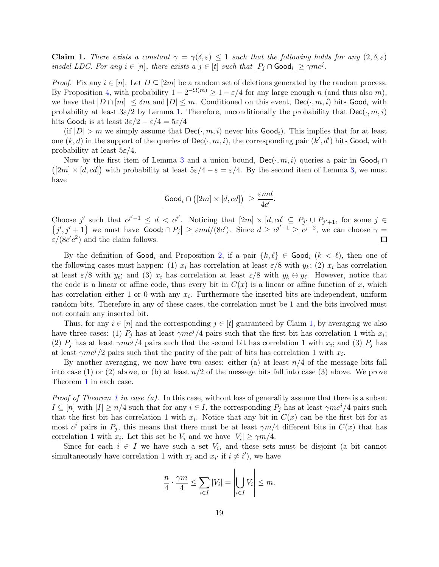<span id="page-19-0"></span>**Claim 1.** There exists a constant  $\gamma = \gamma(\delta, \varepsilon) \leq 1$  such that the following holds for any  $(2, \delta, \varepsilon)$ insdel LDC. For any  $i \in [n]$ , there exists a  $j \in [t]$  such that  $|P_j \cap \text{Good}_i| \geq \gamma mc^j$ .

*Proof.* Fix any  $i \in [n]$ . Let  $D \subseteq [2m]$  be a random set of deletions generated by the random process. By Proposition [4,](#page-16-1) with probability  $1 - 2^{-\Omega(m)} \ge 1 - \varepsilon/4$  for any large enough n (and thus also m), we have that  $|D \cap [m]| \leq \delta m$  and  $|D| \leq m$ . Conditioned on this event,  $\textsf{Dec}(\cdot, m, i)$  hits  $\textsf{Good}_i$  with probability at least  $3\varepsilon/2$  by Lemma [1.](#page-15-0) Therefore, unconditionally the probability that  $\text{Dec}(\cdot, m, i)$ hits  $\textsf{Good}_i$  is at least  $3\varepsilon/2 - \varepsilon/4 = 5\varepsilon/4$ 

(if  $|D| > m$  we simply assume that  $\text{Dec}(\cdot, m, i)$  never hits  $\text{Good}_i$ ). This implies that for at least one  $(k, d)$  in the support of the queries of  $\mathsf{Dec}(\cdot, m, i)$ , the corresponding pair  $(k', d')$  hits  $\mathsf{Good}_i$  with probability at least  $5\varepsilon/4$ .

Now by the first item of Lemma [3](#page-17-0) and a union bound,  $\text{Dec}(\cdot, m, i)$  queries a pair in  $\text{Good}_i \cap$  $([2m] \times [d, cd])$  with probability at least  $5\varepsilon/4 - \varepsilon = \varepsilon/4$ . By the second item of Lemma [3,](#page-17-0) we must have

$$
\Big|\mathsf{Good}_{i} \cap \big([2m] \times [d, cd]\big)\Big| \geq \frac{\varepsilon md}{4c'}.
$$

Choose j' such that  $c^{j'-1} \leq d < c^{j'}$ . Noticing that  $[2m] \times [d, cd] \subseteq P_{j'} \cup P_{j'+1}$ , for some  $j \in \{j', j' + 1\}$  we must have  $|Good_i \cap P_j| \geq \varepsilon md/(8c')$ . Since  $d \geq c^{j'-1} \geq c^{j-2}$ , we can choose  $\gamma =$  $\varepsilon/(8c'c^2)$  and the claim follows.  $\Box$ 

By the definition of  $\mathsf{Good}_i$  and Proposition [2,](#page-13-1) if a pair  $\{k, \ell\} \in \mathsf{Good}_i$   $(k < \ell)$ , then one of the following cases must happen: (1)  $x_i$  has correlation at least  $\varepsilon/8$  with  $y_k$ ; (2)  $x_i$  has correlation at least  $\varepsilon/8$  with  $y_\ell$ ; and (3)  $x_i$  has correlation at least  $\varepsilon/8$  with  $y_k \oplus y_\ell$ . However, notice that the code is a linear or affine code, thus every bit in  $C(x)$  is a linear or affine function of x, which has correlation either 1 or 0 with any  $x_i$ . Furthermore the inserted bits are independent, uniform random bits. Therefore in any of these cases, the correlation must be 1 and the bits involved must not contain any inserted bit.

Thus, for any  $i \in [n]$  and the corresponding  $j \in [t]$  guaranteed by Claim [1,](#page-19-0) by averaging we also have three cases: (1)  $P_j$  has at least  $\gamma mc^j/4$  pairs such that the first bit has correlation 1 with  $x_i$ ; (2)  $P_j$  has at least  $\gamma mc^j/4$  pairs such that the second bit has correlation 1 with  $x_i$ ; and (3)  $P_j$  has at least  $\gamma mc^j/2$  pairs such that the parity of the pair of bits has correlation 1 with  $x_i$ .

By another averaging, we now have two cases: either (a) at least  $n/4$  of the message bits fall into case (1) or (2) above, or (b) at least  $n/2$  of the message bits fall into case (3) above. We prove Theorem [1](#page-4-0) in each case.

*Proof of Theorem [1](#page-4-0) in case (a).* In this case, without loss of generality assume that there is a subset  $I \subseteq [n]$  with  $|I| \ge n/4$  such that for any  $i \in I$ , the corresponding  $P_j$  has at least  $\gamma mc^j/4$  pairs such that the first bit has correlation 1 with  $x_i$ . Notice that any bit in  $C(x)$  can be the first bit for at most  $c^j$  pairs in  $P_j$ , this means that there must be at least  $\gamma m/4$  different bits in  $C(x)$  that has correlation 1 with  $x_i$ . Let this set be  $V_i$  and we have  $|V_i| \ge \gamma m/4$ .

Since for each  $i \in I$  we have such a set  $V_i$ , and these sets must be disjoint (a bit cannot simultaneously have correlation 1 with  $x_i$  and  $x_{i'}$  if  $i \neq i'$ , we have

$$
\frac{n}{4} \cdot \frac{\gamma m}{4} \le \sum_{i \in I} |V_i| = \left| \bigcup_{i \in I} V_i \right| \le m.
$$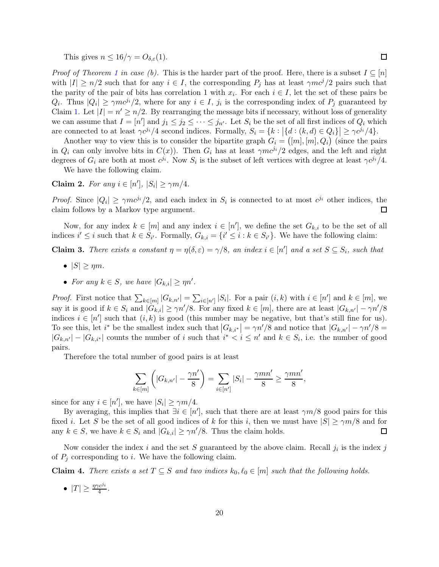This gives  $n \leq 16/\gamma = O_{\delta,\varepsilon}(1)$ .

*Proof of Theorem [1](#page-4-0) in case (b).* This is the harder part of the proof. Here, there is a subset  $I \subseteq [n]$ with  $|I| \ge n/2$  such that for any  $i \in I$ , the corresponding  $P_j$  has at least  $\gamma m c^j/2$  pairs such that the parity of the pair of bits has correlation 1 with  $x_i$ . For each  $i \in I$ , let the set of these pairs be  $Q_i$ . Thus  $|Q_i| \ge \gamma m c^{j_i}/2$ , where for any  $i \in I$ ,  $j_i$  is the corresponding index of  $P_j$  guaranteed by Claim [1.](#page-19-0) Let  $|I| = n' \ge n/2$ . By rearranging the message bits if necessary, without loss of generality we can assume that  $I = [n']$  and  $j_1 \leq j_2 \leq \cdots \leq j_{n'}$ . Let  $S_i$  be the set of all first indices of  $Q_i$  which are connected to at least  $\gamma c^{j_i}/4$  second indices. Formally,  $S_i = \{k : |\{d : (k, d) \in Q_i\}| \geq \gamma c^{j_i}/4\}.$ 

Another way to view this is to consider the bipartite graph  $G_i = ([m], [m], Q_i)$  (since the pairs in  $Q_i$  can only involve bits in  $C(x)$ ). Then  $G_i$  has at least  $\gamma mc^{i}/2$  edges, and the left and right degrees of  $G_i$  are both at most  $c^{j_i}$ . Now  $S_i$  is the subset of left vertices with degree at least  $\gamma c^{j_i}/4$ .

We have the following claim.

Claim 2. For any  $i \in [n']$ ,  $|S_i| \ge \gamma m/4$ .

*Proof.* Since  $|Q_i| \ge \gamma m c^{j_i}/2$ , and each index in  $S_i$  is connected to at most  $c^{j_i}$  other indices, the claim follows by a Markov type argument.  $\Box$ 

Now, for any index  $k \in [m]$  and any index  $i \in [n']$ , we define the set  $G_{k,i}$  to be the set of all indices  $i' \leq i$  such that  $k \in S_{i'}$ . Formally,  $G_{k,i} = \{i' \leq i : k \in S_{i'}\}$ . We have the following claim:

**Claim 3.** There exists a constant  $\eta = \eta(\delta, \varepsilon) = \gamma/8$ , an index  $i \in [n']$  and a set  $S \subseteq S_i$ , such that

- $|S| \geq \eta m$ .
- For any  $k \in S$ , we have  $|G_{k,i}| \ge \eta n'$ .

*Proof.* First notice that  $\sum_{k\in[m]}|G_{k,n'}| = \sum_{i\in[n']}|S_i|$ . For a pair  $(i,k)$  with  $i\in[n']$  and  $k\in[m]$ , we say it is good if  $k \in S_i$  and  $|G_{k,i}| \ge \gamma n'/8$ . For any fixed  $k \in [m]$ , there are at least  $|G_{k,n'}| - \gamma n'/8$ indices  $i \in [n']$  such that  $(i, k)$  is good (this number may be negative, but that's still fine for us). To see this, let  $i^*$  be the smallest index such that  $|G_{k,i^*}| = \gamma n'/8$  and notice that  $|G_{k,n'}| - \gamma n'/8 =$  $|G_{k,n'}| - |G_{k,i'}|$  counts the number of i such that  $i^* < i \leq n'$  and  $k \in S_i$ , i.e. the number of good pairs.

Therefore the total number of good pairs is at least

$$
\sum_{k\in[m]} \left( |G_{k,n'}| - \frac{\gamma n'}{8} \right) = \sum_{i\in[n']} |S_i| - \frac{\gamma mn'}{8} \ge \frac{\gamma mn'}{8},
$$

since for any  $i \in [n']$ , we have  $|S_i| \ge \gamma m/4$ .

By averaging, this implies that  $\exists i \in [n']$ , such that there are at least  $\gamma m/8$  good pairs for this fixed *i*. Let S be the set of all good indices of k for this *i*, then we must have  $|S| \ge \gamma m/8$  and for any  $k \in S$ , we have  $k \in S_i$  and  $|G_{k,i}| \geq \gamma n'/8$ . Thus the claim holds. □

Now consider the index i and the set S guaranteed by the above claim. Recall  $j_i$  is the index j of  $P_i$  corresponding to i. We have the following claim.

<span id="page-20-0"></span>**Claim 4.** There exists a set  $T \subseteq S$  and two indices  $k_0, \ell_0 \in [m]$  such that the following holds.

•  $|T| \geq \frac{\eta \gamma c^{j_i}}{4}$ .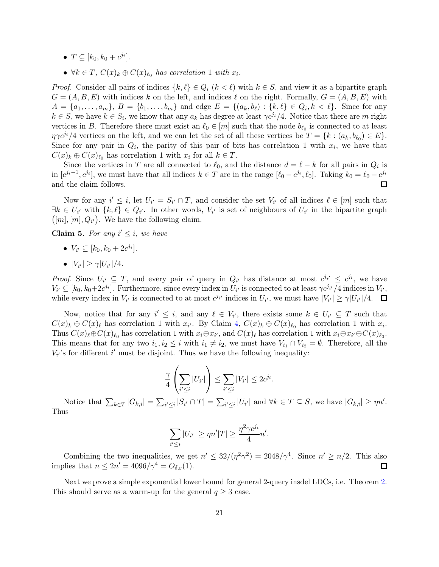- $T \subseteq [k_0, k_0 + c^{j_i}].$
- $\forall k \in T$ ,  $C(x)_k \oplus C(x)_{\ell_0}$  has correlation 1 with  $x_i$ .

*Proof.* Consider all pairs of indices  $\{k, \ell\} \in Q_i$   $(k < \ell)$  with  $k \in S$ , and view it as a bipartite graph  $G = (A, B, E)$  with indices k on the left, and indices l on the right. Formally,  $G = (A, B, E)$  with  $A = \{a_1, \ldots, a_m\}, B = \{b_1, \ldots, b_m\}$  and edge  $E = \{(a_k, b_\ell) : \{k, \ell\} \in Q_i, k < \ell\}.$  Since for any  $k \in S$ , we have  $k \in S_i$ , we know that any  $a_k$  has degree at least  $\gamma c^{j_i}/4$ . Notice that there are m right vertices in B. Therefore there must exist an  $\ell_0 \in [m]$  such that the node  $b_{\ell_0}$  is connected to at least  $\eta \gamma c^{j_i}/4$  vertices on the left, and we can let the set of all these vertices be  $T = \{k : (a_k, b_{\ell_0}) \in E\}.$ Since for any pair in  $Q_i$ , the parity of this pair of bits has correlation 1 with  $x_i$ , we have that  $C(x)_k \oplus C(x)_{\ell_0}$  has correlation 1 with  $x_i$  for all  $k \in T$ .

Since the vertices in T are all connected to  $\ell_0$ , and the distance  $d = \ell - k$  for all pairs in  $Q_i$  is in  $[c^{j_i-1}, c^{j_i}]$ , we must have that all indices  $k \in T$  are in the range  $[\ell_0 - c^{j_i}, \ell_0]$ . Taking  $k_0 = \ell_0 - c^{j_i}$ and the claim follows.

Now for any  $i' \leq i$ , let  $U_{i'} = S_{i'} \cap T$ , and consider the set  $V_{i'}$  of all indices  $\ell \in [m]$  such that  $\exists k \in U_{i'}$  with  $\{k,\ell\} \in Q_{i'}$ . In other words,  $V_{i'}$  is set of neighbours of  $U_{i'}$  in the bipartite graph  $([m], [m], Q_{i'})$ . We have the following claim.

**Claim 5.** For any  $i' \leq i$ , we have

- $V_{i'} \subseteq [k_0, k_0 + 2c^{j_i}].$
- $|V_{i'}| \ge \gamma |U_{i'}|/4$ .

*Proof.* Since  $U_{i'} \subseteq T$ , and every pair of query in  $Q_{i'}$  has distance at most  $c^{j_{i'}} \leq c^{j_i}$ , we have  $V_{i'} \subseteq [k_0, k_0+2c^{j_i}]$ . Furthermore, since every index in  $U_{i'}$  is connected to at least  $\gamma c^{j_{i'}}/4$  indices in  $V_{i'},$ while every index in  $V_{i'}$  is connected to at most  $c^{j_{i'}}$  indices in  $U_{i'}$ , we must have  $|V_{i'}| \ge \gamma |U_{i'}|/4$ .

Now, notice that for any  $i' \leq i$ , and any  $\ell \in V_{i'}$ , there exists some  $k \in U_{i'} \subseteq T$  such that  $C(x)_k \oplus C(x)_\ell$  has correlation 1 with  $x_{i'}$ . By Claim [4,](#page-20-0)  $C(x)_k \oplus C(x)_{\ell_0}$  has correlation 1 with  $x_i$ . Thus  $C(x)_{\ell} \oplus C(x)_{\ell_0}$  has correlation 1 with  $x_i \oplus x_{i'}$ , and  $C(x)_{\ell}$  has correlation 1 with  $x_i \oplus x_{i'} \oplus C(x)_{\ell_0}$ . This means that for any two  $i_1, i_2 \leq i$  with  $i_1 \neq i_2$ , we must have  $V_{i_1} \cap V_{i_2} = \emptyset$ . Therefore, all the  $V_{i'}$ 's for different i' must be disjoint. Thus we have the following inequality:

$$
\frac{\gamma}{4} \left( \sum_{i' \leq i} |U_{i'}| \right) \leq \sum_{i' \leq i} |V_{i'}| \leq 2c^{j_i}.
$$

Notice that  $\sum_{k\in\mathcal{I}}|G_{k,i}|=\sum_{i'\leq i}|S_{i'}\cap T|=\sum_{i'\leq i}|U_{i'}|$  and  $\forall k\in\mathcal{I}\subseteq S$ , we have  $|G_{k,i}|\geq \eta n'.$ Thus

$$
\sum_{i' \leq i} |U_{i'}| \geq \eta n'|T| \geq \frac{\eta^2 \gamma c^{j_i}}{4} n'.
$$

Combining the two inequalities, we get  $n' \leq 32/(\eta^2 \gamma^2) = 2048/\gamma^4$ . Since  $n' \geq n/2$ . This also implies that  $n \leq 2n' = 4096/\gamma^4 = O_{\delta,\varepsilon}(1)$ .

Next we prove a simple exponential lower bound for general 2-query insdel LDCs, i.e. Theorem [2.](#page-4-1) This should serve as a warm-up for the general  $q \geq 3$  case.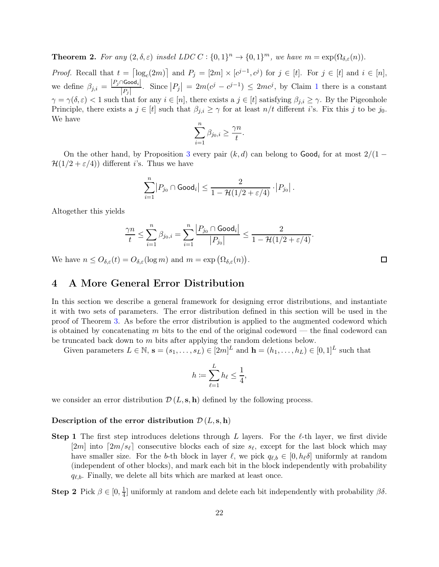**Theorem 2.** For any  $(2, \delta, \varepsilon)$  insdel LDC  $C : \{0, 1\}^n \to \{0, 1\}^m$ , we have  $m = \exp(\Omega_{\delta, \varepsilon}(n))$ .

*Proof.* Recall that  $t = \lceil \log_c(2m) \rceil$  and  $P_j = [2m] \times [c^{j-1}, c^j)$  for  $j \in [t]$ . For  $j \in [t]$  and  $i \in [n]$ , we define  $\beta_{j,i} = \frac{|P_j \cap \text{Good}_i|}{|P_i|}$  $\frac{|\partial \text{Good}_i|}{|P_j|}$ . Since  $|P_j| = 2m(c^j - c^{j-1}) \leq 2mc^j$  $|P_j| = 2m(c^j - c^{j-1}) \leq 2mc^j$  $|P_j| = 2m(c^j - c^{j-1}) \leq 2mc^j$ , by Claim 1 there is a constant  $\gamma = \gamma(\delta, \varepsilon) < 1$  such that for any  $i \in [n]$ , there exists a  $j \in [t]$  satisfying  $\beta_{j,i} \geq \gamma$ . By the Pigeonhole Principle, there exists a  $j \in [t]$  such that  $\beta_{j,i} \geq \gamma$  for at least  $n/t$  different i's. Fix this j to be j<sub>0</sub>. We have

$$
\sum_{i=1}^n \beta_{j_0,i} \geq \frac{\gamma n}{t}.
$$

On the other hand, by Proposition [3](#page-14-1) every pair  $(k, d)$  can belong to  $\text{Good}_i$  for at most  $2/(1 \mathcal{H}(1/2 + \varepsilon/4)$  different *i*'s. Thus we have

$$
\sum_{i=1}^n \bigl| P_{j_0} \cap \text{Good}_i \bigr| \leq \frac{2}{1 - \mathcal{H}(1/2 + \varepsilon/4)} \cdot \bigl| P_{j_0} \bigr| \,.
$$

Altogether this yields

$$
\frac{\gamma n}{t} \leq \sum_{i=1}^n \beta_{j_0,i} = \sum_{i=1}^n \frac{\left|P_{j_0} \cap \text{Good}_i\right|}{\left|P_{j_0}\right|} \leq \frac{2}{1 - \mathcal{H}(1/2 + \varepsilon/4)}.
$$

We have  $n \leq O_{\delta,\varepsilon}(t) = O_{\delta,\varepsilon}(\log m)$  and  $m = \exp(\Omega_{\delta,\varepsilon}(n)).$ 

### <span id="page-22-0"></span>4 A More General Error Distribution

In this section we describe a general framework for designing error distributions, and instantiate it with two sets of parameters. The error distribution defined in this section will be used in the proof of Theorem [3.](#page-4-2) As before the error distribution is applied to the augmented codeword which is obtained by concatenating  $m$  bits to the end of the original codeword — the final codeword can be truncated back down to m bits after applying the random deletions below.

Given parameters  $L \in \mathbb{N}$ ,  $\mathbf{s} = (s_1, \ldots, s_L) \in [2m]^L$  and  $\mathbf{h} = (h_1, \ldots, h_L) \in [0, 1]^L$  such that

$$
h \coloneqq \sum_{\ell=1}^L h_\ell \le \frac{1}{4},
$$

we consider an error distribution  $\mathcal{D}(L, \mathbf{s}, \mathbf{h})$  defined by the following process.

### Description of the error distribution  $\mathcal{D}(L, \mathbf{s}, \mathbf{h})$

**Step 1** The first step introduces deletions through L layers. For the  $\ell$ -th layer, we first divide [2m] into  $\lceil 2m/s_\ell \rceil$  consecutive blocks each of size  $s_\ell$ , except for the last block which may have smaller size. For the b-th block in layer  $\ell$ , we pick  $q_{\ell,b} \in [0, h_{\ell} \delta]$  uniformly at random (independent of other blocks), and mark each bit in the block independently with probability  $q_{\ell,b}$ . Finally, we delete all bits which are marked at least once.

Step 2 Pick  $\beta \in [0, \frac{1}{4}]$  $\frac{1}{4}$ ] uniformly at random and delete each bit independently with probability  $\beta\delta$ .

 $\Box$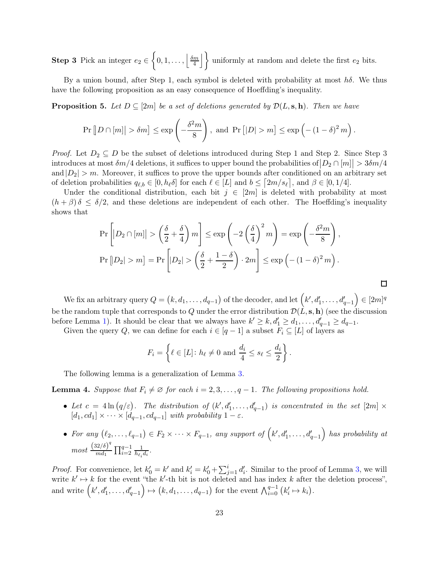**Step 3** Pick an integer  $e_2 \in$  $\left\{0,1,\ldots,\left|\frac{\delta m}{4}\right|\right\}$ 4  $\left\{\right\}$  uniformly at random and delete the first  $e_2$  bits.

By a union bound, after Step 1, each symbol is deleted with probability at most  $h\delta$ . We thus have the following proposition as an easy consequence of Hoeffding's inequality.

<span id="page-23-1"></span>**Proposition 5.** Let  $D \subseteq [2m]$  be a set of deletions generated by  $\mathcal{D}(L, \mathbf{s}, \mathbf{h})$ . Then we have

$$
\Pr\left[|D \cap [m]| > \delta m\right] \le \exp\left(-\frac{\delta^2 m}{8}\right), \text{ and } \Pr\left[|D| > m\right] \le \exp\left(-\left(1-\delta\right)^2 m\right).
$$

*Proof.* Let  $D_2 \subseteq D$  be the subset of deletions introduced during Step 1 and Step 2. Since Step 3 introduces at most  $\delta m/4$  deletions, it suffices to upper bound the probabilities of  $\big|D_2 \cap [m]\big| > 3\delta m/4$ and  $|D_2| > m$ . Moreover, it suffices to prove the upper bounds after conditioned on an arbitrary set of deletion probabilities  $q_{\ell,b} \in [0, h_{\ell} \delta]$  for each  $\ell \in [L]$  and  $b \leq [2m/s_{\ell}],$  and  $\beta \in [0, 1/4]$ .

Under the conditional distribution, each bit  $j \in [2m]$  is deleted with probability at most  $(h + \beta)$  δ  $\leq \delta/2$ , and these deletions are independent of each other. The Hoeffding's inequality shows that

$$
\Pr\left[|D_2 \cap [m]| > \left(\frac{\delta}{2} + \frac{\delta}{4}\right)m\right] \le \exp\left(-2\left(\frac{\delta}{4}\right)^2 m\right) = \exp\left(-\frac{\delta^2 m}{8}\right),
$$
  

$$
\Pr\left[|D_2| > m\right] = \Pr\left[|D_2| > \left(\frac{\delta}{2} + \frac{1-\delta}{2}\right) \cdot 2m\right] \le \exp\left(-\left(1 - \delta\right)^2 m\right).
$$

 $\Box$ 

We fix an arbitrary query  $Q = (k, d_1, \ldots, d_{q-1})$  of the decoder, and let  $(k', d'_1, \ldots, d'_{q-1})$  $\Big) \in [2m]^q$ be the random tuple that corresponds to Q under the error distribution  $\mathcal{D}(L, \mathbf{s}, \mathbf{h})$  (see the discussion before Lemma [1\)](#page-15-0). It should be clear that we always have  $k' \geq k$ ,  $d'_1 \geq d_1, \ldots, d'_{q-1} \geq d_{q-1}$ .

Given the query Q, we can define for each  $i \in [q-1]$  a subset  $F_i \subseteq [L]$  of layers as

$$
F_i = \left\{ \ell \in [L] \colon h_{\ell} \neq 0 \text{ and } \frac{d_i}{4} \le s_{\ell} \le \frac{d_i}{2} \right\}.
$$

The following lemma is a generalization of Lemma [3.](#page-17-0)

<span id="page-23-0"></span>**Lemma 4.** Suppose that  $F_i \neq \emptyset$  for each  $i = 2, 3, \ldots, q - 1$ . The following propositions hold.

- Let  $c = 4 \ln (q/\varepsilon)$ . The distribution of  $(k', d'_1, \ldots, d'_{q-1})$  is concentrated in the set  $[2m] \times$  $[d_1, cd_1] \times \cdots \times [d_{q-1}, cd_{q-1}]$  with probability  $1 - \varepsilon$ .
- For any  $(\ell_2, \ldots, \ell_{q-1}) \in F_2 \times \cdots \times F_{q-1}$ , any support of  $(k', d'_1, \ldots, d'_{q-1})$  has probability at  $most \frac{(32/\delta)^q}{m d}$  $\frac{32}{6}$   $\prod_{i=2}^{q-1} \frac{1}{h_{\ell_i}}$  $\frac{1}{h_{\ell_i}d_i}$ .

*Proof.* For convenience, let  $k'_0 = k'$  and  $k'_i = k'_0 + \sum_{j=1}^i d'_i$ . Similar to the proof of Lemma [3,](#page-17-0) we will write  $k' \mapsto k$  for the event "the k'-th bit is not deleted and has index k after the deletion process", and write  $(k', d'_1, \ldots, d'_{q-1})$  $\overline{ }$  $\mapsto (k, d_1, \ldots, d_{q-1})$  for the event  $\bigwedge_{i=0}^{q-1} (k'_i \mapsto k_i)$ .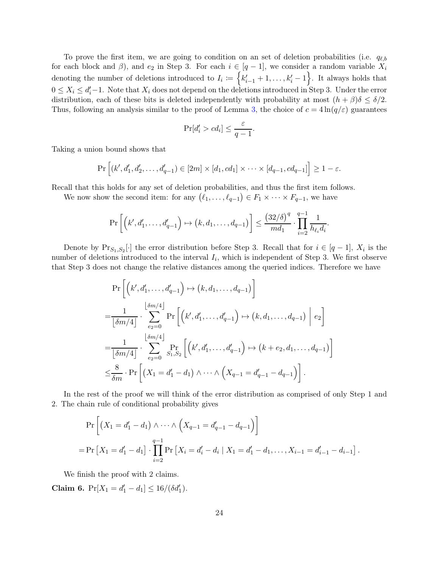To prove the first item, we are going to condition on an set of deletion probabilities (i.e.  $q_{\ell,b}$ ) for each block and  $\beta$ ), and  $e_2$  in Step 3. For each  $i \in [q-1]$ , we consider a random variable  $X_i$ denoting the number of deletions introduced to  $I_i := \{k'_{i-1} + 1, \ldots, k'_{i} - 1\}$ . It always holds that  $0 \leq X_i \leq d'_i-1$ . Note that  $X_i$  does not depend on the deletions introduced in Step 3. Under the error distribution, each of these bits is deleted independently with probability at most  $(h + \beta)\delta \leq \delta/2$ . Thus, following an analysis similar to the proof of Lemma [3,](#page-17-0) the choice of  $c = 4 \ln(q/\varepsilon)$  guarantees

$$
\Pr[d_i' > cd_i] \le \frac{\varepsilon}{q-1}.
$$

Taking a union bound shows that

$$
\Pr\left[(k',d_1',d_2',\ldots,d_{q-1}')\in [2m]\times [d_1,cd_1]\times\cdots\times [d_{q-1},cd_{q-1}]\right] \geq 1-\varepsilon.
$$

Recall that this holds for any set of deletion probabilities, and thus the first item follows.

We now show the second item: for any  $(\ell_1, \ldots, \ell_{q-1}) \in F_1 \times \cdots \times F_{q-1}$ , we have

$$
\Pr\left[\left(k',d_1',\ldots,d_{q-1}'\right) \mapsto \left(k,d_1,\ldots,d_{q-1}\right)\right] \leq \frac{\left(32/\delta\right)^q}{md_1} \cdot \prod_{i=2}^{q-1} \frac{1}{h_{\ell_i}d_i}.
$$

Denote by  $Pr_{S_1, S_2}[\cdot]$  the error distribution before Step 3. Recall that for  $i \in [q-1]$ ,  $X_i$  is the number of deletions introduced to the interval  $I_i$ , which is independent of Step 3. We first observe that Step 3 does not change the relative distances among the queried indices. Therefore we have

$$
\Pr\left[\left(k', d'_1, \ldots, d'_{q-1}\right) \mapsto \left(k, d_1, \ldots, d_{q-1}\right)\right]
$$
\n
$$
= \frac{1}{\lfloor \delta m/4 \rfloor} \cdot \sum_{e_2=0}^{\lfloor \delta m/4 \rfloor} \Pr\left[\left(k', d'_1, \ldots, d'_{q-1}\right) \mapsto \left(k, d_1, \ldots, d_{q-1}\right) \mid e_2\right]
$$
\n
$$
= \frac{1}{\lfloor \delta m/4 \rfloor} \cdot \sum_{e_2=0}^{\lfloor \delta m/4 \rfloor} \Pr\left[\left(k', d'_1, \ldots, d'_{q-1}\right) \mapsto \left(k + e_2, d_1, \ldots, d_{q-1}\right) \right]
$$
\n
$$
\leq \frac{8}{\delta m} \cdot \Pr\left[\left(X_1 = d'_1 - d_1\right) \wedge \cdots \wedge \left(X_{q-1} = d'_{q-1} - d_{q-1}\right)\right].
$$

In the rest of the proof we will think of the error distribution as comprised of only Step 1 and 2. The chain rule of conditional probability gives

$$
\Pr\left[\left(X_1 = d'_1 - d_1\right) \wedge \cdots \wedge \left(X_{q-1} = d'_{q-1} - d_{q-1}\right)\right]
$$
  
= 
$$
\Pr\left[X_1 = d'_1 - d_1\right] \cdot \prod_{i=2}^{q-1} \Pr\left[X_i = d'_i - d_i \mid X_1 = d'_1 - d_1, \dots, X_{i-1} = d'_{i-1} - d_{i-1}\right].
$$

We finish the proof with 2 claims.

Claim 6.  $Pr[X_1 = d'_1 - d_1] \le 16/(\delta d'_1)$ .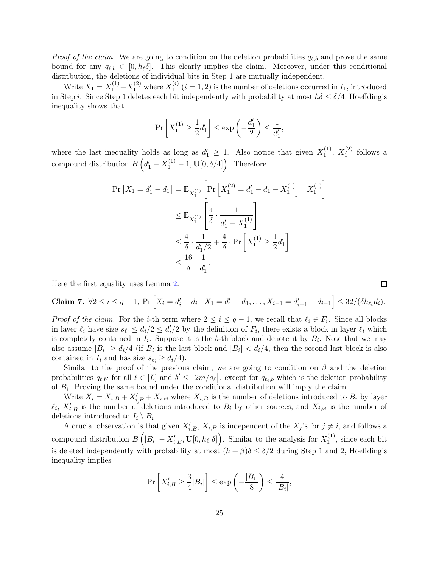*Proof of the claim.* We are going to condition on the deletion probabilities  $q_{\ell,b}$  and prove the same bound for any  $q_{\ell,b} \in [0, h_{\ell} \delta]$ . This clearly implies the claim. Moreover, under this conditional distribution, the deletions of individual bits in Step 1 are mutually independent.

Write  $X_1 = X_1^{(1)} + X_1^{(2)}$  where  $X_1^{(i)}$  $1^{(i)}$   $(i = 1, 2)$  is the number of deletions occurred in  $I_1$ , introduced in Step i. Since Step 1 deletes each bit independently with probability at most  $h\delta \leq \delta/4$ , Hoeffding's inequality shows that

$$
\Pr\left[X_1^{(1)} \ge \frac{1}{2}d_1'\right] \le \exp\left(-\frac{d_1'}{2}\right) \le \frac{1}{d_1'},
$$

where the last inequality holds as long as  $d'_1 \geq 1$ . Also notice that given  $X_1^{(1)}$  $\chi_1^{(1)}, X_1^{(2)}$  $i^{(2)}$  follows a compound distribution  $B(g_1' - X_1^{(1)} - 1, \mathbf{U}[0, \delta/4])$ . Therefore

$$
\Pr\left[X_{1} = d_{1}' - d_{1}\right] = \mathbb{E}_{X_{1}^{(1)}}\left[\Pr\left[X_{1}^{(2)} = d_{1}' - d_{1} - X_{1}^{(1)}\right] \middle| X_{1}^{(1)}\right]
$$
\n
$$
\leq \mathbb{E}_{X_{1}^{(1)}}\left[\frac{4}{\delta} \cdot \frac{1}{d_{1}' - X_{1}^{(1)}}\right]
$$
\n
$$
\leq \frac{4}{\delta} \cdot \frac{1}{d_{1}'/2} + \frac{4}{\delta} \cdot \Pr\left[X_{1}^{(1)} \geq \frac{1}{2}d_{1}'\right]
$$
\n
$$
\leq \frac{16}{\delta} \cdot \frac{1}{d_{1}'}
$$

Here the first equality uses Lemma [2.](#page-15-1)

**Claim 7.** 
$$
\forall 2 \leq i \leq q-1
$$
,  $\Pr\left[X_i = d'_i - d_i \mid X_1 = d'_1 - d_1, \ldots, X_{i-1} = d'_{i-1} - d_{i-1}\right] \leq 32/(\delta h_{\ell_i} d_i)$ .

*Proof of the claim.* For the *i*-th term where  $2 \leq i \leq q-1$ , we recall that  $\ell_i \in F_i$ . Since all blocks in layer  $\ell_i$  have size  $s_{\ell_i} \leq d_i/2 \leq d_i/2$  by the definition of  $F_i$ , there exists a block in layer  $\ell_i$  which is completely contained in  $I_i$ . Suppose it is the b-th block and denote it by  $B_i$ . Note that we may also assume  $|B_i| \ge d_i/4$  (if  $B_i$  is the last block and  $|B_i| < d_i/4$ , then the second last block is also contained in  $I_i$  and has size  $s_{\ell_i} \geq d_i/4$ .

Similar to the proof of the previous claim, we are going to condition on  $\beta$  and the deletion probabilities  $q_{\ell,b'}$  for all  $\ell \in [L]$  and  $b' \leq \lceil 2m/s_{\ell} \rceil$ , except for  $q_{\ell,i,b}$  which is the deletion probability of  $B_i$ . Proving the same bound under the conditional distribution will imply the claim.

Write  $X_i = X_{i,B} + X'_{i,B} + X_{i,\varnothing}$  where  $X_{i,B}$  is the number of deletions introduced to  $B_i$  by layer  $\ell_i$ ,  $X'_{i,B}$  is the number of deletions introduced to  $B_i$  by other sources, and  $X_{i,\varnothing}$  is the number of deletions introduced to  $I_i \setminus B_i$ .

A crucial observation is that given  $X'_{i,B}$ ,  $X_{i,B}$  is independent of the  $X_j$ 's for  $j \neq i$ , and follows a compound distribution  $B\left(|B_i| - X'_{i,B}, \mathbf{U}[0, h_{\ell_i} \delta]\right)$ . Similar to the analysis for  $X_1^{(1)}$  $i<sup>(1)</sup>$ , since each bit is deleted independently with probability at most  $(h + \beta)\delta \leq \delta/2$  during Step 1 and 2, Hoeffding's inequality implies

$$
\Pr\left[X'_{i,B} \ge \frac{3}{4}|B_i|\right] \le \exp\left(-\frac{|B_i|}{8}\right) \le \frac{4}{|B_i|},
$$

 $\Box$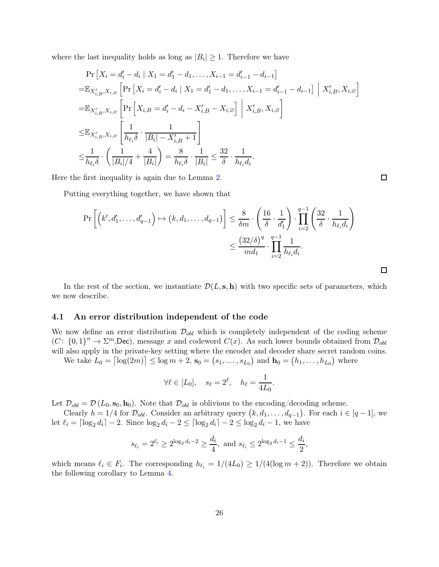where the last inequality holds as long as  $|B_i| \geq 1$ . Therefore we have

$$
\Pr\left[X_{i} = d'_{i} - d_{i} \mid X_{1} = d'_{1} - d_{1}, \dots, X_{i-1} = d'_{i-1} - d_{i-1}\right]
$$
\n
$$
= \mathbb{E}_{X'_{i,B}, X_{i,\varnothing}}\left[\Pr\left[X_{i} = d'_{i} - d_{i} \mid X_{1} = d'_{1} - d_{1}, \dots, X_{i-1} = d'_{i-1} - d_{i-1}\right] \mid X'_{i,B}, X_{i,\varnothing}\right]
$$
\n
$$
= \mathbb{E}_{X'_{i,B}, X_{i,\varnothing}}\left[\Pr\left[X_{i,B} = d'_{i} - d_{i} - X'_{i,B} - X_{i,\varnothing}\right] \mid X'_{i,B}, X_{i,\varnothing}\right]
$$
\n
$$
\leq \mathbb{E}_{X'_{i,B}, X_{i,\varnothing}}\left[\frac{1}{h_{\ell_{i}}\delta} \cdot \frac{1}{|B_{i}| - X'_{i,B} + 1}\right]
$$
\n
$$
\leq \frac{1}{h_{\ell_{i}}\delta} \cdot \left(\frac{1}{|B_{i}|/4} + \frac{4}{|B_{i}|}\right) = \frac{8}{h_{\ell_{i}}\delta} \cdot \frac{1}{|B_{i}|} \leq \frac{32}{\delta} \cdot \frac{1}{h_{\ell_{i}}d_{i}}.
$$

Here the first inequality is again due to Lemma [2.](#page-15-1)

Putting everything together, we have shown that

$$
\Pr\left[\left(k', d'_1, \dots, d'_{q-1}\right) \mapsto \left(k, d_1, \dots, d_{q-1}\right)\right] \leq \frac{8}{\delta m} \cdot \left(\frac{16}{\delta} \cdot \frac{1}{d'_1}\right) \cdot \prod_{i=2}^{q-1} \left(\frac{32}{\delta} \cdot \frac{1}{h_{\ell_i} d_i}\right)
$$

$$
\leq \frac{\left(32/\delta\right)^q}{md_1} \cdot \prod_{i=2}^{q-1} \frac{1}{h_{\ell_i} d_i}.
$$

In the rest of the section, we instantiate  $\mathcal{D}(L, \mathbf{s}, \mathbf{h})$  with two specific sets of parameters, which we now describe.

### <span id="page-26-0"></span>4.1 An error distribution independent of the code

We now define an error distribution  $\mathcal{D}_{obl}$  which is completely independent of the coding scheme  $(C: \{0,1\}^n \to \Sigma^m$ , Dec), message x and codeword  $C(x)$ . As such lower bounds obtained from  $\mathcal{D}_{obl}$ will also apply in the private-key setting where the encoder and decoder share secret random coins.

We take  $L_0 = \lceil \log(2m) \rceil \le \log m + 2$ ,  $\mathbf{s}_0 = (s_1, \ldots, s_{L_0})$  and  $\mathbf{h}_0 = (h_1, \ldots, h_{L_0})$  where

$$
\forall \ell \in [L_0], \quad s_\ell = 2^\ell, \quad h_\ell = \frac{1}{4L_0}.
$$

Let  $\mathcal{D}_{obl} = \mathcal{D}(L_0, \mathbf{s}_0, \mathbf{h}_0)$ . Note that  $\mathcal{D}_{obl}$  is oblivious to the encoding/decoding scheme.

Clearly  $h = 1/4$  for  $\mathcal{D}_{obl}$ . Consider an arbitrary query  $(k, d_1, \ldots, d_{q-1})$ . For each  $i \in [q-1]$ , we let  $\ell_i = \lceil \log_2 d_i \rceil - 2$ . Since  $\log_2 d_i - 2 \leq \lceil \log_2 d_i \rceil - 2 \leq \log_2 d_i - 1$ , we have

$$
s_{\ell_i} = 2^{\ell_i} \ge 2^{\log_2 d_i - 2} \ge \frac{d_i}{4}
$$
, and  $s_{\ell_i} \le 2^{\log_2 d_i - 1} \le \frac{d_i}{2}$ ,

which means  $\ell_i \in F_i$ . The corresponding  $h_{\ell_i} = 1/(4L_0) \ge 1/(4(\log m + 2))$ . Therefore we obtain the following corollary to Lemma [4.](#page-23-0)

 $\Box$ 

 $\Box$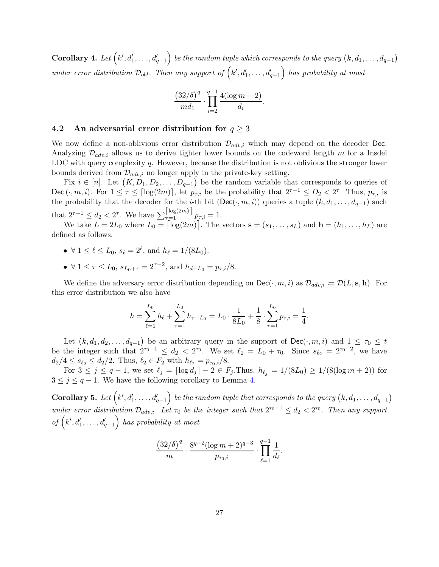<span id="page-27-0"></span> $\textbf{Corollary 4. } \textit{Let} \left( k', d'_1, \ldots, d'_{q-1} \right)$  $\Big)$  be the random tuple which corresponds to the query  $\big(k,d_1,\ldots,d_{q-1}\big)$ under error distribution  $\mathcal{D}_{\text{obl}}$ . Then any support of  $(k', d'_1, \ldots, d'_{q-1})$ has probability at most

$$
\frac{\left(32/\delta\right)^q}{md_1} \cdot \prod_{i=2}^{q-1} \frac{4(\log m + 2)}{d_i}.
$$

#### <span id="page-27-2"></span>4.2 An adversarial error distribution for  $q \geq 3$

We now define a non-oblivious error distribution  $\mathcal{D}_{adv,i}$  which may depend on the decoder Dec. Analyzing  $\mathcal{D}_{adv,i}$  allows us to derive tighter lower bounds on the codeword length m for a Insdel LDC with query complexity  $q$ . However, because the distribution is not oblivious the stronger lower bounds derived from  $\mathcal{D}_{adv,i}$  no longer apply in the private-key setting.

Fix  $i \in [n]$ . Let  $(K, D_1, D_2, \ldots, D_{q-1})$  be the random variable that corresponds to queries of Dec  $(\cdot, m, i)$ . For  $1 \leq \tau \leq \lceil \log(2m) \rceil$ , let  $p_{\tau, i}$  be the probability that  $2^{\tau-1} \leq D_2 < 2^{\tau}$ . Thus,  $p_{\tau, i}$  is the probability that the decoder for the *i*-th bit (Dec( $\cdot$ , m, *i*)) queries a tuple  $(k, d_1, \ldots, d_{q-1})$  such that  $2^{\tau-1} \leq d_2 < 2^{\tau}$ . We have  $\sum_{\tau=1}^{\lfloor \log(2m) \rfloor} p_{\tau,i} = 1$ .

We take  $L = 2L_0$  where  $L_0 = \lceil \log(2m) \rceil$ . The vectors  $\mathbf{s} = (s_1, \ldots, s_L)$  and  $\mathbf{h} = (h_1, \ldots, h_L)$  are defined as follows.

- $\forall 1 \leq \ell \leq L_0$ ,  $s_{\ell} = 2^{\ell}$ , and  $h_{\ell} = 1/(8L_0)$ .
- $\forall 1 \leq \tau \leq L_0$ ,  $s_{L_0+\tau} = 2^{\tau-2}$ , and  $h_{d+L_0} = p_{\tau,i}/8$ .

We define the adversary error distribution depending on  $\text{Dec}(\cdot, m, i)$  as  $\mathcal{D}_{adv,i} := \mathcal{D}(L, \mathbf{s}, \mathbf{h})$ . For this error distribution we also have

$$
h = \sum_{\ell=1}^{L_0} h_{\ell} + \sum_{\tau=1}^{L_0} h_{\tau+L_0} = L_0 \cdot \frac{1}{8L_0} + \frac{1}{8} \cdot \sum_{\tau=1}^{L_0} p_{\tau,i} = \frac{1}{4}.
$$

Let  $(k, d_1, d_2, \ldots, d_{q-1})$  be an arbitrary query in the support of Dec( $\cdot, m, i$ ) and  $1 \leq \tau_0 \leq t$ be the integer such that  $2^{\tau_0-1} \leq d_2 < 2^{\tau_0}$ . We set  $\ell_2 = L_0 + \tau_0$ . Since  $s_{\ell_2} = 2^{\tau_0-2}$ , we have  $d_2/4 \leq s_{\ell_2} \leq d_2/2$ . Thus,  $\ell_2 \in F_2$  with  $h_{\ell_2} = p_{\tau_0,i}/8$ .

For  $3 \le j \le q-1$ , we set  $\ell_j = \lceil \log d_j \rceil - 2 \in F_j$ . Thus,  $h_{\ell_j} = 1/(8L_0) \ge 1/(8(\log m + 2))$  for  $3 \leq j \leq q-1$ . We have the following corollary to Lemma [4.](#page-23-0)

<span id="page-27-1"></span>Corollary 5. Let  $\left(k',d'_1,\ldots,d'_{q-1}\right)$  $\bigg)$  be the random tuple that corresponds to the query  $\big(k,d_1,\ldots,d_{q-1}\big)$ under error distribution  $\mathcal{D}_{adv,i}$ . Let  $\tau_0$  be the integer such that  $2^{\tau_0-1} \leq d_2 < 2^{\tau_0}$ . Then any support  $of (k', d'_1, \ldots, d'_{q-1})$ has probability at most

$$
\frac{(32/\delta)^{q}}{m} \cdot \frac{8^{q-2}(\log m + 2)^{q-3}}{p_{\tau_0,i}} \cdot \prod_{\ell=1}^{q-1} \frac{1}{d_{\ell}}.
$$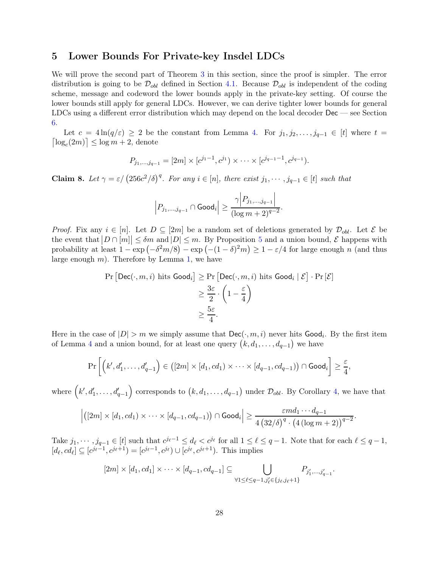### <span id="page-28-0"></span>5 Lower Bounds For Private-key Insdel LDCs

We will prove the second part of Theorem [3](#page-4-2) in this section, since the proof is simpler. The error distribution is going to be  $\mathcal{D}_{obl}$  defined in Section [4.1.](#page-26-0) Because  $\mathcal{D}_{obl}$  is independent of the coding scheme, message and codeword the lower bounds apply in the private-key setting. Of course the lower bounds still apply for general LDCs. However, we can derive tighter lower bounds for general LDCs using a different error distribution which may depend on the local decoder Dec — see Section [6.](#page-30-0)

Let  $c = 4 \ln(q/\varepsilon) \geq 2$  be the constant from Lemma [4.](#page-23-0) For  $j_1, j_2, \ldots, j_{q-1} \in [t]$  where  $t =$  $\log_c(2m)$   $\leq$   $\log m + 2$ , denote

$$
P_{j_1,\dots,j_{q-1}}=[2m]\times[c^{j_1-1},c^{j_1})\times\cdots\times[c^{j_{q-1}-1},c^{j_{q-1}}).
$$

<span id="page-28-1"></span>**Claim 8.** Let  $\gamma = \varepsilon / (256c^2/\delta)^q$ . For any  $i \in [n]$ , there exist  $j_1, \dots, j_{q-1} \in [t]$  such that

$$
\left|P_{j_1,\ldots,j_{q-1}}\cap \text{Good}_i\right|\geq \frac{\gamma \Big|P_{j_1,\ldots,j_{q-1}}\Big|}{(\log m +2)^{q-2}}.
$$

*Proof.* Fix any  $i \in [n]$ . Let  $D \subseteq [2m]$  be a random set of deletions generated by  $\mathcal{D}_{obl}$ . Let  $\mathcal{E}$  be the event that  $|D \cap [m]| \leq \delta m$  and  $|D| \leq m$ . By Proposition [5](#page-23-1) and a union bound,  $\mathcal E$  happens with probability at least  $1 - \exp(-\delta^2 m/8) - \exp(- (1 - \delta)^2 m) \ge 1 - \varepsilon/4$  for large enough n (and thus large enough  $m$ ). Therefore by Lemma [1,](#page-15-0) we have

$$
\Pr\left[\mathsf{Dec}(\cdot, m, i) \text{ hits } \mathsf{Good}_i\right] \ge \Pr\left[\mathsf{Dec}(\cdot, m, i) \text{ hits } \mathsf{Good}_i \mid \mathcal{E}\right] \cdot \Pr\left[\mathcal{E}\right]
$$
\n
$$
\ge \frac{3\varepsilon}{2} \cdot \left(1 - \frac{\varepsilon}{4}\right)
$$
\n
$$
\ge \frac{5\varepsilon}{4}.
$$

Here in the case of  $|D| > m$  we simply assume that  $\mathsf{Dec}(\cdot, m, i)$  never hits  $\mathsf{Good}_i$ . By the first item of Lemma [4](#page-23-0) and a union bound, for at least one query  $(k, d_1, \ldots, d_{q-1})$  we have

$$
\Pr\left[\left(k',d_1',\ldots,d_{q-1}'\right) \in \left([2m] \times [d_1,cd_1) \times \cdots \times [d_{q-1},cd_{q-1})\right) \cap \text{Good}_i\right] \geq \frac{\varepsilon}{4},
$$

where  $(k', d'_1, \ldots, d'_{q-1})$ ) corresponds to  $(k, d_1, \ldots, d_{q-1})$  under  $\mathcal{D}_{obl}$ . By Corollary [4,](#page-27-0) we have that

$$
\left| \left( [2m] \times [d_1, cd_1) \times \cdots \times [d_{q-1}, cd_{q-1}) \right) \cap \text{Good}_i \right| \ge \frac{\varepsilon m d_1 \cdots d_{q-1}}{4 \left( 32/\delta \right)^q \cdot \left( 4 \left( \log m + 2 \right) \right)^{q-2}}
$$

.

Take  $j_1, \dots, j_{q-1} \in [t]$  such that  $c^{j_{\ell}-1} \leq d_{\ell} < c^{j_{\ell}}$  for all  $1 \leq \ell \leq q-1$ . Note that for each  $\ell \leq q-1$ ,  $[d_{\ell}, cd_{\ell}] \subseteq [c^{j_{\ell}-1}, c^{j_{\ell}+1}) = [c^{j_{\ell}-1}, c^{j_{\ell}}) \cup [c^{j_{\ell}}, c^{j_{\ell}+1})$ . This implies

$$
[2m] \times [d_1, cd_1] \times \cdots \times [d_{q-1}, cd_{q-1}] \subseteq \bigcup_{\forall 1 \leq \ell \leq q-1, j'_{\ell} \in \{j_{\ell}, j_{\ell}+1\}} P_{j'_1, \ldots, j'_{q-1}}.
$$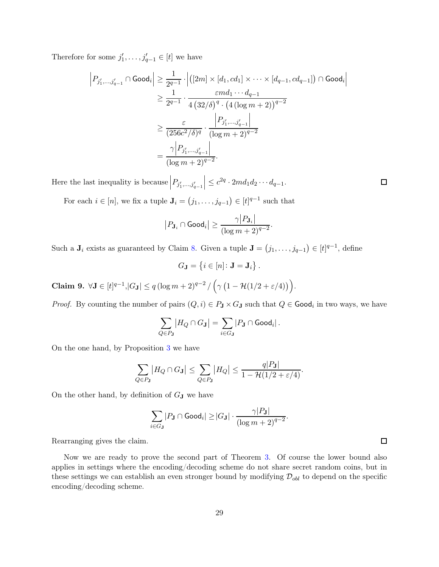Therefore for some  $j'_1, \ldots, j'_{q-1} \in [t]$  we have

$$
\left| P_{j'_1, \dots, j'_{q-1}} \cap \text{Good}_i \right| \ge \frac{1}{2^{q-1}} \cdot \left| \left( [2m] \times [d_1, cd_1] \times \dots \times [d_{q-1}, cd_{q-1}] \right) \cap \text{Good}_i \right|
$$
  
\n
$$
\ge \frac{1}{2^{q-1}} \cdot \frac{ \varepsilon m d_1 \cdots d_{q-1}}{4 (32/\delta)^q \cdot (4 (\log m + 2))^{q-2}}
$$
  
\n
$$
\ge \frac{\varepsilon}{(256c^2/\delta)^q} \cdot \frac{\left| P_{j'_1, \dots, j'_{q-1}} \right|}{(\log m + 2)^{q-2}}
$$
  
\n
$$
= \frac{\gamma \left| P_{j'_1, \dots, j'_{q-1}} \right|}{(\log m + 2)^{q-2}}.
$$

Here the last inequality is because  $\Big|P_{j'_1,...,j'_{q-1}}$  $\vert \leq c^{2q} \cdot 2md_1d_2\cdots d_{q-1}.$ 

For each  $i \in [n]$ , we fix a tuple  $\mathbf{J}_i = (j_1, \ldots, j_{q-1}) \in [t]^{q-1}$  such that

$$
\left|P_{\mathbf{J}_i} \cap \text{Good}_i\right| \ge \frac{\gamma \big|P_{\mathbf{J}_i}\big|}{\left(\log m + 2\right)^{q-2}}.
$$

Such a  $J_i$  exists as guaranteed by Claim [8.](#page-28-1) Given a tuple  $J = (j_1, \ldots, j_{q-1}) \in [t]^{q-1}$ , define

$$
G_{\mathbf{J}}=\left\{i\in\left[n\right]\colon\mathbf{J}=\mathbf{J}_{i}\right\}.
$$

<span id="page-29-0"></span>Claim 9.  $\forall J \in [t]^{q-1}, |G_J| \leq q (\log m + 2)^{q-2} / (\gamma (1 - \mathcal{H}(1/2 + \varepsilon/4)))$ .

*Proof.* By counting the number of pairs  $(Q, i) \in P_J \times G_J$  such that  $Q \in \mathsf{Good}_i$  in two ways, we have

$$
\sum_{Q \in P_{\mathbf{J}}} |H_Q \cap G_{\mathbf{J}}| = \sum_{i \in G_{\mathbf{J}}} |P_{\mathbf{J}} \cap \text{Good}_i|.
$$

On the one hand, by Proposition [3](#page-14-1) we have

$$
\sum_{Q \in P_{\mathbf{J}}} |H_Q \cap G_{\mathbf{J}}| \leq \sum_{Q \in P_{\mathbf{J}}} |H_Q| \leq \frac{q|P_{\mathbf{J}}|}{1 - \mathcal{H}(1/2 + \varepsilon/4)}.
$$

On the other hand, by definition of  $G_J$  we have

$$
\sum_{i \in G_{\mathbf{J}}} |P_{\mathbf{J}} \cap \text{Good}_i| \geq |G_{\mathbf{J}}| \cdot \frac{\gamma |P_{\mathbf{J}}|}{(\log m + 2)^{q-2}}.
$$

Rearranging gives the claim.

Now we are ready to prove the second part of Theorem [3.](#page-4-2) Of course the lower bound also applies in settings where the encoding/decoding scheme do not share secret random coins, but in these settings we can establish an even stronger bound by modifying  $\mathcal{D}_{obl}$  to depend on the specific encoding/decoding scheme.

 $\Box$ 

 $\Box$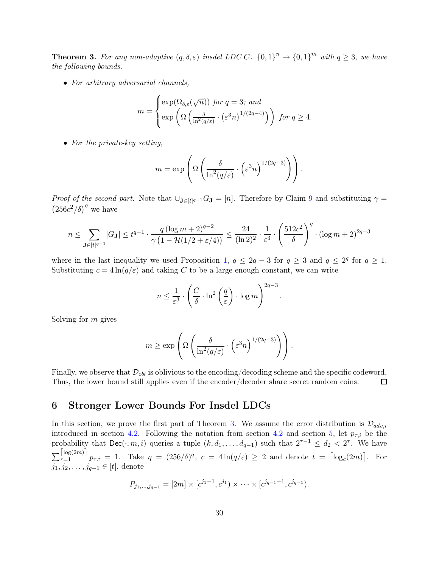**Theorem 3.** For any non-adaptive  $(q, \delta, \varepsilon)$  insdel LDC C:  $\{0, 1\}^n \to \{0, 1\}^m$  with  $q \geq 3$ , we have the following bounds.

• For arbitrary adversarial channels,

$$
m = \begin{cases} \exp(\Omega_{\delta,\varepsilon}(\sqrt{n})) \text{ for } q = 3; \text{ and} \\ \exp\left(\Omega\left(\frac{\delta}{\ln^2(q/\varepsilon)} \cdot (\varepsilon^3 n)^{1/(2q-4)}\right)\right) \text{ for } q \ge 4. \end{cases}
$$

• For the private-key setting,

$$
m = \exp\left(\Omega\left(\frac{\delta}{\ln^2(q/\varepsilon)} \cdot \left(\varepsilon^3 n\right)^{1/(2q-3)}\right)\right).
$$

Proof of the second part. Note that  $\bigcup_{\mathbf{J}\in[t]^{q-1}}G_{\mathbf{J}}=[n]$ . Therefore by Claim [9](#page-29-0) and substituting  $\gamma=$  $(256c^2/\delta)^q$  we have

$$
n \leq \sum_{\mathbf{J} \in [t]^{q-1}} |G_{\mathbf{J}}| \leq t^{q-1} \cdot \frac{q(\log m + 2)^{q-2}}{\gamma(1 - \mathcal{H}(1/2 + \varepsilon/4))} \leq \frac{24}{(\ln 2)^2} \cdot \frac{1}{\varepsilon^3} \cdot \left(\frac{512c^2}{\delta}\right)^q \cdot (\log m + 2)^{2q-3}
$$

where in the last inequality we used Proposition [1,](#page-13-0)  $q \le 2q - 3$  for  $q \ge 3$  and  $q \le 2^q$  for  $q \ge 1$ . Substituting  $c = 4 \ln(q/\varepsilon)$  and taking C to be a large enough constant, we can write

$$
n \le \frac{1}{\varepsilon^3} \cdot \left(\frac{C}{\delta} \cdot \ln^2\left(\frac{q}{\varepsilon}\right) \cdot \log m\right)^{2q-3}.
$$

Solving for m gives

$$
m \geq \exp\left(\Omega\left(\frac{\delta}{\ln^2(q/\varepsilon)} \cdot \left(\varepsilon^3 n\right)^{1/(2q-3)}\right)\right).
$$

Finally, we observe that  $\mathcal{D}_{obl}$  is oblivious to the encoding/decoding scheme and the specific codeword.<br>Thus, the lower bound still applies even if the encoder/decoder share secret random coins. Thus, the lower bound still applies even if the encoder/decoder share secret random coins.

### <span id="page-30-0"></span>6 Stronger Lower Bounds For Insdel LDCs

In this section, we prove the first part of Theorem [3.](#page-4-2) We assume the error distribution is  $\mathcal{D}_{adv,i}$ introduced in section [4.2.](#page-27-2) Following the notation from section [4.2](#page-27-2) and section [5,](#page-28-0) let  $p_{\tau,i}$  be the probability that Dec( $\cdot$ ,  $m, i$ ) queries a tuple  $(k, d_1, \ldots, d_{q-1})$  such that  $2^{\tau-1} \leq d_2 < 2^{\tau}$ . We have  $\sum_{\tau=1}^{\lfloor \log(2m) \rfloor} p_{\tau,i} = 1$ . Take  $\eta = (256/\delta)^q$ ,  $c = 4\ln(q/\varepsilon) \ge 2$  and denote  $t = \lceil \log_c(2m) \rceil$ . For  $j_1, j_2, \ldots, j_{q-1} \in [t]$ , denote

$$
P_{j_1,\dots,j_{q-1}}=[2m]\times[c^{j_1-1},c^{j_1})\times\cdots\times[c^{j_{q-1}-1},c^{j_{q-1}}).
$$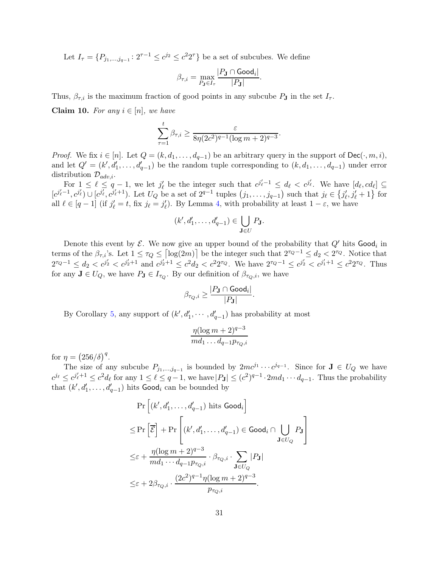Let  $I_{\tau} = \{P_{j_1,...,j_{q-1}} : 2^{\tau-1} \le c^{j_2} \le c^2 2^{\tau}\}\$ be a set of subcubes. We define

$$
\beta_{\tau,i} = \max_{P_{\mathbf{J}} \in I_{\tau}} \frac{|P_{\mathbf{J}} \cap \textsf{Good}_i|}{|P_{\mathbf{J}}|}
$$

.

Thus,  $\beta_{\tau,i}$  is the maximum fraction of good points in any subcube  $P_{\bf J}$  in the set  $I_{\tau}$ .

<span id="page-31-0"></span>Claim 10. For any  $i \in [n]$ , we have

$$
\sum_{\tau=1}^t \beta_{\tau,i} \ge \frac{\varepsilon}{8\eta(2c^2)^{q-1}(\log m+2)^{q-3}}.
$$

*Proof.* We fix  $i \in [n]$ . Let  $Q = (k, d_1, \ldots, d_{q-1})$  be an arbitrary query in the support of  $\text{Dec}(\cdot, m, i)$ , and let  $Q' = (k', d'_1, \ldots, d'_{q-1})$  be the random tuple corresponding to  $(k, d_1, \ldots, d_{q-1})$  under error distribution  $\mathcal{D}_{adv,i}$ .

For  $1 \leq \ell \leq q-1$ , we let  $j'_\ell$  be the integer such that  $c^{j'_\ell-1} \leq d_\ell < c^{j'_\ell}$ . We have  $[d_\ell, cd_\ell] \subseteq$  $[c^{j'_{\ell}-1}, c^{j'_{\ell}}] \cup [c^{j'_{\ell}}, c^{j'_{\ell}+1})$ . Let  $U_Q$  be a set of  $2^{q-1}$  tuples  $(j_1, \ldots, j_{q-1})$  such that  $j_{\ell} \in \{j'_{\ell}, j'_{\ell}+1\}$  for all  $\ell \in [q-1]$  (if  $j'_{\ell} = t$ , fix  $j_{\ell} = j'_{\ell}$ ). By Lemma [4,](#page-23-0) with probability at least  $1 - \varepsilon$ , we have

$$
(k',d'_1,\ldots,d'_{q-1})\in \bigcup_{\mathbf{J}\in U} P_{\mathbf{J}}.
$$

Denote this event by  $\mathcal{E}$ . We now give an upper bound of the probability that  $Q'$  hits  $\mathsf{Good}_i$  in terms of the  $\beta_{\tau,i}$ 's. Let  $1 \leq \tau_Q \leq \lceil \log(2m) \rceil$  be the integer such that  $2^{\tau_Q-1} \leq d_2 < 2^{\tau_Q}$ . Notice that  $2^{\tau_Q-1} \leq d_2 < c^{j'_2} < c^{j'_2+1}$  and  $c^{j'_2+1} \leq c^2 d_2 < c^2 2^{\tau_Q}$ . We have  $2^{\tau_Q-1} \leq c^{j'_2} < c^{j'_1+1} \leq c^2 2^{\tau_Q}$ . Thus for any  $\mathbf{J} \in U_Q$ , we have  $P_{\mathbf{J}} \in I_{\tau_Q}$ . By our definition of  $\beta_{\tau_Q,i}$ , we have

$$
\beta_{\tau_Q,i} \geq \frac{|P_{\mathbf{J}} \cap \textsf{Good}_i|}{|P_{\mathbf{J}}|}.
$$

By Corollary [5,](#page-27-1) any support of  $(k', d'_1, \dots, d'_{q-1})$  has probability at most

$$
\frac{\eta(\log m+2)^{q-3}}{m d_1 \dots d_{q-1} p_{\tau_Q,i}}
$$

for  $\eta = (256/\delta)^q$ .

The size of any subcube  $P_{j_1,...,j_{q-1}}$  is bounded by  $2mc^{j_1} \cdots c^{j_{q-1}}$ . Since for  $\mathbf{J} \in U_Q$  we have  $c^{j_{\ell}} \leq c^{j_{\ell}^{\prime}+1} \leq c^2 d_{\ell}$  for any  $1 \leq \ell \leq q-1$ , we have  $|P_{\mathbf{J}}| \leq (c^2)^{q-1} \cdot 2md_1 \cdots d_{q-1}$ . Thus the probability that  $(k', d'_1, \ldots, d'_{q-1})$  hits  $\textsf{Good}_i$  can be bounded by

$$
\begin{aligned} &\Pr\left[(k',d_1',\ldots,d_{q-1}') \text{ hits } \textsf{Good}_i\right] \\ &\leq \Pr\left[\overline{\mathcal{E}}\right] + \Pr\left[(k',d_1',\ldots,d_{q-1}') \in \textsf{Good}_i \cap \bigcup_{\mathbf{J} \in U_Q} P_{\mathbf{J}}\right] \\ &\leq \varepsilon + \frac{\eta(\log m + 2)^{q-3}}{md_1 \cdots d_{q-1} p_{\tau_Q,i}} \cdot \beta_{\tau_Q,i} \cdot \sum_{\mathbf{J} \in U_Q} |P_{\mathbf{J}}| \\ &\leq \varepsilon + 2 \beta_{\tau_Q,i} \cdot \frac{(2c^2)^{q-1} \eta(\log m + 2)^{q-3}}{p_{\tau_Q,i}}. \end{aligned}
$$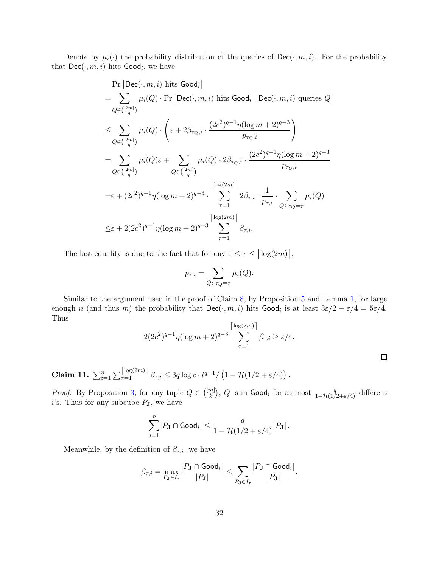Denote by  $\mu_i(\cdot)$  the probability distribution of the queries of  $\text{Dec}(\cdot, m, i)$ . For the probability that  $\mathsf{Dec}(\cdot,m,i)$  hits  $\mathsf{Good}_i$ , we have

$$
\Pr\left[\text{Dec}(\cdot, m, i) \text{ hits } \text{Good}_i\right]
$$
\n
$$
= \sum_{Q \in \binom{[2m]}{q}} \mu_i(Q) \cdot \Pr\left[\text{Dec}(\cdot, m, i) \text{ hits } \text{Good}_i \mid \text{Dec}(\cdot, m, i) \text{ queries } Q\right]
$$
\n
$$
\leq \sum_{Q \in \binom{[2m]}{q}} \mu_i(Q) \cdot \left(\varepsilon + 2\beta_{\tau_Q, i} \cdot \frac{(2c^2)^{q-1} \eta(\log m + 2)^{q-3}}{p_{\tau_Q, i}}\right)
$$
\n
$$
= \sum_{Q \in \binom{[2m]}{q}} \mu_i(Q)\varepsilon + \sum_{Q \in \binom{[2m]}{q}} \mu_i(Q) \cdot 2\beta_{\tau_Q, i} \cdot \frac{(2c^2)^{q-1} \eta(\log m + 2)^{q-3}}{p_{\tau_Q, i}}
$$
\n
$$
= \varepsilon + (2c^2)^{q-1} \eta(\log m + 2)^{q-3} \cdot \sum_{\tau=1}^{\lceil \log(2m) \rceil} 2\beta_{\tau, i} \cdot \frac{1}{p_{\tau, i}} \cdot \sum_{Q \colon \tau_Q = \tau} \mu_i(Q)
$$
\n
$$
\leq \varepsilon + 2(2c^2)^{q-1} \eta(\log m + 2)^{q-3} \sum_{\tau=1}^{\lceil \log(2m) \rceil} \beta_{\tau, i}.
$$

The last equality is due to the fact that for any  $1 \leq \tau \leq \lceil \log(2m) \rceil$ ,

$$
p_{\tau,i} = \sum_{Q \colon \tau_Q = \tau} \mu_i(Q).
$$

Similar to the argument used in the proof of Claim [8,](#page-28-1) by Proposition [5](#page-23-1) and Lemma [1,](#page-15-0) for large enough n (and thus m) the probability that  $\mathsf{Dec}(\cdot, m, i)$  hits  $\mathsf{Good}_i$  is at least  $3\varepsilon/2 - \varepsilon/4 = 5\varepsilon/4$ . Thus

$$
2(2c^2)^{q-1}\eta(\log m+2)^{q-3}\sum_{\tau=1}^{\lfloor \log(2m) \rfloor} \beta_{\tau,i} \ge \varepsilon/4.
$$

 $\Box$ 

<span id="page-32-0"></span>Claim 11.  $\sum_{i=1}^{n} \sum_{\tau=1}^{\lfloor \log(2m) \rfloor} \beta_{\tau,i} \leq 3q \log c \cdot t^{q-1}/\left(1 - \mathcal{H}(1/2 + \varepsilon/4)\right)$ .

*Proof.* By Proposition [3,](#page-14-1) for any tuple  $Q \in \binom{[m]}{k}$ *Proof.* By Proposition 3, for any tuple  $Q \in \binom{[m]}{k}$ , Q is in  $\text{Good}_i$  for at most  $\frac{q}{1-\mathcal{H}(1/2+\varepsilon/4)}$  different *i*'s. Thus for any subcube  $P_J$ , we have

$$
\sum_{i=1}^n \lvert P \mathbf{J} \cap \mathsf{Good}_i \rvert \leq \frac{q}{1 - \mathcal{H}(1/2 + \varepsilon/4)} \lvert P \mathbf{J} \rvert \,.
$$

Meanwhile, by the definition of  $\beta_{\tau,i}$ , we have

$$
\beta_{\tau,i} = \max_{P_{\mathbf{J}} \in I_{\tau}} \frac{|P_{\mathbf{J}} \cap \text{Good}_i|}{|P_{\mathbf{J}}|} \leq \sum_{P_{\mathbf{J}} \in I_{\tau}} \frac{|P_{\mathbf{J}} \cap \text{Good}_i|}{|P_{\mathbf{J}}|}.
$$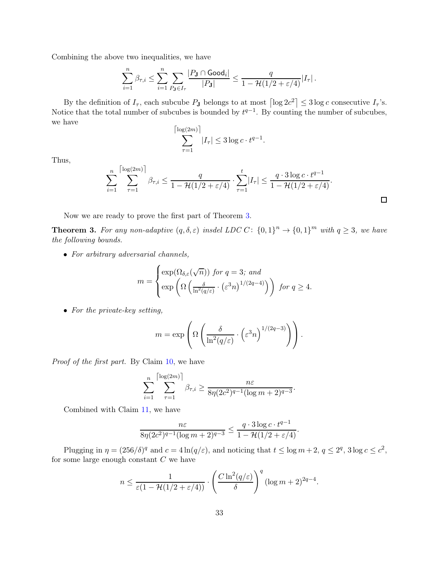Combining the above two inequalities, we have

$$
\sum_{i=1}^n \beta_{\tau,i} \leq \sum_{i=1}^n \sum_{P_{\mathbf{J}} \in I_{\tau}} \frac{|P_{\mathbf{J}} \cap \text{Good}_i|}{|P_{\mathbf{J}}|} \leq \frac{q}{1 - \mathcal{H}(1/2 + \varepsilon/4)} |I_{\tau}| \,.
$$

By the definition of  $I_{\tau}$ , each subcube  $P_{\bf J}$  belongs to at most  $\left[\log 2c^2\right] \leq 3\log c$  consecutive  $I_{\tau}$ 's. Notice that the total number of subcubes is bounded by  $t^{q-1}$ . By counting the number of subcubes, we have

$$
\sum_{\tau=1}^{\lfloor \log(2m) \rfloor} |I_{\tau}| \le 3 \log c \cdot t^{q-1}.
$$

Thus,

$$
\sum_{i=1}^n \sum_{\tau=1}^{\lfloor \log(2m) \rfloor} \beta_{\tau,i} \leq \frac{q}{1 - \mathcal{H}(1/2 + \varepsilon/4)} \cdot \sum_{\tau=1}^t |I_{\tau}| \leq \frac{q \cdot 3 \log c \cdot t^{q-1}}{1 - \mathcal{H}(1/2 + \varepsilon/4)}.
$$

 $\Box$ 

Now we are ready to prove the first part of Theorem [3.](#page-4-2)

**Theorem 3.** For any non-adaptive  $(q, \delta, \varepsilon)$  insdel LDC C:  $\{0, 1\}^n \to \{0, 1\}^m$  with  $q \geq 3$ , we have the following bounds.

• For arbitrary adversarial channels,

$$
m = \begin{cases} \exp(\Omega_{\delta,\varepsilon}(\sqrt{n})) \text{ for } q = 3; \text{ and} \\ \exp\left(\Omega\left(\frac{\delta}{\ln^2(q/\varepsilon)} \cdot (\varepsilon^3 n)^{1/(2q-4)}\right)\right) \text{ for } q \ge 4. \end{cases}
$$

• For the private-key setting,

$$
m = \exp\left(\Omega\left(\frac{\delta}{\ln^2(q/\varepsilon)} \cdot \left(\varepsilon^3 n\right)^{1/(2q-3)}\right)\right).
$$

Proof of the first part. By Claim [10,](#page-31-0) we have

$$
\sum_{i=1}^n \sum_{\tau=1}^{\lfloor \log(2m) \rfloor} \beta_{\tau,i} \ge \frac{n\varepsilon}{8\eta(2c^2)^{q-1}(\log m + 2)^{q-3}}.
$$

Combined with Claim [11,](#page-32-0) we have

$$
\frac{n\varepsilon}{8\eta(2c^2)^{q-1}(\log m+2)^{q-3}} \le \frac{q \cdot 3\log c \cdot t^{q-1}}{1 - \mathcal{H}(1/2 + \varepsilon/4)}.
$$

Plugging in  $\eta = (256/\delta)^q$  and  $c = 4\ln(q/\varepsilon)$ , and noticing that  $t \le \log m + 2$ ,  $q \le 2^q$ ,  $3\log c \le c^2$ , for some large enough constant  $C$  we have

$$
n \le \frac{1}{\varepsilon (1 - \mathcal{H}(1/2 + \varepsilon/4))} \cdot \left(\frac{C \ln^2(q/\varepsilon)}{\delta}\right)^q (\log m + 2)^{2q-4}.
$$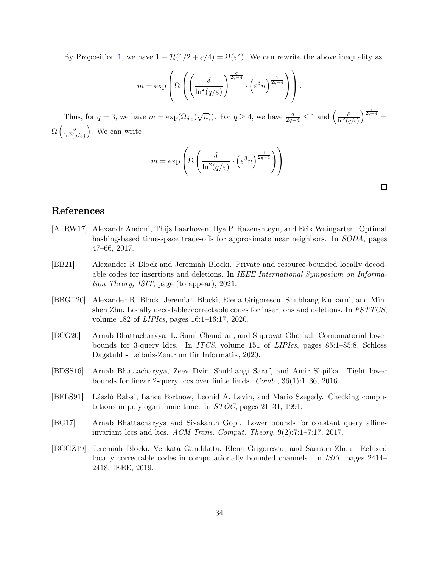By Proposition [1,](#page-13-0) we have  $1 - \mathcal{H}(1/2 + \varepsilon/4) = \Omega(\varepsilon^2)$ . We can rewrite the above inequality as

$$
m = \exp\left(\Omega\left(\left(\frac{\delta}{\ln^2(q/\varepsilon)}\right)^{\frac{q}{2q-4}} \cdot \left(\varepsilon^3 n\right)^{\frac{1}{2q-4}}\right)\right).
$$

Thus, for  $q = 3$ , we have  $m = \exp(\Omega_{\delta,\varepsilon}(\sqrt{n}))$ . For  $q \ge 4$ , we have  $\frac{q}{2q-4} \le 1$  and  $\left(\frac{\delta}{\ln^2(q/\varepsilon)}\right)$  $\Big)^{\frac{q}{2q-4}} =$  $\Omega\left(\frac{\delta}{\ln^2(q/\varepsilon)}\right)$ . We can write

$$
m = \exp\left(\Omega\left(\frac{\delta}{\ln^2(q/\varepsilon)} \cdot \left(\varepsilon^3 n\right)^{\frac{1}{2q-4}}\right)\right).
$$

 $\Box$ 

# References

- <span id="page-34-1"></span>[ALRW17] Alexandr Andoni, Thijs Laarhoven, Ilya P. Razenshteyn, and Erik Waingarten. Optimal hashing-based time-space trade-offs for approximate near neighbors. In SODA, pages 47–66, 2017.
- <span id="page-34-6"></span>[BB21] Alexander R Block and Jeremiah Blocki. Private and resource-bounded locally decodable codes for insertions and deletions. In IEEE International Symposium on Information Theory, ISIT, page (to appear), 2021.
- <span id="page-34-5"></span>[BBG+20] Alexander R. Block, Jeremiah Blocki, Elena Grigorescu, Shubhang Kulkarni, and Minshen Zhu. Locally decodable/correctable codes for insertions and deletions. In FSTTCS, volume 182 of LIPIcs, pages 16:1–16:17, 2020.
- <span id="page-34-4"></span>[BCG20] Arnab Bhattacharyya, L. Sunil Chandran, and Suprovat Ghoshal. Combinatorial lower bounds for 3-query ldcs. In ITCS, volume 151 of LIPIcs, pages 85:1–85:8. Schloss Dagstuhl - Leibniz-Zentrum für Informatik, 2020.
- <span id="page-34-2"></span>[BDSS16] Arnab Bhattacharyya, Zeev Dvir, Shubhangi Saraf, and Amir Shpilka. Tight lower bounds for linear 2-query lccs over finite fields. Comb., 36(1):1–36, 2016.
- <span id="page-34-0"></span>[BFLS91] László Babai, Lance Fortnow, Leonid A. Levin, and Mario Szegedy. Checking computations in polylogarithmic time. In STOC, pages 21–31, 1991.
- <span id="page-34-3"></span>[BG17] Arnab Bhattacharyya and Sivakanth Gopi. Lower bounds for constant query affineinvariant lccs and ltcs. ACM Trans. Comput. Theory, 9(2):7:1–7:17, 2017.
- <span id="page-34-7"></span>[BGGZ19] Jeremiah Blocki, Venkata Gandikota, Elena Grigorescu, and Samson Zhou. Relaxed locally correctable codes in computationally bounded channels. In *ISIT*, pages 2414– 2418. IEEE, 2019.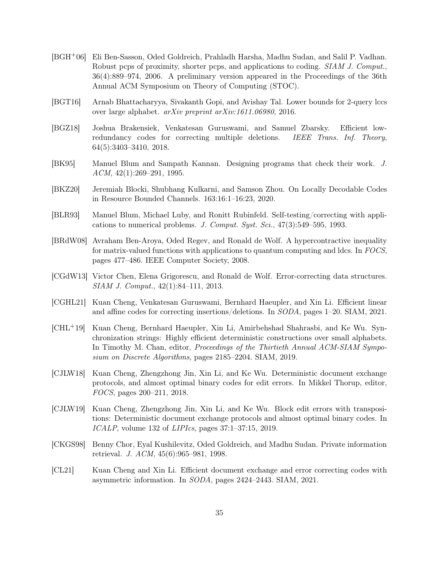- <span id="page-35-12"></span>[BGH+06] Eli Ben-Sasson, Oded Goldreich, Prahladh Harsha, Madhu Sudan, and Salil P. Vadhan. Robust pcps of proximity, shorter pcps, and applications to coding. SIAM J. Comput., 36(4):889–974, 2006. A preliminary version appeared in the Proceedings of the 36th Annual ACM Symposium on Theory of Computing (STOC).
- <span id="page-35-0"></span>[BGT16] Arnab Bhattacharyya, Sivakanth Gopi, and Avishay Tal. Lower bounds for 2-query lccs over large alphabet. arXiv preprint arXiv:1611.06980, 2016.
- <span id="page-35-6"></span>[BGZ18] Joshua Brakensiek, Venkatesan Guruswami, and Samuel Zbarsky. Efficient lowredundancy codes for correcting multiple deletions. IEEE Trans. Inf. Theory, 64(5):3403–3410, 2018.
- <span id="page-35-2"></span>[BK95] Manuel Blum and Sampath Kannan. Designing programs that check their work. J. ACM, 42(1):269–291, 1995.
- <span id="page-35-13"></span>[BKZ20] Jeremiah Blocki, Shubhang Kulkarni, and Samson Zhou. On Locally Decodable Codes in Resource Bounded Channels. 163:16:1–16:23, 2020.
- <span id="page-35-1"></span>[BLR93] Manuel Blum, Michael Luby, and Ronitt Rubinfeld. Self-testing/correcting with applications to numerical problems. J. Comput. Syst. Sci., 47(3):549–595, 1993.
- <span id="page-35-5"></span>[BRdW08] Avraham Ben-Aroya, Oded Regev, and Ronald de Wolf. A hypercontractive inequality for matrix-valued functions with applications to quantum computing and ldcs. In FOCS, pages 477–486. IEEE Computer Society, 2008.
- <span id="page-35-4"></span>[CGdW13] Victor Chen, Elena Grigorescu, and Ronald de Wolf. Error-correcting data structures. SIAM J. Comput., 42(1):84–111, 2013.
- <span id="page-35-10"></span>[CGHL21] Kuan Cheng, Venkatesan Guruswami, Bernhard Haeupler, and Xin Li. Efficient linear and affine codes for correcting insertions/deletions. In SODA, pages 1–20. SIAM, 2021.
- <span id="page-35-8"></span>[CHL+19] Kuan Cheng, Bernhard Haeupler, Xin Li, Amirbehshad Shahrasbi, and Ke Wu. Synchronization strings: Highly efficient deterministic constructions over small alphabets. In Timothy M. Chan, editor, *Proceedings of the Thirtieth Annual ACM-SIAM Sympo*sium on Discrete Algorithms, pages 2185–2204. SIAM, 2019.
- <span id="page-35-7"></span>[CJLW18] Kuan Cheng, Zhengzhong Jin, Xin Li, and Ke Wu. Deterministic document exchange protocols, and almost optimal binary codes for edit errors. In Mikkel Thorup, editor, FOCS, pages 200–211, 2018.
- <span id="page-35-9"></span>[CJLW19] Kuan Cheng, Zhengzhong Jin, Xin Li, and Ke Wu. Block edit errors with transpositions: Deterministic document exchange protocols and almost optimal binary codes. In ICALP, volume 132 of LIPIcs, pages 37:1–37:15, 2019.
- <span id="page-35-3"></span>[CKGS98] Benny Chor, Eyal Kushilevitz, Oded Goldreich, and Madhu Sudan. Private information retrieval. J. ACM, 45(6):965–981, 1998.
- <span id="page-35-11"></span>[CL21] Kuan Cheng and Xin Li. Efficient document exchange and error correcting codes with asymmetric information. In SODA, pages 2424–2443. SIAM, 2021.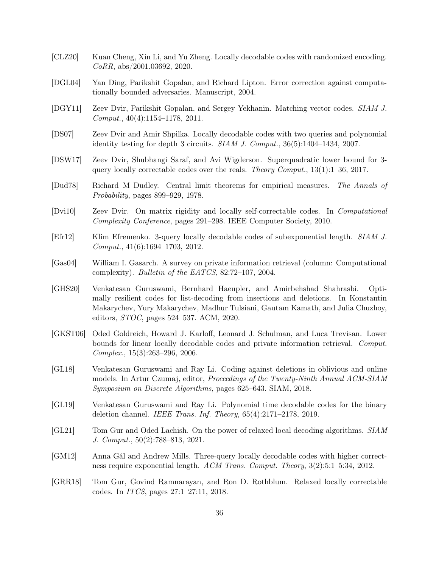- <span id="page-36-9"></span>[CLZ20] Kuan Cheng, Xin Li, and Yu Zheng. Locally decodable codes with randomized encoding. CoRR, abs/2001.03692, 2020.
- <span id="page-36-14"></span>[DGL04] Yan Ding, Parikshit Gopalan, and Richard Lipton. Error correction against computationally bounded adversaries. Manuscript, 2004.
- <span id="page-36-2"></span>[DGY11] Zeev Dvir, Parikshit Gopalan, and Sergey Yekhanin. Matching vector codes. SIAM J. Comput., 40(4):1154–1178, 2011.
- <span id="page-36-10"></span>[DS07] Zeev Dvir and Amir Shpilka. Locally decodable codes with two queries and polynomial identity testing for depth 3 circuits. SIAM J. Comput., 36(5):1404–1434, 2007.
- <span id="page-36-5"></span>[DSW17] Zeev Dvir, Shubhangi Saraf, and Avi Wigderson. Superquadratic lower bound for 3 query locally correctable codes over the reals. Theory Comput., 13(1):1–36, 2017.
- <span id="page-36-15"></span>[Dud78] Richard M Dudley. Central limit theorems for empirical measures. The Annals of Probability, pages 899–929, 1978.
- <span id="page-36-11"></span>[Dvi10] Zeev Dvir. On matrix rigidity and locally self-correctable codes. In Computational Complexity Conference, pages 291–298. IEEE Computer Society, 2010.
- <span id="page-36-3"></span>[Efr12] Klim Efremenko. 3-query locally decodable codes of subexponential length. SIAM J. Comput., 41(6):1694–1703, 2012.
- <span id="page-36-0"></span>[Gas04] William I. Gasarch. A survey on private information retrieval (column: Computational complexity). Bulletin of the EATCS, 82:72–107, 2004.
- <span id="page-36-8"></span>[GHS20] Venkatesan Guruswami, Bernhard Haeupler, and Amirbehshad Shahrasbi. Optimally resilient codes for list-decoding from insertions and deletions. In Konstantin Makarychev, Yury Makarychev, Madhur Tulsiani, Gautam Kamath, and Julia Chuzhoy, editors, STOC, pages 524–537. ACM, 2020.
- <span id="page-36-1"></span>[GKST06] Oded Goldreich, Howard J. Karloff, Leonard J. Schulman, and Luca Trevisan. Lower bounds for linear locally decodable codes and private information retrieval. Comput. Complex., 15(3):263–296, 2006.
- <span id="page-36-6"></span>[GL18] Venkatesan Guruswami and Ray Li. Coding against deletions in oblivious and online models. In Artur Czumaj, editor, Proceedings of the Twenty-Ninth Annual ACM-SIAM Symposium on Discrete Algorithms, pages 625–643. SIAM, 2018.
- <span id="page-36-7"></span>[GL19] Venkatesan Guruswami and Ray Li. Polynomial time decodable codes for the binary deletion channel. IEEE Trans. Inf. Theory, 65(4):2171–2178, 2019.
- <span id="page-36-13"></span>[GL21] Tom Gur and Oded Lachish. On the power of relaxed local decoding algorithms. SIAM J. Comput., 50(2):788–813, 2021.
- <span id="page-36-4"></span>[GM12] Anna Gál and Andrew Mills. Three-query locally decodable codes with higher correctness require exponential length. ACM Trans. Comput. Theory, 3(2):5:1–5:34, 2012.
- <span id="page-36-12"></span>[GRR18] Tom Gur, Govind Ramnarayan, and Ron D. Rothblum. Relaxed locally correctable codes. In ITCS, pages 27:1–27:11, 2018.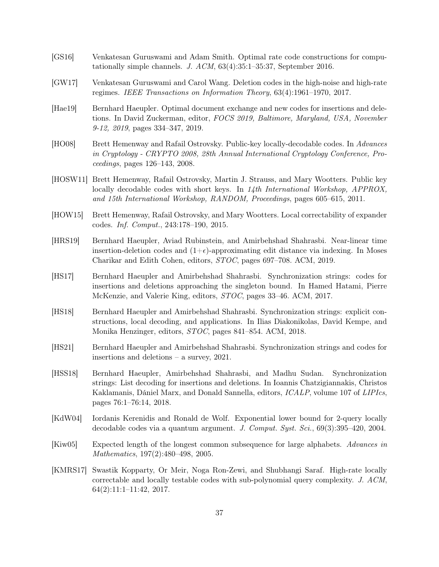- <span id="page-37-10"></span>[GS16] Venkatesan Guruswami and Adam Smith. Optimal rate code constructions for computationally simple channels. J. ACM, 63(4):35:1–35:37, September 2016.
- <span id="page-37-3"></span>[GW17] Venkatesan Guruswami and Carol Wang. Deletion codes in the high-noise and high-rate regimes. IEEE Transactions on Information Theory, 63(4):1961–1970, 2017.
- <span id="page-37-8"></span>[Hae19] Bernhard Haeupler. Optimal document exchange and new codes for insertions and deletions. In David Zuckerman, editor, FOCS 2019, Baltimore, Maryland, USA, November 9-12, 2019, pages 334–347, 2019.
- <span id="page-37-11"></span>[HO08] Brett Hemenway and Rafail Ostrovsky. Public-key locally-decodable codes. In Advances in Cryptology - CRYPTO 2008, 28th Annual International Cryptology Conference, Proceedings, pages 126–143, 2008.
- <span id="page-37-12"></span>[HOSW11] Brett Hemenway, Rafail Ostrovsky, Martin J. Strauss, and Mary Wootters. Public key locally decodable codes with short keys. In 14th International Workshop, APPROX, and 15th International Workshop, RANDOM, Proceedings, pages 605–615, 2011.
- <span id="page-37-13"></span>[HOW15] Brett Hemenway, Rafail Ostrovsky, and Mary Wootters. Local correctability of expander codes. Inf. Comput., 243:178–190, 2015.
- <span id="page-37-7"></span>[HRS19] Bernhard Haeupler, Aviad Rubinstein, and Amirbehshad Shahrasbi. Near-linear time insertion-deletion codes and  $(1+\epsilon)$ -approximating edit distance via indexing. In Moses Charikar and Edith Cohen, editors, STOC, pages 697–708. ACM, 2019.
- <span id="page-37-4"></span>[HS17] Bernhard Haeupler and Amirbehshad Shahrasbi. Synchronization strings: codes for insertions and deletions approaching the singleton bound. In Hamed Hatami, Pierre McKenzie, and Valerie King, editors, STOC, pages 33–46. ACM, 2017.
- <span id="page-37-6"></span>[HS18] Bernhard Haeupler and Amirbehshad Shahrasbi. Synchronization strings: explicit constructions, local decoding, and applications. In Ilias Diakonikolas, David Kempe, and Monika Henzinger, editors, STOC, pages 841–854. ACM, 2018.
- <span id="page-37-9"></span>[HS21] Bernhard Haeupler and Amirbehshad Shahrasbi. Synchronization strings and codes for insertions and deletions – a survey, 2021.
- <span id="page-37-5"></span>[HSS18] Bernhard Haeupler, Amirbehshad Shahrasbi, and Madhu Sudan. Synchronization strings: List decoding for insertions and deletions. In Ioannis Chatzigiannakis, Christos Kaklamanis, Dániel Marx, and Donald Sannella, editors, ICALP, volume 107 of LIPIcs, pages 76:1–76:14, 2018.
- <span id="page-37-0"></span>[KdW04] Iordanis Kerenidis and Ronald de Wolf. Exponential lower bound for 2-query locally decodable codes via a quantum argument. J. Comput. Syst. Sci., 69(3):395–420, 2004.
- <span id="page-37-2"></span>[Kiw05] Expected length of the longest common subsequence for large alphabets. Advances in Mathematics, 197(2):480–498, 2005.
- <span id="page-37-1"></span>[KMRS17] Swastik Kopparty, Or Meir, Noga Ron-Zewi, and Shubhangi Saraf. High-rate locally correctable and locally testable codes with sub-polynomial query complexity. J. ACM, 64(2):11:1–11:42, 2017.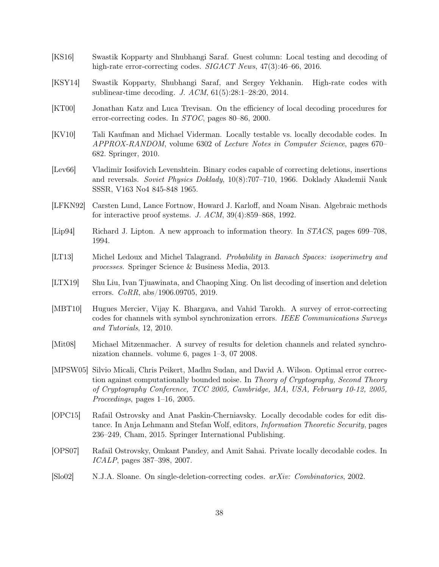- <span id="page-38-4"></span>[KS16] Swastik Kopparty and Shubhangi Saraf. Guest column: Local testing and decoding of high-rate error-correcting codes. SIGACT News, 47(3):46–66, 2016.
- <span id="page-38-5"></span>[KSY14] Swastik Kopparty, Shubhangi Saraf, and Sergey Yekhanin. High-rate codes with sublinear-time decoding. J. ACM, 61(5):28:1–28:20, 2014.
- <span id="page-38-2"></span>[KT00] Jonathan Katz and Luca Trevisan. On the efficiency of local decoding procedures for error-correcting codes. In STOC, pages 80–86, 2000.
- <span id="page-38-1"></span>[KV10] Tali Kaufman and Michael Viderman. Locally testable vs. locally decodable codes. In APPROX-RANDOM, volume 6302 of Lecture Notes in Computer Science, pages 670– 682. Springer, 2010.
- <span id="page-38-0"></span>[Lev66] Vladimir Iosifovich Levenshtein. Binary codes capable of correcting deletions, insertions and reversals. Soviet Physics Doklady, 10(8):707–710, 1966. Doklady Akademii Nauk SSSR, V163 No4 845-848 1965.
- <span id="page-38-3"></span>[LFKN92] Carsten Lund, Lance Fortnow, Howard J. Karloff, and Noam Nisan. Algebraic methods for interactive proof systems. J. ACM, 39(4):859–868, 1992.
- <span id="page-38-6"></span>[Lip94] Richard J. Lipton. A new approach to information theory. In STACS, pages 699–708, 1994.
- <span id="page-38-14"></span>[LT13] Michel Ledoux and Michel Talagrand. Probability in Banach Spaces: isoperimetry and processes. Springer Science & Business Media, 2013.
- <span id="page-38-8"></span>[LTX19] Shu Liu, Ivan Tjuawinata, and Chaoping Xing. On list decoding of insertion and deletion errors. CoRR, abs/1906.09705, 2019.
- <span id="page-38-10"></span>[MBT10] Hugues Mercier, Vijay K. Bhargava, and Vahid Tarokh. A survey of error-correcting codes for channels with symbol synchronization errors. IEEE Communications Surveys and Tutorials, 12, 2010.
- <span id="page-38-11"></span>[Mit08] Michael Mitzenmacher. A survey of results for deletion channels and related synchronization channels. volume 6, pages 1–3, 07 2008.
- <span id="page-38-13"></span>[MPSW05] Silvio Micali, Chris Peikert, Madhu Sudan, and David A. Wilson. Optimal error correction against computationally bounded noise. In Theory of Cryptography, Second Theory of Cryptography Conference, TCC 2005, Cambridge, MA, USA, February 10-12, 2005, Proceedings, pages 1–16, 2005.
- <span id="page-38-12"></span>[OPC15] Rafail Ostrovsky and Anat Paskin-Cherniavsky. Locally decodable codes for edit distance. In Anja Lehmann and Stefan Wolf, editors, Information Theoretic Security, pages 236–249, Cham, 2015. Springer International Publishing.
- <span id="page-38-7"></span>[OPS07] Rafail Ostrovsky, Omkant Pandey, and Amit Sahai. Private locally decodable codes. In ICALP, pages 387–398, 2007.
- <span id="page-38-9"></span>[Slo02] N.J.A. Sloane. On single-deletion-correcting codes. arXiv: Combinatorics, 2002.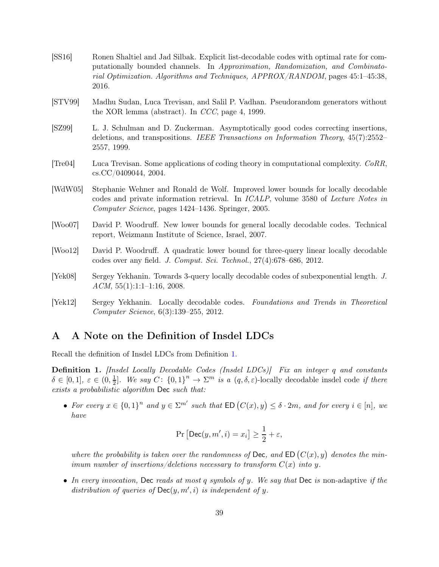- <span id="page-39-9"></span>[SS16] Ronen Shaltiel and Jad Silbak. Explicit list-decodable codes with optimal rate for computationally bounded channels. In Approximation, Randomization, and Combinatorial Optimization. Algorithms and Techniques, APPROX/RANDOM, pages 45:1–45:38, 2016.
- <span id="page-39-0"></span>[STV99] Madhu Sudan, Luca Trevisan, and Salil P. Vadhan. Pseudorandom generators without the XOR lemma (abstract). In CCC, page 4, 1999.
- <span id="page-39-8"></span>[SZ99] L. J. Schulman and D. Zuckerman. Asymptotically good codes correcting insertions, deletions, and transpositions. IEEE Transactions on Information Theory, 45(7):2552– 2557, 1999.
- <span id="page-39-1"></span>[Tre04] Luca Trevisan. Some applications of coding theory in computational complexity. CoRR, cs.CC/0409044, 2004.
- <span id="page-39-2"></span>[WdW05] Stephanie Wehner and Ronald de Wolf. Improved lower bounds for locally decodable codes and private information retrieval. In ICALP, volume 3580 of Lecture Notes in Computer Science, pages 1424–1436. Springer, 2005.
- <span id="page-39-3"></span>[Woo07] David P. Woodruff. New lower bounds for general locally decodable codes. Technical report, Weizmann Institute of Science, Israel, 2007.
- <span id="page-39-6"></span>[Woo12] David P. Woodruff. A quadratic lower bound for three-query linear locally decodable codes over any field. J. Comput. Sci. Technol., 27(4):678–686, 2012.
- <span id="page-39-4"></span>[Yek08] Sergey Yekhanin. Towards 3-query locally decodable codes of subexponential length. J.  $ACM$ ,  $55(1):1:1-1:16$ , 2008.
- <span id="page-39-5"></span>[Yek12] Sergey Yekhanin. Locally decodable codes. Foundations and Trends in Theoretical Computer Science, 6(3):139–255, 2012.

# <span id="page-39-7"></span>A A Note on the Definition of Insdel LDCs

Recall the definition of Insdel LDCs from Definition [1.](#page-2-0)

Definition 1. [Insdel Locally Decodable Codes (Insdel LDCs)] Fix an integer q and constants  $\delta \in [0,1], \ \varepsilon \in (0,\frac{1}{2}]$  $\frac{1}{2}$ . We say  $C: \{0,1\}^n \to \Sigma^m$  is a  $(q, \delta, \varepsilon)$ -locally decodable insdel code if there exists a probabilistic algorithm Dec such that:

• For every  $x \in \{0,1\}^n$  and  $y \in \Sigma^{m'}$  such that  $ED(C(x), y) \leq \delta \cdot 2m$ , and for every  $i \in [n]$ , we have

$$
\Pr\left[\mathsf{Dec}(y, m', i) = x_i\right] \ge \frac{1}{2} + \varepsilon,
$$

where the probability is taken over the randomness of Dec, and ED  $(C(x), y)$  denotes the minimum number of insertions/deletions necessary to transform  $C(x)$  into y.

• In every invocation, Dec reads at most q symbols of y. We say that Dec is non-adaptive if the distribution of queries of  $Dec(y, m', i)$  is independent of y.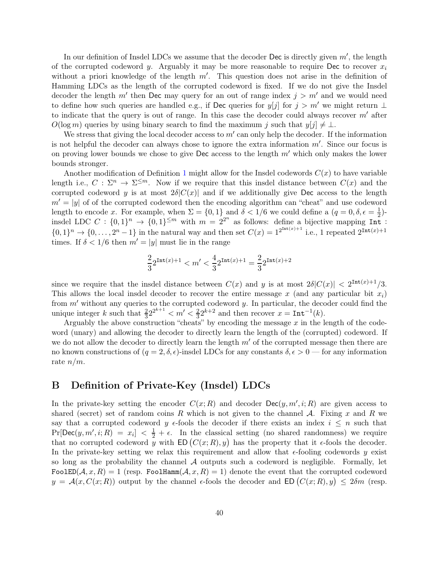In our definition of Insdel LDCs we assume that the decoder  $\mathsf{Dec}$  is directly given  $m'$ , the length of the corrupted codeword y. Arguably it may be more reasonable to require Dec to recover  $x_i$ without a priori knowledge of the length  $m'$ . This question does not arise in the definition of Hamming LDCs as the length of the corrupted codeword is fixed. If we do not give the Insdel decoder the length  $m'$  then Dec may query for an out of range index  $j > m'$  and we would need to define how such queries are handled e.g., if Dec queries for  $y[j]$  for  $j > m'$  we might return ⊥ to indicate that the query is out of range. In this case the decoder could always recover  $m'$  after  $O(\log m)$  queries by using binary search to find the maximum j such that  $y[j] \neq \perp$ .

We stress that giving the local decoder access to  $m'$  can only help the decoder. If the information is not helpful the decoder can always chose to ignore the extra information  $m'$ . Since our focus is on proving lower bounds we chose to give Dec access to the length  $m'$  which only makes the lower bounds stronger.

Another modification of Definition [1](#page-2-0) might allow for the Insdel codewords  $C(x)$  to have variable length i.e.,  $C: \Sigma^n \to \Sigma^{\leq m}$ . Now if we require that this insdel distance between  $C(x)$  and the corrupted codeword y is at most  $2\delta|C(x)|$  and if we additionally give Dec access to the length  $m' = |y|$  of of the corrupted codeword then the encoding algorithm can "cheat" and use codeword length to encode x. For example, when  $\Sigma = \{0,1\}$  and  $\delta < 1/6$  we could define a  $(q = 0, \delta, \epsilon = \frac{1}{2})$  $(\frac{1}{2})$ insdel LDC  $C: \{0,1\}^n \to \{0,1\}^{\leq m}$  with  $m = 2^{2^n}$  as follows: define a bijective mapping Int:  $\{0,1\}^n \to \{0,\ldots,2^n-1\}$  in the natural way and then set  $C(x) = 1^{2^{\text{Int}(x)+1}}$  i.e., 1 repeated  $2^{\text{Int}(x)+1}$ times. If  $\delta < 1/6$  then  $m' = |y|$  must lie in the range

$$
\frac{2}{3}2^{{\tt Int}(x)+1}
$$

since we require that the insdel distance between  $C(x)$  and y is at most  $2\delta|C(x)| < 2^{\text{Int}(x)+1}/3$ . This allows the local insdel decoder to recover the entire message x (and any particular bit  $x_i$ ) from  $m'$  without any queries to the corrupted codeword y. In particular, the decoder could find the unique integer k such that  $\frac{2}{3}2^{2^{k+1}} < m' < \frac{2}{3}2^{k+2}$  and then recover  $x = \text{Int}^{-1}(k)$ .

Arguably the above construction "cheats" by encoding the message  $x$  in the length of the codeword (unary) and allowing the decoder to directly learn the length of the (corrupted) codeword. If we do not allow the decoder to directly learn the length  $m'$  of the corrupted message then there are no known constructions of  $(q = 2, \delta, \epsilon)$ -insdel LDCs for any constants  $\delta, \epsilon > 0$  — for any information rate  $n/m$ .

## <span id="page-40-0"></span>B Definition of Private-Key (Insdel) LDCs

In the private-key setting the encoder  $C(x;R)$  and decoder  $Dec(y,m',i;R)$  are given access to shared (secret) set of random coins R which is not given to the channel A. Fixing x and R we say that a corrupted codeword y  $\epsilon$ -fools the decoder if there exists an index  $i \leq n$  such that  $Pr[Dec(y, m', i; R) = x_i] < \frac{1}{2} + \epsilon$ . In the classical setting (no shared randomness) we require that no corrupted codeword y with  $ED(C(x;R), y)$  has the property that it  $\epsilon$ -fools the decoder. In the private-key setting we relax this requirement and allow that  $\epsilon$ -fooling codewords y exist so long as the probability the channel  $A$  outputs such a codeword is negligible. Formally, let FoolED( $A, x, R$ ) = 1 (resp. FoolHamm( $A, x, R$ ) = 1) denote the event that the corrupted codeword  $y = A(x, C(x; R))$  output by the channel  $\epsilon$ -fools the decoder and  $ED(C(x; R), y) \leq 2\delta m$  (resp.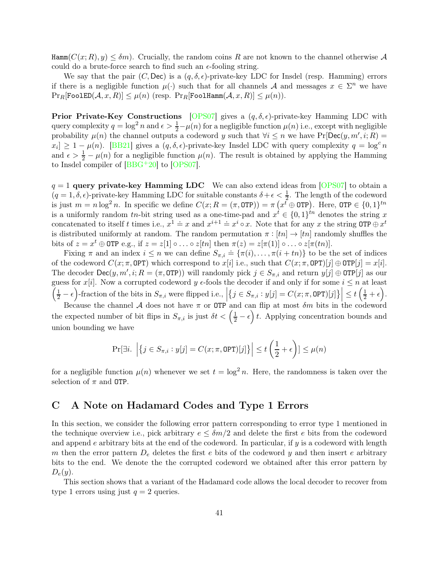$\text{Hamm}(C(x; R), y) \leq \delta m$ . Crucially, the random coins R are not known to the channel otherwise A could do a brute-force search to find such an  $\epsilon$ -fooling string.

We say that the pair  $(C, \text{Dec})$  is a  $(q, \delta, \epsilon)$ -private-key LDC for Insdel (resp. Hamming) errors if there is a negligible function  $\mu(\cdot)$  such that for all channels A and messages  $x \in \Sigma^n$  we have  $\Pr_R[\texttt{FooIED}(\mathcal{A}, x, R)] \leq \mu(n)$  (resp.  $\Pr_R[\texttt{FooIHamm}(\mathcal{A}, x, R)] \leq \mu(n)$ ).

**Prior Private-Key Constructions** [\[OPS07\]](#page-38-7) gives a  $(q, \delta, \epsilon)$ -private-key Hamming LDC with query complexity  $q = \log^2 n$  and  $\epsilon > \frac{1}{2} - \mu(n)$  for a negligible function  $\mu(n)$  i.e., except with negligible probability  $\mu(n)$  the channel outputs a codeword y such that  $\forall i \leq n$  we have Pr[Dec(y, m', i; R) =  $x_i] \geq 1 - \mu(n)$ . [\[BB21\]](#page-34-6) gives a  $(q, \delta, \epsilon)$ -private-key Insdel LDC with query complexity  $q = \log^c n$ and  $\epsilon > \frac{1}{2} - \mu(n)$  for a negligible function  $\mu(n)$ . The result is obtained by applying the Hamming to Insdel compiler of  $[BBG^+20]$  to  $[OPS07]$ .

 $q = 1$  query private-key Hamming LDC We can also extend ideas from [\[OPS07\]](#page-38-7) to obtain a  $(q = 1, \delta, \epsilon)$ -private-key Hamming LDC for suitable constants  $\delta + \epsilon < \frac{1}{2}$ . The length of the codeword is just  $m = n \log^2 n$ . In specific we define  $C(x; R = (\pi, 0TP)) = \pi (x^t \oplus 0TP)$ . Here,  $0TP \in \{0, 1\}^{tn}$ is a uniformly random tn-bit string used as a one-time-pad and  $x^t \in \{0,1\}^{tn}$  denotes the string x concatenated to itself t times i.e.,  $x^1 \doteq x$  and  $x^{i+1} \doteq x^i \circ x$ . Note that for any x the string OTP  $\oplus x^t$ is distributed uniformly at random. The random permutation  $\pi : [tn] \to [tn]$  randomly shuffles the bits of  $z = x^t \oplus \text{OTP e.g., if } z = z[1] \circ \ldots \circ z[tn]$  then  $\pi(z) = z[\pi(1)] \circ \ldots \circ z[\pi(tn)]$ .

Fixing  $\pi$  and an index  $i \leq n$  we can define  $S_{\pi,i} = {\pi(i), \dots, \pi(i + tn)}$  to be the set of indices of the codeword  $C(x; \pi, \text{OPT})$  which correspond to  $x[i]$  i.e., such that  $C(x; \pi, \text{OPT})[j] \oplus \text{OPT}[j] = x[i]$ . The decoder  $\text{Dec}(y, m', i; R = (\pi, \text{OTP}))$  will randomly pick  $j \in S_{\pi, i}$  and return  $y[j] \oplus \text{OTP}[j]$  as our guess for  $x[i]$ . Now a corrupted codeword  $y \in$  fools the decoder if and only if for some  $i \leq n$  at least  $\left(\frac{1}{2} - \epsilon\right)$ -fraction of the bits in  $S_{\pi,i}$  were flipped i.e.,  $\left\{j \in S_{\pi,i} : y[j] = C(x; \pi, \texttt{OPT})[j] \right\} \Big| \leq t\left(\frac{1}{2} + \epsilon\right).$ 

Because the channel A does not have  $\pi$  or OTP and can flip at most  $\delta m$  bits in the codeword the expected number of bit flips in  $S_{\pi,i}$  is just  $\delta t < (\frac{1}{2} - \epsilon) t$ . Applying concentration bounds and union bounding we have

$$
\Pr[\exists i.\ \Big|\big\{j\in S_{\pi,i}: y[j]=C(x;\pi,\texttt{OPT})[j]\big\}\Big|\leq t\left(\frac{1}{2}+\epsilon\right)\leq \mu(n)
$$

for a negligible function  $\mu(n)$  whenever we set  $t = \log^2 n$ . Here, the randomness is taken over the selection of  $\pi$  and OTP.

# C A Note on Hadamard Codes and Type 1 Errors

In this section, we consider the following error pattern corresponding to error type 1 mentioned in the technique overview i.e., pick arbitrary  $e \leq \delta m/2$  and delete the first e bits from the codeword and append e arbitrary bits at the end of the codeword. In particular, if y is a codeword with length m then the error pattern  $D_e$  deletes the first e bits of the codeword y and then insert e arbitrary bits to the end. We denote the the corrupted codeword we obtained after this error pattern by  $D_e(y)$ .

This section shows that a variant of the Hadamard code allows the local decoder to recover from type 1 errors using just  $q = 2$  queries.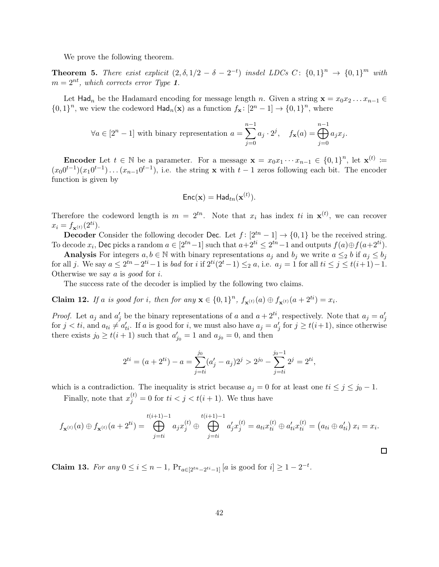We prove the following theorem.

**Theorem 5.** There exist explicit  $(2, \delta, 1/2 - \delta - 2^{-t})$  insdel LDCs C:  $\{0,1\}^n \rightarrow \{0,1\}^m$  with  $m = 2^{nt}$ , which corrects error Type 1.

Let Had<sub>n</sub> be the Hadamard encoding for message length n. Given a string  $\mathbf{x} = x_0 x_2 \dots x_{n-1} \in$  $\{0,1\}^n$ , we view the codeword  $\text{Had}_n(\mathbf{x})$  as a function  $f_{\mathbf{x}}: [2^n - 1] \to \{0,1\}^n$ , where

$$
\forall a \in [2^n - 1] \text{ with binary representation } a = \sum_{j=0}^{n-1} a_j \cdot 2^j, \quad f_{\mathbf{x}}(a) = \bigoplus_{j=0}^{n-1} a_j x_j.
$$

**Encoder** Let  $t \in \mathbb{N}$  be a parameter. For a message  $\mathbf{x} = x_0 x_1 \cdots x_{n-1} \in \{0,1\}^n$ , let  $\mathbf{x}^{(t)} \coloneqq$  $(x_00^{t-1})(x_10^{t-1})\dots(x_{n-1}0^{t-1}),$  i.e. the string **x** with  $t-1$  zeros following each bit. The encoder function is given by

$$
\mathsf{Enc}(\mathbf{x}) = \mathsf{Had}_{tn}(\mathbf{x}^{(t)}).
$$

Therefore the codeword length is  $m = 2^{tn}$ . Note that  $x_i$  has index ti in  $\mathbf{x}^{(t)}$ , we can recover  $x_i = f_{\mathbf{x}^{(t)}}(2^{ti}).$ 

**Decoder** Consider the following decoder Dec. Let  $f : [2^{tn} - 1] \rightarrow \{0, 1\}$  be the received string. To decode  $x_i$ , Dec picks a random  $a \in [2^{tn}-1]$  such that  $a+2^{ti} \leq 2^{tn}-1$  and outputs  $f(a) \oplus f(a+2^{ti})$ .

Analysis For integers  $a, b \in \mathbb{N}$  with binary representations  $a_j$  and  $b_j$  we write  $a \leq_2 b$  if  $a_j \leq b_j$ for all j. We say  $a \leq 2^{tn} - 2^{ti} - 1$  is bad for i if  $2^{ti}(2^t - 1) \leq_2 a$ , i.e.  $a_j = 1$  for all  $ti \leq j \leq t(i+1) - 1$ . Otherwise we say a is good for i.

The success rate of the decoder is implied by the following two claims.

**Claim 12.** If a is good for i, then for any  $\mathbf{x} \in \{0,1\}^n$ ,  $f_{\mathbf{x}^{(t)}}(a) \oplus f_{\mathbf{x}^{(t)}}(a+2^{ti}) = x_i$ .

*Proof.* Let  $a_j$  and  $a'_j$  be the binary representations of a and  $a + 2^{ti}$ , respectively. Note that  $a_j = a'_j$ for  $j < ti$ , and  $a_{ti} \neq a'_{ti}$ . If a is good for i, we must also have  $a_j = a'_j$  for  $j \geq t(i+1)$ , since otherwise there exists  $j_0 \ge t(i+1)$  such that  $a'_{j_0} = 1$  and  $a_{j_0} = 0$ , and then

$$
2^{ti} = (a + 2^{ti}) - a = \sum_{j=ti}^{j_0} (a'_j - a_j) 2^j > 2^{j_0} - \sum_{j=ti}^{j_0-1} 2^j = 2^{ti},
$$

which is a contradiction. The inequality is strict because  $a_j = 0$  for at least one  $ti \leq j \leq j_0 - 1$ .

Finally, note that  $x_j^{(t)} = 0$  for  $ti < j < t(i+1)$ . We thus have

$$
f_{\mathbf{x}^{(t)}}(a) \oplus f_{\mathbf{x}^{(t)}}(a+2^{ti}) = \bigoplus_{j=ti}^{t(i+1)-1} a_j x_j^{(t)} \oplus \bigoplus_{j=ti}^{t(i+1)-1} a'_j x_j^{(t)} = a_{ti} x_{ti}^{(t)} \oplus a'_{ti} x_{ti}^{(t)} = (a_{ti} \oplus a'_{ti}) x_i = x_i.
$$

 $\Box$ 

**Claim 13.** For any  $0 \le i \le n-1$ ,  $Pr_{a \in [2^{tn}-2^{ti}-1]}[a \text{ is good for } i] \ge 1-2^{-t}$ .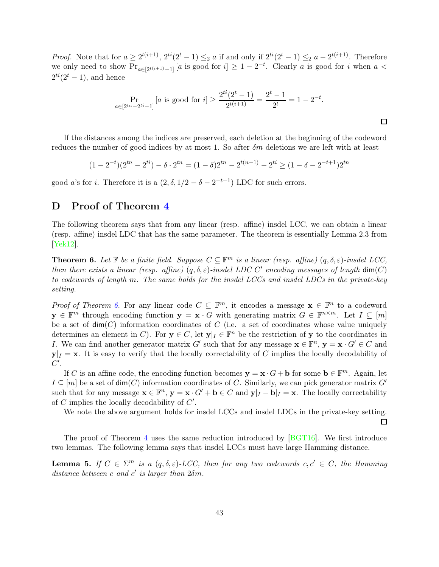*Proof.* Note that for  $a \geq 2^{t(i+1)}$ ,  $2^{ti}(2^t - 1) \leq_2 a$  if and only if  $2^{ti}(2^t - 1) \leq_2 a - 2^{t(i+1)}$ . Therefore we only need to show  $Pr_{a \in [2^{t(i+1)}-1]}[a \text{ is good for } i] \geq 1-2^{-t}$ . Clearly a is good for i when  $a <$  $2^{ti}(2^t - 1)$ , and hence

$$
\Pr_{a \in [2^{tn} - 2^{ti} - 1]}[a \text{ is good for } i] \ge \frac{2^{ti}(2^t - 1)}{2^{t(i+1)}} = \frac{2^t - 1}{2^t} = 1 - 2^{-t}.
$$

 $\Box$ 

 $\Box$ 

If the distances among the indices are preserved, each deletion at the beginning of the codeword reduces the number of good indices by at most 1. So after  $\delta m$  deletions we are left with at least

$$
(1 - 2^{-t})(2^{tn} - 2^{ti}) - \delta \cdot 2^{tn} = (1 - \delta)2^{tn} - 2^{t(n-1)} - 2^{ti} \ge (1 - \delta - 2^{-t+1})2^{tn}
$$

good *a*'s for *i*. Therefore it is a  $(2, \delta, 1/2 - \delta - 2^{-t+1})$  LDC for such errors.

## <span id="page-43-0"></span>D Proof of Theorem [4](#page-6-1)

The following theorem says that from any linear (resp. affine) insdel LCC, we can obtain a linear (resp. affine) insdel LDC that has the same parameter. The theorem is essentially Lemma 2.3 from [\[Yek12\]](#page-39-5).

<span id="page-43-1"></span>**Theorem 6.** Let  $\mathbb F$  be a finite field. Suppose  $C \subseteq \mathbb F^m$  is a linear (resp. affine)  $(q, \delta, \varepsilon)$ -insdel LCC, then there exists a linear (resp. affine)  $(q, \delta, \varepsilon)$ -insdel LDC C' encoding messages of length  $dim(C)$ to codewords of length m. The same holds for the insdel LCCs and insdel LDCs in the private-key setting.

*Proof of Theorem [6.](#page-43-1)* For any linear code  $C \subseteq \mathbb{F}^m$ , it encodes a message  $\mathbf{x} \in \mathbb{F}^n$  to a codeword  $y \in \mathbb{F}^m$  through encoding function  $y = x \cdot G$  with generating matrix  $G \in \mathbb{F}^{n \times m}$ . Let  $I \subseteq [m]$ be a set of  $\dim(C)$  information coordinates of C (i.e. a set of coordinates whose value uniquely determines an element in C). For  $y \in C$ , let  $y|_I \in \mathbb{F}^n$  be the restriction of y to the coordinates in I. We can find another generator matrix G' such that for any message  $\mathbf{x} \in \mathbb{F}^n$ ,  $\mathbf{y} = \mathbf{x} \cdot G' \in C$  and  $y|_I = x$ . It is easy to verify that the locally correctability of C implies the locally decodability of  $C'.$ 

If C is an affine code, the encoding function becomes  $y = x \cdot G + b$  for some  $b \in \mathbb{F}^m$ . Again, let  $I \subseteq [m]$  be a set of  $\dim(C)$  information coordinates of C. Similarly, we can pick generator matrix G' such that for any message  $\mathbf{x} \in \mathbb{F}^n$ ,  $\mathbf{y} = \mathbf{x} \cdot G' + \mathbf{b} \in C$  and  $\mathbf{y}|_I - \mathbf{b}|_I = \mathbf{x}$ . The locally correctability of C implies the locally decodability of  $C'$ .

We note the above argument holds for insdel LCCs and insdel LDCs in the private-key setting.

The proof of Theorem [4](#page-6-1) uses the same reduction introduced by [\[BGT16\]](#page-35-0). We first introduce two lemmas. The following lemma says that insdel LCCs must have large Hamming distance.

<span id="page-43-2"></span>**Lemma 5.** If  $C \in \Sigma^m$  is a  $(q, \delta, \varepsilon)$ -LCC, then for any two codewords  $c, c' \in C$ , the Hamming distance between c and c' is larger than  $2\delta m$ .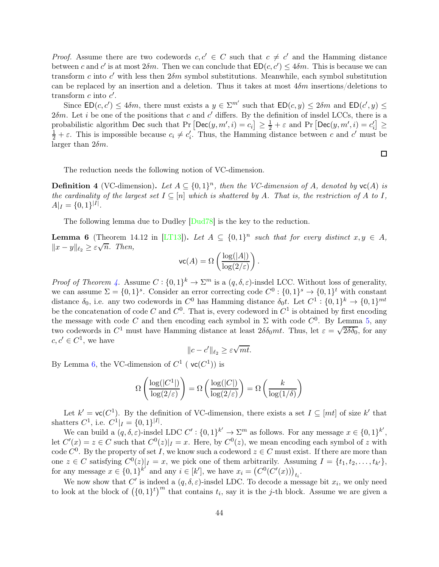*Proof.* Assume there are two codewords  $c, c' \in C$  such that  $c \neq c'$  and the Hamming distance between c and c' is at most  $2\delta m$ . Then we can conclude that  $ED(c, c') \leq 4\delta m$ . This is because we can transform c into c' with less then  $2\delta m$  symbol substitutions. Meanwhile, each symbol substitution can be replaced by an insertion and a deletion. Thus it takes at most  $4\delta m$  insertions/deletions to transform  $c$  into  $c'$ .

Since  $ED(c, c') \leq 4\delta m$ , there must exists a  $y \in \Sigma^{m'}$  such that  $ED(c, y) \leq 2\delta m$  and  $ED(c', y) \leq$  $2\delta m$ . Let *i* be one of the positions that *c* and *c'* differs. By the definition of insdel LCCs, there is a probabilistic algorithm Dec such that  $\Pr\left[\text{Dec}(y, m', i) = c_i\right] \ge \frac{1}{2} + \varepsilon$  and  $\Pr\left[\text{Dec}(y, m', i) = c'_i\right] \ge \frac{1}{2}$  $\frac{1}{2} + \varepsilon$ . This is impossible because  $c_i \neq c'_i$ . Thus, the Hamming distance between c and c' must be larger than  $2\delta m$ .

 $\Box$ 

The reduction needs the following notion of VC-dimension.

**Definition 4** (VC-dimension). Let  $A \subseteq \{0,1\}^n$ , then the VC-dimension of A, denoted by  $vc(A)$  is the cardinality of the largest set  $I \subseteq [n]$  which is shattered by A. That is, the restriction of A to I,  $A|_I = \{0,1\}^{|I|}.$ 

The following lemma due to Dudley  $\lfloor \frac{\text{Dud78}}{\text{Dud78}} \rfloor$  is the key to the reduction.

<span id="page-44-0"></span>**Lemma 6** (Theorem 14.12 in [\[LT13\]](#page-38-14)). Let  $A \subseteq \{0,1\}^n$  such that for every distinct  $x, y \in A$ ,  $||x-y||_{\ell_2} \geq \varepsilon \sqrt{n}$ . Then,

$$
\text{vc}(A) = \Omega\left(\frac{\log(|A|)}{\log(2/\varepsilon)}\right).
$$

*Proof of Theorem [4.](#page-6-1)* Assume  $C: \{0,1\}^k \to \Sigma^m$  is a  $(q, \delta, \varepsilon)$ -insdel LCC. Without loss of generality, we can assume  $\Sigma = \{0,1\}^s$ . Consider an error correcting code  $C^0: \{0,1\}^s \to \{0,1\}^t$  with constant distance  $\delta_0$ , i.e. any two codewords in  $C^0$  has Hamming distance  $\delta_0 t$ . Let  $C^1: \{0,1\}^k \to \{0,1\}^{mt}$ be the concatenation of code C and  $C^0$ . That is, every codeword in  $C^1$  is obtained by first encoding the message with code C and then encoding each symbol in  $\Sigma$  with code  $C^0$ . By Lemma [5,](#page-43-2) any two codewords in  $C^1$  must have Hamming distance at least  $2\delta\delta_0 m t$ . Thus, let  $\varepsilon = \sqrt{2\delta\delta_0}$ , for any  $c, c' \in C^1$ , we have

$$
||c - c'||_{\ell_2} \ge \varepsilon \sqrt{mt}.
$$

By Lemma [6,](#page-44-0) the VC-dimension of  $C^1$  ( $\mathsf{vc}(C^1)$ ) is

$$
\Omega\left(\frac{\log(|C^1|)}{\log(2/\varepsilon)}\right) = \Omega\left(\frac{\log(|C|)}{\log(2/\varepsilon)}\right) = \Omega\left(\frac{k}{\log(1/\delta)}\right)
$$

Let  $k' = \text{vc}(C^1)$ . By the definition of VC-dimension, there exists a set  $I \subseteq [mt]$  of size k' that shatters  $C^1$ , i.e.  $C^1|_I = \{0, 1\}^{|I|}$ .

We can build a  $(q, \delta, \varepsilon)$ -insdel LDC  $C' : \{0,1\}^{k'} \to \Sigma^m$  as follows. For any message  $x \in \{0,1\}^{k'}$ , let  $C'(x) = z \in C$  such that  $C^0(z)|_I = x$ . Here, by  $C^0(z)$ , we mean encoding each symbol of z with code  $C^0$ . By the property of set I, we know such a codeword  $z \in C$  must exist. If there are more than one  $z \in C$  satisfying  $C^0(z)|_I = x$ , we pick one of them arbitrarily. Assuming  $I = \{t_1, t_2, \ldots, t_{k'}\},\$ for any message  $x \in \{0,1\}^{k'}$  and any  $i \in [k']$ , we have  $x_i = (C^0(C'(x)))_{t_i}$ .

We now show that C' is indeed a  $(q, \delta, \varepsilon)$ -insdel LDC. To decode a message bit  $x_i$ , we only need to look at the block of  $(\{0,1\}^t)^m$  that contains  $t_i$ , say it is the j-th block. Assume we are given a